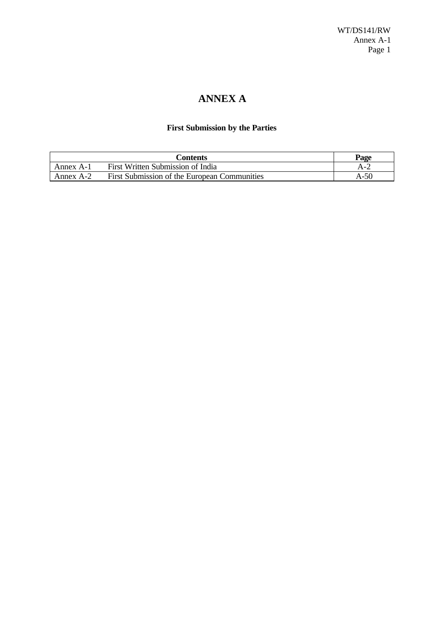# **ANNEX A**

## **First Submission by the Parties**

|           | Contents                                     | Page  |
|-----------|----------------------------------------------|-------|
| Annex A-1 | First Written Submission of India            | A - . |
| Annex A-2 | First Submission of the European Communities | A-50  |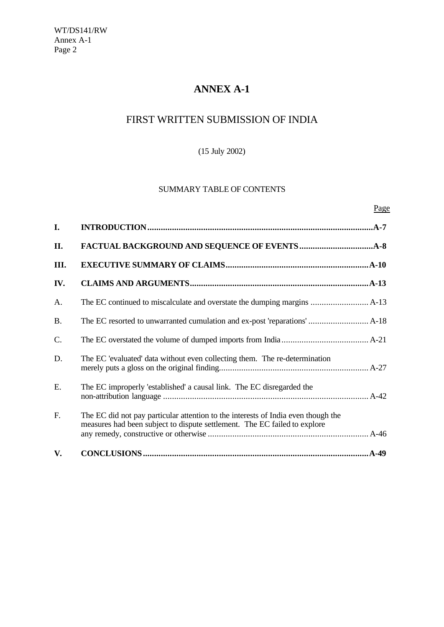# **ANNEX A-1**

# FIRST WRITTEN SUBMISSION OF INDIA

## (15 July 2002)

## SUMMARY TABLE OF CONTENTS

Page

| I.        |                                                                                                                                                                |
|-----------|----------------------------------------------------------------------------------------------------------------------------------------------------------------|
| II.       |                                                                                                                                                                |
| III.      |                                                                                                                                                                |
| IV.       |                                                                                                                                                                |
| A.        |                                                                                                                                                                |
| <b>B.</b> |                                                                                                                                                                |
| C.        |                                                                                                                                                                |
| D.        | The EC 'evaluated' data without even collecting them. The re-determination                                                                                     |
| E.        | The EC improperly 'established' a causal link. The EC disregarded the                                                                                          |
| F.        | The EC did not pay particular attention to the interests of India even though the<br>measures had been subject to dispute settlement. The EC failed to explore |
| V.        | $AA-49$                                                                                                                                                        |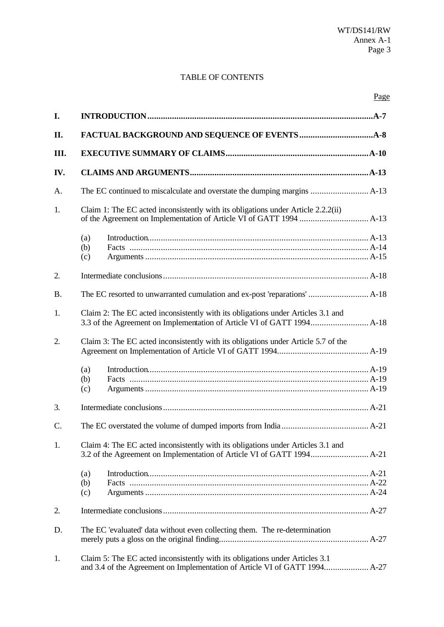## TABLE OF CONTENTS

| I.              |                                                                                    |  |
|-----------------|------------------------------------------------------------------------------------|--|
| II.             |                                                                                    |  |
| III.            |                                                                                    |  |
| IV.             |                                                                                    |  |
| A.              |                                                                                    |  |
| 1.              | Claim 1: The EC acted inconsistently with its obligations under Article 2.2.2(ii)  |  |
|                 | (a)<br>(b)<br>(c)                                                                  |  |
| 2.              |                                                                                    |  |
| <b>B.</b>       |                                                                                    |  |
| 1.              | Claim 2: The EC acted inconsistently with its obligations under Articles 3.1 and   |  |
| 2.              | Claim 3: The EC acted inconsistently with its obligations under Article 5.7 of the |  |
|                 | (a)<br>(b)<br>(c)                                                                  |  |
| 3.              |                                                                                    |  |
| $\mathcal{C}$ . |                                                                                    |  |
| 1.              | Claim 4: The EC acted inconsistently with its obligations under Articles 3.1 and   |  |
|                 | (a)<br>(b)<br>(c)                                                                  |  |
| 2.              |                                                                                    |  |
| D.              | The EC 'evaluated' data without even collecting them. The re-determination         |  |
| 1.              | Claim 5: The EC acted inconsistently with its obligations under Articles 3.1       |  |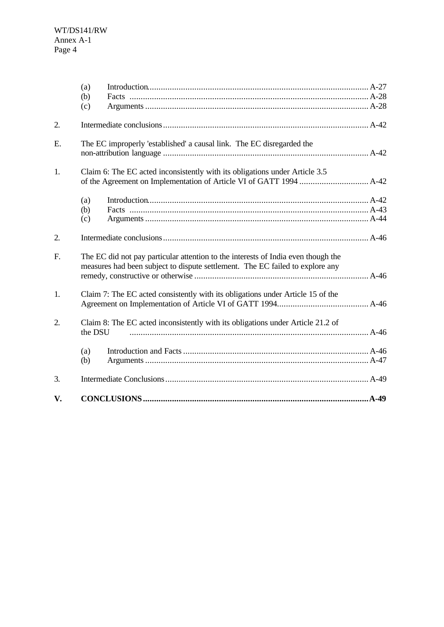|             | (a)<br>(b)<br>(c) |                                                                                                                                                                    |
|-------------|-------------------|--------------------------------------------------------------------------------------------------------------------------------------------------------------------|
| 2.          |                   |                                                                                                                                                                    |
| E.          |                   | The EC improperly 'established' a causal link. The EC disregarded the                                                                                              |
| 1.          |                   | Claim 6: The EC acted inconsistently with its obligations under Article 3.5                                                                                        |
|             | (a)<br>(b)<br>(c) |                                                                                                                                                                    |
| 2.          |                   |                                                                                                                                                                    |
| $F_{\cdot}$ |                   | The EC did not pay particular attention to the interests of India even though the<br>measures had been subject to dispute settlement. The EC failed to explore any |
| 1.          |                   | Claim 7: The EC acted consistently with its obligations under Article 15 of the                                                                                    |
| 2.          | the DSU           | Claim 8: The EC acted inconsistently with its obligations under Article 21.2 of                                                                                    |
|             | (a)<br>(b)        |                                                                                                                                                                    |
| 3.          |                   |                                                                                                                                                                    |
| V.          |                   |                                                                                                                                                                    |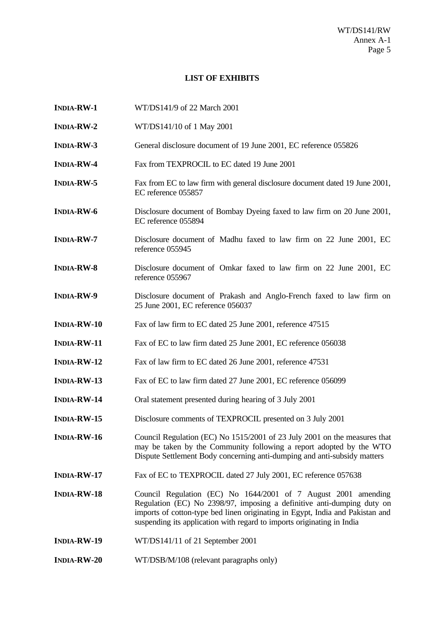## **LIST OF EXHIBITS**

| <b>INDIA-RW-1</b>  | WT/DS141/9 of 22 March 2001                                                                                                                                                                                                                                                                         |
|--------------------|-----------------------------------------------------------------------------------------------------------------------------------------------------------------------------------------------------------------------------------------------------------------------------------------------------|
| <b>INDIA-RW-2</b>  | WT/DS141/10 of 1 May 2001                                                                                                                                                                                                                                                                           |
| <b>INDIA-RW-3</b>  | General disclosure document of 19 June 2001, EC reference 055826                                                                                                                                                                                                                                    |
| <b>INDIA-RW-4</b>  | Fax from TEXPROCIL to EC dated 19 June 2001                                                                                                                                                                                                                                                         |
| <b>INDIA-RW-5</b>  | Fax from EC to law firm with general disclosure document dated 19 June 2001,<br>EC reference 055857                                                                                                                                                                                                 |
| <b>INDIA-RW-6</b>  | Disclosure document of Bombay Dyeing faxed to law firm on 20 June 2001,<br>EC reference 055894                                                                                                                                                                                                      |
| <b>INDIA-RW-7</b>  | Disclosure document of Madhu faxed to law firm on 22 June 2001, EC<br>reference 055945                                                                                                                                                                                                              |
| <b>INDIA-RW-8</b>  | Disclosure document of Omkar faxed to law firm on 22 June 2001, EC<br>reference 055967                                                                                                                                                                                                              |
| <b>INDIA-RW-9</b>  | Disclosure document of Prakash and Anglo-French faxed to law firm on<br>25 June 2001, EC reference 056037                                                                                                                                                                                           |
| <b>INDIA-RW-10</b> | Fax of law firm to EC dated 25 June 2001, reference 47515                                                                                                                                                                                                                                           |
| <b>INDIA-RW-11</b> | Fax of EC to law firm dated 25 June 2001, EC reference 056038                                                                                                                                                                                                                                       |
| <b>INDIA-RW-12</b> | Fax of law firm to EC dated 26 June 2001, reference 47531                                                                                                                                                                                                                                           |
| <b>INDIA-RW-13</b> | Fax of EC to law firm dated 27 June 2001, EC reference 056099                                                                                                                                                                                                                                       |
| <b>INDIA-RW-14</b> | Oral statement presented during hearing of 3 July 2001                                                                                                                                                                                                                                              |
| <b>INDIA-RW-15</b> | Disclosure comments of TEXPROCIL presented on 3 July 2001                                                                                                                                                                                                                                           |
| <b>INDIA-RW-16</b> | Council Regulation (EC) No 1515/2001 of 23 July 2001 on the measures that<br>may be taken by the Community following a report adopted by the WTO<br>Dispute Settlement Body concerning anti-dumping and anti-subsidy matters                                                                        |
| <b>INDIA-RW-17</b> | Fax of EC to TEXPROCIL dated 27 July 2001, EC reference 057638                                                                                                                                                                                                                                      |
| <b>INDIA-RW-18</b> | Council Regulation (EC) No 1644/2001 of 7 August 2001 amending<br>Regulation (EC) No 2398/97, imposing a definitive anti-dumping duty on<br>imports of cotton-type bed linen originating in Egypt, India and Pakistan and<br>suspending its application with regard to imports originating in India |
| <b>INDIA-RW-19</b> | WT/DS141/11 of 21 September 2001                                                                                                                                                                                                                                                                    |
| <b>INDIA-RW-20</b> | WT/DSB/M/108 (relevant paragraphs only)                                                                                                                                                                                                                                                             |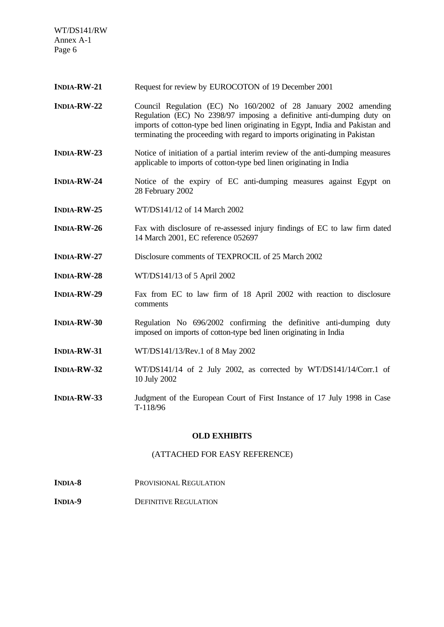WT/DS141/RW Annex A-1 Page 6

- **INDIA-RW-21** Request for review by EUROCOTON of 19 December 2001
- **INDIA-RW-22** Council Regulation (EC) No 160/2002 of 28 January 2002 amending Regulation (EC) No 2398/97 imposing a definitive anti-dumping duty on imports of cotton-type bed linen originating in Egypt, India and Pakistan and terminating the proceeding with regard to imports originating in Pakistan
- **INDIA-RW-23** Notice of initiation of a partial interim review of the anti-dumping measures applicable to imports of cotton-type bed linen originating in India
- **INDIA-RW-24** Notice of the expiry of EC anti-dumping measures against Egypt on 28 February 2002
- **INDIA-RW-25** WT/DS141/12 of 14 March 2002
- **INDIA-RW-26** Fax with disclosure of re-assessed injury findings of EC to law firm dated 14 March 2001, EC reference 052697
- **INDIA-RW-27** Disclosure comments of TEXPROCIL of 25 March 2002
- **INDIA-RW-28** WT/DS141/13 of 5 April 2002
- **INDIA-RW-29** Fax from EC to law firm of 18 April 2002 with reaction to disclosure comments
- **INDIA-RW-30** Regulation No 696/2002 confirming the definitive anti-dumping duty imposed on imports of cotton-type bed linen originating in India
- **INDIA-RW-31** WT/DS141/13/Rev.1 of 8 May 2002
- **INDIA-RW-32** WT/DS141/14 of 2 July 2002, as corrected by WT/DS141/14/Corr.1 of 10 July 2002
- **INDIA-RW-33** Judgment of the European Court of First Instance of 17 July 1998 in Case T-118/96

#### **OLD EXHIBITS**

#### (ATTACHED FOR EASY REFERENCE)

- **INDIA-8** PROVISIONAL REGULATION
- **INDIA-9** DEFINITIVE REGULATION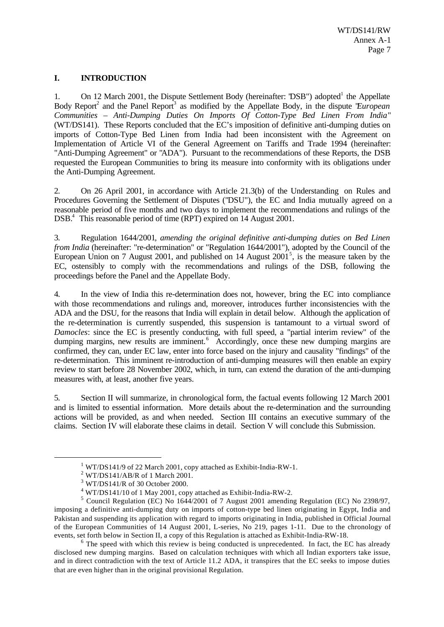## **I. INTRODUCTION**

1. On 12 March 2001, the Dispute Settlement Body (hereinafter: 'DSB') adopted<sup>1</sup> the Appellate Body Report<sup>2</sup> and the Panel Report<sup>3</sup> as modified by the Appellate Body, in the dispute *'European Communities – Anti-Dumping Duties On Imports Of Cotton-Type Bed Linen From India*" (WT/DS141). These Reports concluded that the EC's imposition of definitive anti-dumping duties on imports of Cotton-Type Bed Linen from India had been inconsistent with the Agreement on Implementation of Article VI of the General Agreement on Tariffs and Trade 1994 (hereinafter: "Anti-Dumping Agreement" or "ADA"). Pursuant to the recommendations of these Reports, the DSB requested the European Communities to bring its measure into conformity with its obligations under the Anti-Dumping Agreement.

2. On 26 April 2001, in accordance with Article 21.3(b) of the Understanding on Rules and Procedures Governing the Settlement of Disputes ("DSU"), the EC and India mutually agreed on a reasonable period of five months and two days to implement the recommendations and rulings of the DSB.<sup>4</sup> This reasonable period of time (RPT) expired on 14 August 2001.

3. Regulation 1644/2001*, amending the original definitive anti-dumping duties on Bed Linen from India* (hereinafter: "re-determination" or "Regulation 1644/2001"), adopted by the Council of the European Union on 7 August 2001, and published on 14 August  $2001<sup>5</sup>$ , is the measure taken by the EC, ostensibly to comply with the recommendations and rulings of the DSB, following the proceedings before the Panel and the Appellate Body.

4. In the view of India this re-determination does not, however, bring the EC into compliance with those recommendations and rulings and, moreover, introduces further inconsistencies with the ADA and the DSU, for the reasons that India will explain in detail below. Although the application of the re-determination is currently suspended, this suspension is tantamount to a virtual sword of *Damocles*: since the EC is presently conducting, with full speed, a "partial interim review" of the dumping margins, new results are imminent.<sup>6</sup> Accordingly, once these new dumping margins are confirmed, they can, under EC law, enter into force based on the injury and causality "findings" of the re-determination. This imminent re-introduction of anti-dumping measures will then enable an expiry review to start before 28 November 2002, which, in turn, can extend the duration of the anti-dumping measures with, at least, another five years.

5. Section II will summarize, in chronological form, the factual events following 12 March 2001 and is limited to essential information. More details about the re-determination and the surrounding actions will be provided, as and when needed. Section III contains an executive summary of the claims. Section IV will elaborate these claims in detail. Section V will conclude this Submission.

<sup>&</sup>lt;sup>1</sup> WT/DS141/9 of 22 March 2001, copy attached as Exhibit-India-RW-1.

 $2$  WT/DS141/AB/R of 1 March 2001.

<sup>3</sup> WT/DS141/R of 30 October 2000.

 $4$  WT/DS141/10 of 1 May 2001, copy attached as Exhibit-India-RW-2.

<sup>&</sup>lt;sup>5</sup> Council Regulation (EC) No 1644/2001 of 7 August 2001 amending Regulation (EC) No 2398/97, imposing a definitive anti-dumping duty on imports of cotton-type bed linen originating in Egypt, India and Pakistan and suspending its application with regard to imports originating in India, published in Official Journal of the European Communities of 14 August 2001, L-series, No 219, pages 1-11. Due to the chronology of events, set forth below in Section II, a copy of this Regulation is attached as Exhibit-India-RW-18.

 $6$  The speed with which this review is being conducted is unprecedented. In fact, the EC has already disclosed new dumping margins. Based on calculation techniques with which all Indian exporters take issue, and in direct contradiction with the text of Article 11.2 ADA, it transpires that the EC seeks to impose duties that are even higher than in the original provisional Regulation.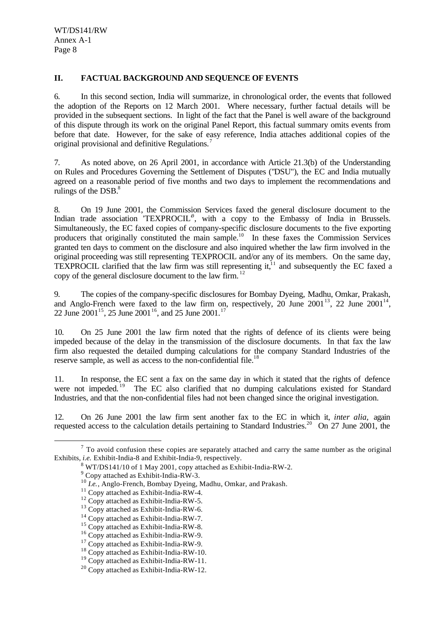#### **II. FACTUAL BACKGROUND AND SEQUENCE OF EVENTS**

6. In this second section, India will summarize, in chronological order, the events that followed the adoption of the Reports on 12 March 2001. Where necessary, further factual details will be provided in the subsequent sections. In light of the fact that the Panel is well aware of the background of this dispute through its work on the original Panel Report, this factual summary omits events from before that date. However, for the sake of easy reference, India attaches additional copies of the original provisional and definitive Regulations.<sup>7</sup>

7. As noted above, on 26 April 2001, in accordance with Article 21.3(b) of the Understanding on Rules and Procedures Governing the Settlement of Disputes ("DSU"), the EC and India mutually agreed on a reasonable period of five months and two days to implement the recommendations and rulings of the  $DSB$ .<sup>8</sup>

8. On 19 June 2001, the Commission Services faxed the general disclosure document to the Indian trade association 'TEXPROCIL<sup> $\theta$ </sup>, with a copy to the Embassy of India in Brussels. Simultaneously, the EC faxed copies of company-specific disclosure documents to the five exporting producers that originally constituted the main sample.<sup>10</sup> In these faxes the Commission Services granted ten days to comment on the disclosure and also inquired whether the law firm involved in the original proceeding was still representing TEXPROCIL and/or any of its members. On the same day, TEXPROCIL clarified that the law firm was still representing it, $^{11}$  and subsequently the EC faxed a copy of the general disclosure document to the law firm. <sup>12</sup>

9. The copies of the company-specific disclosures for Bombay Dyeing, Madhu, Omkar, Prakash, and Anglo-French were faxed to the law firm on, respectively, 20 June 2001<sup>13</sup>, 22 June 2001<sup>14</sup>, 22 June 2001<sup>15</sup>, 25 June 2001<sup>16</sup>, and 25 June 2001.<sup>17</sup>

10. On 25 June 2001 the law firm noted that the rights of defence of its clients were being impeded because of the delay in the transmission of the disclosure documents. In that fax the law firm also requested the detailed dumping calculations for the company Standard Industries of the reserve sample, as well as access to the non-confidential file.<sup>18</sup>

11. In response, the EC sent a fax on the same day in which it stated that the rights of defence were not impeded.<sup>19</sup> The EC also clarified that no dumping calculations existed for Standard Industries, and that the non-confidential files had not been changed since the original investigation.

12. On 26 June 2001 the law firm sent another fax to the EC in which it, *inter alia,* again requested access to the calculation details pertaining to Standard Industries.<sup>20</sup> On 27 June 2001, the

 $<sup>7</sup>$  To avoid confusion these copies are separately attached and carry the same number as the original</sup> Exhibits, *i.e.* Exhibit-India-8 and Exhibit-India-9, respectively.

 $8$  WT/DS141/10 of 1 May 2001, copy attached as Exhibit-India-RW-2.

<sup>&</sup>lt;sup>9</sup> Copy attached as Exhibit-India-RW-3.

<sup>10</sup> *I.e.*, Anglo-French, Bombay Dyeing, Madhu, Omkar, and Prakash.

<sup>11</sup> Copy attached as Exhibit-India-RW-4.

 $12$  Copy attached as Exhibit-India-RW-5.

<sup>13</sup> Copy attached as Exhibit-India-RW-6.

<sup>&</sup>lt;sup>14</sup> Copy attached as Exhibit-India-RW-7.

<sup>&</sup>lt;sup>15</sup> Copy attached as Exhibit-India-RW-8.

<sup>16</sup> Copy attached as Exhibit-India-RW-9.

<sup>&</sup>lt;sup>17</sup> Copy attached as Exhibit-India-RW-9.

<sup>18</sup> Copy attached as Exhibit-India-RW-10.

 $19$  Copy attached as Exhibit-India-RW-11.

<sup>20</sup> Copy attached as Exhibit-India-RW-12.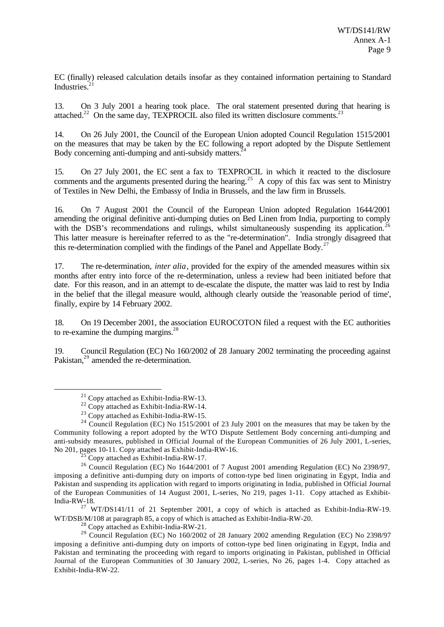EC (finally) released calculation details insofar as they contained information pertaining to Standard Industries. $21$ 

13. On 3 July 2001 a hearing took place. The oral statement presented during that hearing is attached.<sup>22</sup> On the same day, TEXPROCIL also filed its written disclosure comments.<sup>23</sup>

14. On 26 July 2001, the Council of the European Union adopted Council Regulation 1515/2001 on the measures that may be taken by the EC following a report adopted by the Dispute Settlement Body concerning anti-dumping and anti-subsidy matters.<sup>2</sup>

15. On 27 July 2001, the EC sent a fax to TEXPROCIL in which it reacted to the disclosure comments and the arguments presented during the hearing.<sup>25</sup> A copy of this fax was sent to Ministry of Textiles in New Delhi, the Embassy of India in Brussels, and the law firm in Brussels.

16. On 7 August 2001 the Council of the European Union adopted Regulation 1644/2001 amending the original definitive anti-dumping duties on Bed Linen from India, purporting to comply with the DSB's recommendations and rulings, whilst simultaneously suspending its application.<sup>26</sup> This latter measure is hereinafter referred to as the "re-determination". India strongly disagreed that this re-determination complied with the findings of the Panel and Appellate Body.<sup>27</sup>

17. The re-determination, *inter alia*, provided for the expiry of the amended measures within six months after entry into force of the re-determination, unless a review had been initiated before that date. For this reason, and in an attempt to de-escalate the dispute, the matter was laid to rest by India in the belief that the illegal measure would, although clearly outside the 'reasonable period of time', finally, expire by 14 February 2002.

18. On 19 December 2001, the association EUROCOTON filed a request with the EC authorities to re-examine the dumping margins. $28$ 

19. Council Regulation (EC) No 160/2002 of 28 January 2002 terminating the proceeding against Pakistan,<sup>29</sup> amended the re-determination.

l

 $<sup>5</sup>$  Copy attached as Exhibit-India-RW-17.</sup>

 $27$  WT/DS141/11 of 21 September 2001, a copy of which is attached as Exhibit-India-RW-19. WT/DSB/M/108 at paragraph 85, a copy of which is attached as Exhibit-India-RW-20.

<sup>28</sup> Copy attached as Exhibit-India-RW-21.

 $^{21}$  Copy attached as Exhibit-India-RW-13.

 $22$  Copy attached as Exhibit-India-RW-14.

 $23$  Copy attached as Exhibit-India-RW-15.

 $24$  Council Regulation (EC) No 1515/2001 of 23 July 2001 on the measures that may be taken by the Community following a report adopted by the WTO Dispute Settlement Body concerning anti-dumping and anti-subsidy measures, published in Official Journal of the European Communities of 26 July 2001, L-series, No 201, pages 10-11. Copy attached as Exhibit-India-RW-16.

<sup>&</sup>lt;sup>26</sup> Council Regulation (EC) No 1644/2001 of 7 August 2001 amending Regulation (EC) No 2398/97, imposing a definitive anti-dumping duty on imports of cotton-type bed linen originating in Egypt, India and Pakistan and suspending its application with regard to imports originating in India, published in Official Journal of the European Communities of 14 August 2001, L-series, No 219, pages 1-11. Copy attached as Exhibit-India-RW-18.

 $29$  Council Regulation (EC) No 160/2002 of 28 January 2002 amending Regulation (EC) No 2398/97 imposing a definitive anti-dumping duty on imports of cotton-type bed linen originating in Egypt, India and Pakistan and terminating the proceeding with regard to imports originating in Pakistan, published in Official Journal of the European Communities of 30 January 2002, L-series, No 26, pages 1-4. Copy attached as Exhibit-India-RW-22.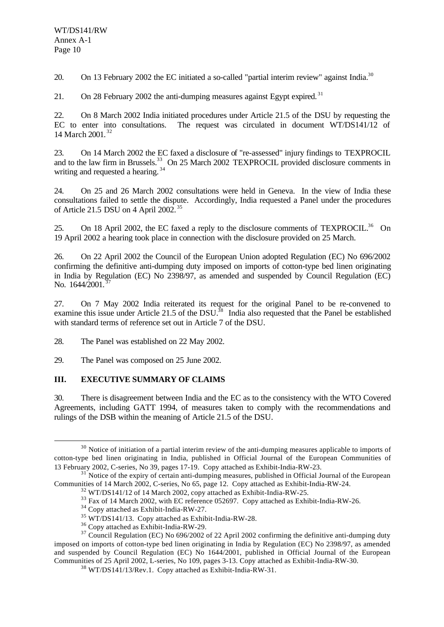20. On 13 February 2002 the EC initiated a so-called "partial interim review" against India.<sup>30</sup>

21. On 28 February 2002 the anti-dumping measures against Egypt expired.<sup>31</sup>

22. On 8 March 2002 India initiated procedures under Article 21.5 of the DSU by requesting the EC to enter into consultations. The request was circulated in document WT/DS141/12 of 14 March 2001. <sup>32</sup>

23. On 14 March 2002 the EC faxed a disclosure of "re-assessed" injury findings to TEXPROCIL and to the law firm in Brussels.<sup>33</sup> On 25 March 2002 TEXPROCIL provided disclosure comments in writing and requested a hearing.<sup>34</sup>

24. On 25 and 26 March 2002 consultations were held in Geneva. In the view of India these consultations failed to settle the dispute. Accordingly, India requested a Panel under the procedures of Article 21.5 DSU on 4 April 2002. <sup>35</sup>

25. On 18 April 2002, the EC faxed a reply to the disclosure comments of TEXPROCIL.<sup>36</sup> On 19 April 2002 a hearing took place in connection with the disclosure provided on 25 March.

26. On 22 April 2002 the Council of the European Union adopted Regulation (EC) No 696/2002 confirming the definitive anti-dumping duty imposed on imports of cotton-type bed linen originating in India by Regulation (EC) No 2398/97, as amended and suspended by Council Regulation (EC) No. 1644/2001.<sup>3</sup>

27. On 7 May 2002 India reiterated its request for the original Panel to be re-convened to examine this issue under Article 21.5 of the DSU.<sup>38</sup> India also requested that the Panel be established with standard terms of reference set out in Article 7 of the DSU.

28. The Panel was established on 22 May 2002.

29. The Panel was composed on 25 June 2002.

## **III. EXECUTIVE SUMMARY OF CLAIMS**

l

30. There is disagreement between India and the EC as to the consistency with the WTO Covered Agreements, including GATT 1994, of measures taken to comply with the recommendations and rulings of the DSB within the meaning of Article 21.5 of the DSU.

 $30$  Notice of initiation of a partial interim review of the anti-dumping measures applicable to imports of cotton-type bed linen originating in India, published in Official Journal of the European Communities of 13 February 2002, C-series, No 39, pages 17-19. Copy attached as Exhibit-India-RW-23.

 $31$  Notice of the expiry of certain anti-dumping measures, published in Official Journal of the European Communities of 14 March 2002, C-series, No 65, page 12. Copy attached as Exhibit-India-RW-24.

<sup>&</sup>lt;sup>32</sup> WT/DS141/12 of 14 March 2002, copy attached as Exhibit-India-RW-25.

<sup>&</sup>lt;sup>33</sup> Fax of 14 March 2002, with EC reference 052697. Copy attached as Exhibit-India-RW-26.

<sup>34</sup> Copy attached as Exhibit-India-RW-27.

<sup>35</sup> WT/DS141/13. Copy attached as Exhibit-India-RW-28.

<sup>36</sup> Copy attached as Exhibit-India-RW-29.

<sup>&</sup>lt;sup>37</sup> Council Regulation (EC) No 696/2002 of 22 April 2002 confirming the definitive anti-dumping duty imposed on imports of cotton-type bed linen originating in India by Regulation (EC) No 2398/97, as amended and suspended by Council Regulation (EC) No 1644/2001, published in Official Journal of the European Communities of 25 April 2002, L-series, No 109, pages 3-13. Copy attached as Exhibit-India-RW-30.

<sup>38</sup> WT/DS141/13/Rev.1. Copy attached as Exhibit-India-RW-31.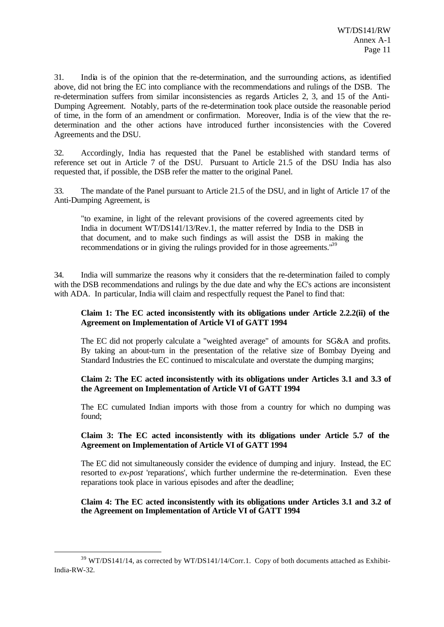31. India is of the opinion that the re-determination, and the surrounding actions, as identified above, did not bring the EC into compliance with the recommendations and rulings of the DSB. The re-determination suffers from similar inconsistencies as regards Articles 2, 3, and 15 of the Anti-Dumping Agreement. Notably, parts of the re-determination took place outside the reasonable period of time, in the form of an amendment or confirmation. Moreover, India is of the view that the redetermination and the other actions have introduced further inconsistencies with the Covered Agreements and the DSU.

32. Accordingly, India has requested that the Panel be established with standard terms of reference set out in Article 7 of the DSU. Pursuant to Article 21.5 of the DSU India has also requested that, if possible, the DSB refer the matter to the original Panel.

33. The mandate of the Panel pursuant to Article 21.5 of the DSU, and in light of Article 17 of the Anti-Dumping Agreement, is

"to examine, in light of the relevant provisions of the covered agreements cited by India in document WT/DS141/13/Rev.1, the matter referred by India to the DSB in that document, and to make such findings as will assist the DSB in making the recommendations or in giving the rulings provided for in those agreements.<sup>139</sup>

34. India will summarize the reasons why it considers that the re-determination failed to comply with the DSB recommendations and rulings by the due date and why the EC's actions are inconsistent with ADA. In particular, India will claim and respectfully request the Panel to find that:

#### **Claim 1: The EC acted inconsistently with its obligations under Article 2.2.2(ii) of the Agreement on Implementation of Article VI of GATT 1994**

The EC did not properly calculate a "weighted average" of amounts for SG&A and profits. By taking an about-turn in the presentation of the relative size of Bombay Dyeing and Standard Industries the EC continued to miscalculate and overstate the dumping margins;

#### **Claim 2: The EC acted inconsistently with its obligations under Articles 3.1 and 3.3 of the Agreement on Implementation of Article VI of GATT 1994**

The EC cumulated Indian imports with those from a country for which no dumping was found;

#### **Claim 3: The EC acted inconsistently with its obligations under Article 5.7 of the Agreement on Implementation of Article VI of GATT 1994**

The EC did not simultaneously consider the evidence of dumping and injury. Instead, the EC resorted to *ex-post* 'reparations', which further undermine the re-determination. Even these reparations took place in various episodes and after the deadline;

#### **Claim 4: The EC acted inconsistently with its obligations under Articles 3.1 and 3.2 of the Agreement on Implementation of Article VI of GATT 1994**

<sup>&</sup>lt;sup>39</sup> WT/DS141/14, as corrected by WT/DS141/14/Corr.1. Copy of both documents attached as Exhibit-India-RW-32.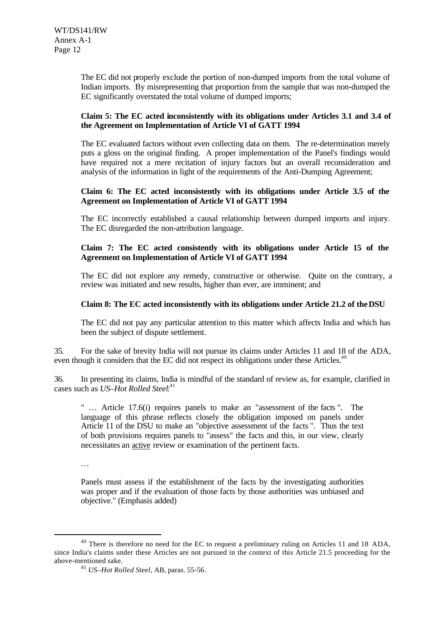The EC did not properly exclude the portion of non-dumped imports from the total volume of Indian imports. By misrepresenting that proportion from the sample that was non-dumped the EC significantly overstated the total volume of dumped imports;

#### **Claim 5: The EC acted inconsistently with its obligations under Articles 3.1 and 3.4 of the Agreement on Implementation of Article VI of GATT 1994**

The EC evaluated factors without even collecting data on them. The re-determination merely puts a gloss on the original finding. A proper implementation of the Panel's findings would have required not a mere recitation of injury factors but an overall reconsideration and analysis of the information in light of the requirements of the Anti-Dumping Agreement;

#### **Claim 6: The EC acted inconsistently with its obligations under Article 3.5 of the Agreement on Implementation of Article VI of GATT 1994**

The EC incorrectly established a causal relationship between dumped imports and injury. The EC disregarded the non-attribution language.

#### **Claim 7: The EC acted consistently with its obligations under Article 15 of the Agreement on Implementation of Article VI of GATT 1994**

The EC did not explore any remedy, constructive or otherwise. Quite on the contrary, a review was initiated and new results, higher than ever, are imminent; and

## **Claim 8: The EC acted inconsistently with its obligations under Article 21.2 of the DSU**

The EC did not pay any particular attention to this matter which affects India and which has been the subject of dispute settlement.

35. For the sake of brevity India will not pursue its claims under Articles 11 and 18 of the ADA, even though it considers that the EC did not respect its obligations under these Articles.<sup>4</sup>

36. In presenting its claims, India is mindful of the standard of review as, for example, clarified in cases such as *US–Hot Rolled Steel*: 41

" … Article 17.6(i) requires panels to make an "assessment of the facts ". The language of this phrase reflects closely the obligation imposed on panels under Article 11 of the DSU to make an "objective assessment of the facts ". Thus the text of both provisions requires panels to "assess" the facts and this, in our view, clearly necessitates an active review or examination of the pertinent facts.

…

l

Panels must assess if the establishment of the facts by the investigating authorities was proper and if the evaluation of those facts by those authorities was unbiased and objective." (Emphasis added)

 $40$  There is therefore no need for the EC to request a preliminary ruling on Articles 11 and 18 ADA, since India's claims under these Articles are not pursued in the context of this Article 21.5 proceeding for the above-mentioned sake.

<sup>41</sup> *US–Hot Rolled Steel,* AB, paras. 55-56.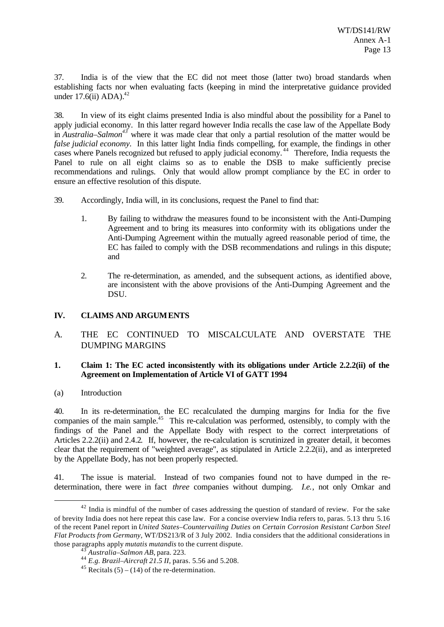37. India is of the view that the EC did not meet those (latter two) broad standards when establishing facts nor when evaluating facts (keeping in mind the interpretative guidance provided under  $17.6$ (ii) ADA).<sup>42</sup>

38. In view of its eight claims presented India is also mindful about the possibility for a Panel to apply judicial economy. In this latter regard however India recalls the case law of the Appellate Body in *Australia–Salmon<sup>43</sup>* where it was made clear that only a partial resolution of the matter would be *false judicial economy.* In this latter light India finds compelling, for example, the findings in other cases where Panels recognized but refused to apply judicial economy.<sup>44</sup> Therefore, India requests the Panel to rule on all eight claims so as to enable the DSB to make sufficiently precise recommendations and rulings. Only that would allow prompt compliance by the EC in order to ensure an effective resolution of this dispute.

- 39. Accordingly, India will, in its conclusions, request the Panel to find that:
	- 1. By failing to withdraw the measures found to be inconsistent with the Anti-Dumping Agreement and to bring its measures into conformity with its obligations under the Anti-Dumping Agreement within the mutually agreed reasonable period of time, the EC has failed to comply with the DSB recommendations and rulings in this dispute; and
	- 2. The re-determination, as amended, and the subsequent actions, as identified above, are inconsistent with the above provisions of the Anti-Dumping Agreement and the DSU.

## **IV. CLAIMS AND ARGUMENTS**

A. THE EC CONTINUED TO MISCALCULATE AND OVERSTATE THE DUMPING MARGINS

#### **1. Claim 1: The EC acted inconsistently with its obligations under Article 2.2.2(ii) of the Agreement on Implementation of Article VI of GATT 1994**

(a) Introduction

l

40. In its re-determination, the EC recalculated the dumping margins for India for the five companies of the main sample.<sup>45</sup> This re-calculation was performed, ostensibly, to comply with the findings of the Panel and the Appellate Body with respect to the correct interpretations of Articles 2.2.2(ii) and 2.4.2. If, however, the re-calculation is scrutinized in greater detail, it becomes clear that the requirement of "weighted average", as stipulated in Article 2.2.2(ii), and as interpreted by the Appellate Body, has not been properly respected.

41. The issue is material. Instead of two companies found not to have dumped in the redetermination, there were in fact *three* companies without dumping. *I.e.*, not only Omkar and

 $42$  India is mindful of the number of cases addressing the question of standard of review. For the sake of brevity India does not here repeat this case law. For a concise overview India refers to, paras. 5.13 thru 5.16 of the recent Panel report in *United States–Countervailing Duties on Certain Corrosion Resistant Carbon Steel Flat Products from Germany*, WT/DS213/R of 3 July 2002. India considers that the additional considerations in those paragraphs apply *mutatis mutandis* to the current dispute.

<sup>43</sup> *Australia–Salmon AB*, para. 223.

<sup>44</sup> *E.g. Brazil–Aircraft 21.5 II,* paras. 5.56 and 5.208.

<sup>&</sup>lt;sup>45</sup> Recitals (5) – (14) of the re-determination.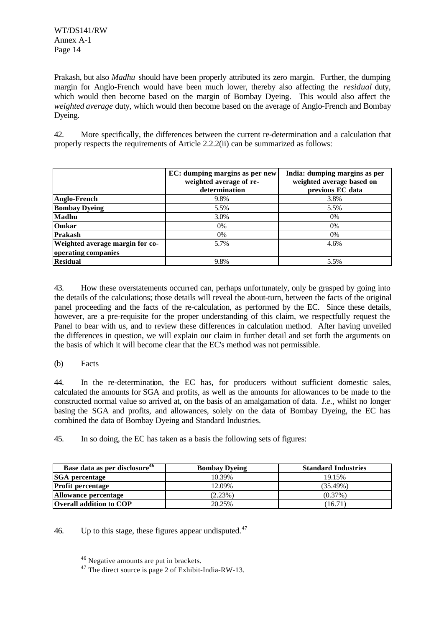WT/DS141/RW Annex A-1 Page 14

Prakash, but also *Madhu* should have been properly attributed its zero margin. Further, the dumping margin for Anglo-French would have been much lower, thereby also affecting the *residual* duty, which would then become based on the margin of Bombay Dyeing. This would also affect the *weighted average* duty, which would then become based on the average of Anglo-French and Bombay Dyeing.

42. More specifically, the differences between the current re-determination and a calculation that properly respects the requirements of Article 2.2.2(ii) can be summarized as follows:

|                                 | EC: dumping margins as per new<br>weighted average of re-<br>determination | India: dumping margins as per<br>weighted average based on<br>previous EC data |
|---------------------------------|----------------------------------------------------------------------------|--------------------------------------------------------------------------------|
| Anglo-French                    | 9.8%                                                                       | 3.8%                                                                           |
| <b>Bombay Dyeing</b>            | 5.5%                                                                       | 5.5%                                                                           |
| Madhu                           | 3.0%                                                                       | $0\%$                                                                          |
| <b>Omkar</b>                    | 0%                                                                         | 0%                                                                             |
| Prakash                         | $0\%$                                                                      | 0%                                                                             |
| Weighted average margin for co- | 5.7%                                                                       | 4.6%                                                                           |
| operating companies             |                                                                            |                                                                                |
| <b>Residual</b>                 | 9.8%                                                                       | 5.5%                                                                           |

43. How these overstatements occurred can, perhaps unfortunately, only be grasped by going into the details of the calculations; those details will reveal the about-turn, between the facts of the original panel proceeding and the facts of the re-calculation, as performed by the EC. Since these details, however, are a pre-requisite for the proper understanding of this claim, we respectfully request the Panel to bear with us, and to review these differences in calculation method. After having unveiled the differences in question, we will explain our claim in further detail and set forth the arguments on the basis of which it will become clear that the EC's method was not permissible.

## (b) Facts

l

44. In the re-determination, the EC has, for producers without sufficient domestic sales, calculated the amounts for SGA and profits, as well as the amounts for allowances to be made to the constructed normal value so arrived at, on the basis of an amalgamation of data. *I.e.*, whilst no longer basing the SGA and profits, and allowances, solely on the data of Bombay Dyeing, the EC has combined the data of Bombay Dyeing and Standard Industries.

45. In so doing, the EC has taken as a basis the following sets of figures:

| Base data as per disclosure <sup>46</sup> | <b>Bombay Dyeing</b> | <b>Standard Industries</b> |
|-------------------------------------------|----------------------|----------------------------|
| <b>SGA</b> percentage                     | 10.39%               | 19.15%                     |
| <b>Profit percentage</b>                  | 12.09%               | $(35.49\%)$                |
| Allowance percentage                      | $(2.23\%)$           | $(0.37\%)$                 |
| <b>Overall addition to COP</b>            | 20.25%               | (16.71)                    |

46. Up to this stage, these figures appear undisputed. $47$ 

<sup>46</sup> Negative amounts are put in brackets.

 $47$  The direct source is page 2 of Exhibit-India-RW-13.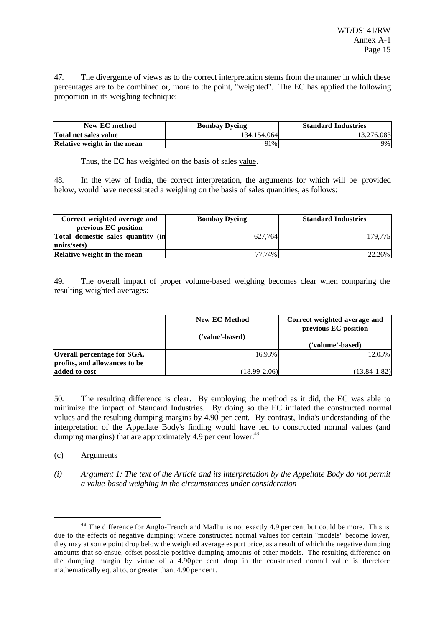47. The divergence of views as to the correct interpretation stems from the manner in which these percentages are to be combined or, more to the point, "weighted". The EC has applied the following proportion in its weighing technique:

| New EC method               | <b>Bombay Dyeing</b> | <b>Standard Industries</b> |
|-----------------------------|----------------------|----------------------------|
| Total net sales value       | 134.154.064          | 13.276.083                 |
| Relative weight in the mean | 91%                  | 9%                         |

Thus, the EC has weighted on the basis of sales value.

48. In the view of India, the correct interpretation, the arguments for which will be provided below, would have necessitated a weighing on the basis of sales quantities, as follows:

| Correct weighted average and<br>previous EC position | <b>Bombay Dyeing</b> | <b>Standard Industries</b> |
|------------------------------------------------------|----------------------|----------------------------|
| Total domestic sales quantity (in<br>units/sets)     | 627.764              | 179.775                    |
| Relative weight in the mean                          | 77.74%               | 22.26%                     |

49. The overall impact of proper volume-based weighing becomes clear when comparing the resulting weighted averages:

|                               | <b>New EC Method</b> | Correct weighted average and<br>previous EC position |
|-------------------------------|----------------------|------------------------------------------------------|
|                               | ('value'-based)      |                                                      |
|                               |                      | ('volume'-based)                                     |
| Overall percentage for SGA,   | 16.93%               | 12.03%                                               |
| profits, and allowances to be |                      |                                                      |
| added to cost                 | $(18.99 - 2.06)$     | $(13.84 - 1.82)$                                     |

50. The resulting difference is clear. By employing the method as it did, the EC was able to minimize the impact of Standard Industries. By doing so the EC inflated the constructed normal values and the resulting dumping margins by 4.90 per cent. By contrast, India's understanding of the interpretation of the Appellate Body's finding would have led to constructed normal values (and dumping margins) that are approximately 4.9 per cent lower.<sup>48</sup>

(c) Arguments

l

*(i) Argument 1: The text of the Article and its interpretation by the Appellate Body do not permit a value-based weighing in the circumstances under consideration*

<sup>&</sup>lt;sup>48</sup> The difference for Anglo-French and Madhu is not exactly 4.9 per cent but could be more. This is due to the effects of negative dumping: where constructed normal values for certain "models" become lower, they may at some point drop below the weighted average export price, as a result of which the negative dumping amounts that so ensue, offset possible positive dumping amounts of other models. The resulting difference on the dumping margin by virtue of a 4.90 per cent drop in the constructed normal value is therefore mathematically equal to, or greater than, 4.90 per cent.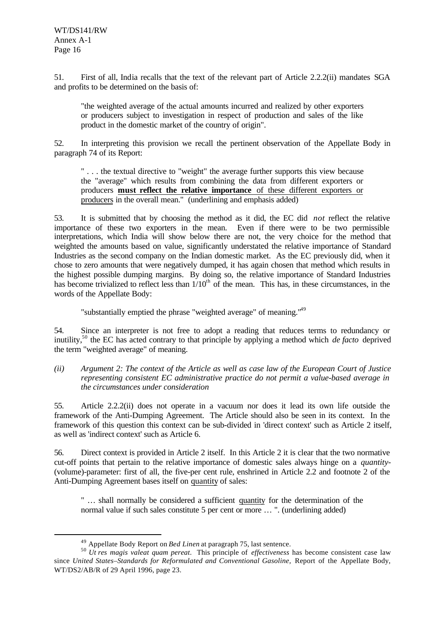l

51. First of all, India recalls that the text of the relevant part of Article 2.2.2(ii) mandates SGA and profits to be determined on the basis of:

"the weighted average of the actual amounts incurred and realized by other exporters or producers subject to investigation in respect of production and sales of the like product in the domestic market of the country of origin".

52. In interpreting this provision we recall the pertinent observation of the Appellate Body in paragraph 74 of its Report:

" . . . the textual directive to "weight" the average further supports this view because the "average" which results from combining the data from different exporters or producers **must reflect the relative importance** of these different exporters or producers in the overall mean." (underlining and emphasis added)

53. It is submitted that by choosing the method as it did, the EC did *not* reflect the relative importance of these two exporters in the mean. Even if there were to be two permissible interpretations, which India will show below there are not, the very choice for the method that weighted the amounts based on value, significantly understated the relative importance of Standard Industries as the second company on the Indian domestic market. As the EC previously did, when it chose to zero amounts that were negatively dumped, it has again chosen that method which results in the highest possible dumping margins. By doing so, the relative importance of Standard Industries has become trivialized to reflect less than  $1/10<sup>th</sup>$  of the mean. This has, in these circumstances, in the words of the Appellate Body:

"substantially emptied the phrase "weighted average" of meaning."<sup>49</sup>

54. Since an interpreter is not free to adopt a reading that reduces terms to redundancy or inutility,<sup>50</sup> the EC has acted contrary to that principle by applying a method which *de facto* deprived the term "weighted average" of meaning.

*(ii) Argument 2: The context of the Article as well as case law of the European Court of Justice representing consistent EC administrative practice do not permit a value-based average in the circumstances under consideration*

55. Article 2.2.2(ii) does not operate in a vacuum nor does it lead its own life outside the framework of the Anti-Dumping Agreement. The Article should also be seen in its context. In the framework of this question this context can be sub-divided in 'direct context' such as Article 2 itself, as well as 'indirect context' such as Article 6.

56. Direct context is provided in Article 2 itself. In this Article 2 it is clear that the two normative cut-off points that pertain to the relative importance of domestic sales always hinge on a *quantity-* (volume)-parameter: first of all, the five-per cent rule, enshrined in Article 2.2 and footnote 2 of the Anti-Dumping Agreement bases itself on quantity of sales:

" … shall normally be considered a sufficient quantity for the determination of the normal value if such sales constitute 5 per cent or more ... ". (underlining added)

<sup>49</sup> Appellate Body Report on *Bed Linen* at paragraph 75, last sentence.

<sup>50</sup> *Ut res magis valeat quam pereat*. This principle of *effectiveness* has become consistent case law since *United States–Standards for Reformulated and Conventional Gasoline,* Report of the Appellate Body*,* WT/DS2/AB/R of 29 April 1996, page 23.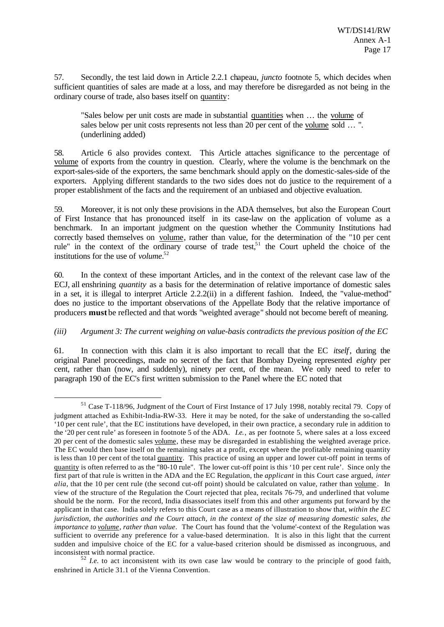57. Secondly, the test laid down in Article 2.2.1 chapeau, *juncto* footnote 5, which decides when sufficient quantities of sales are made at a loss, and may therefore be disregarded as not being in the ordinary course of trade, also bases itself on quantity:

"Sales below per unit costs are made in substantial quantities when … the volume of sales below per unit costs represents not less than 20 per cent of the volume sold … ". (underlining added)

58. Article 6 also provides context. This Article attaches significance to the percentage of volume of exports from the country in question. Clearly, where the volume is the benchmark on the export-sales-side of the exporters, the same benchmark should apply on the domestic-sales-side of the exporters. Applying different standards to the two sides does not do justice to the requirement of a proper establishment of the facts and the requirement of an unbiased and objective evaluation.

59. Moreover, it is not only these provisions in the ADA themselves, but also the European Court of First Instance that has pronounced itself in its case-law on the application of volume as a benchmark. In an important judgment on the question whether the Community Institutions had correctly based themselves on volume, rather than value, for the determination of the "10 per cent rule" in the context of the ordinary course of trade test,<sup>51</sup> the Court upheld the choice of the institutions for the use of *volume*. 52

60. In the context of these important Articles, and in the context of the relevant case law of the ECJ, all enshrining *quantity* as a basis for the determination of relative importance of domestic sales in a set, it is illegal to interpret Article 2.2.2(ii) in a different fashion. Indeed, the "value-method" does no justice to the important observations of the Appellate Body that the relative importance of producers **must** be reflected and that words "weighted average" should not become bereft of meaning.

## *(iii) Argument 3: The current weighing on value-basis contradicts the previous position of the EC*

61. In connection with this claim it is also important to recall that the EC *itself*, during the original Panel proceedings, made no secret of the fact that Bombay Dyeing represented *eighty* per cent, rather than (now, and suddenly), ninety per cent, of the mean. We only need to refer to paragraph 190 of the EC's first written submission to the Panel where the EC noted that

<sup>51</sup> Case T-118/96, Judgment of the Court of First Instance of 17 July 1998, notably recital 79. Copy of judgment attached as Exhibit-India-RW-33. Here it may be noted, for the sake of understanding the so-called '10 per cent rule', that the EC institutions have developed, in their own practice, a secondary rule in addition to the '20 per cent rule' as foreseen in footnote 5 of the ADA. *I.e.*, as per footnote 5, where sales at a loss exceed 20 per cent of the domestic sales volume, these may be disregarded in establishing the weighted average price. The EC would then base itself on the remaining sales at a profit, except where the profitable remaining quantity is less than 10 per cent of the total quantity. This practice of using an upper and lower cut-off point in terms of quantity is often referred to as the "80-10 rule". The lower cut-off point is this '10 per cent rule'. Since only the first part of that rule is written in the ADA and the EC Regulation, the *applicant* in this Court case argued, *inter alia*, that the 10 per cent rule (the second cut-off point) should be calculated on value, rather than volume. In view of the structure of the Regulation the Court rejected that plea, recitals 76-79, and underlined that volume should be the norm. For the record, India disassociates itself from this and other arguments put forward by the applicant in that case. India solely refers to this Court case as a means of illustration to show that, *within the EC jurisdiction, the authorities and the Court attach, in the context of the size of measuring domestic sales, the importance to volume, rather than value*. The Court has found that the 'volume'-context of the Regulation was sufficient to override any preference for a value-based determination. It is also in this light that the current sudden and impulsive choice of the EC for a value-based criterion should be dismissed as incongruous, and inconsistent with normal practice.

<sup>&</sup>lt;sup>52</sup> *I.e.* to act inconsistent with its own case law would be contrary to the principle of good faith, enshrined in Article 31.1 of the Vienna Convention.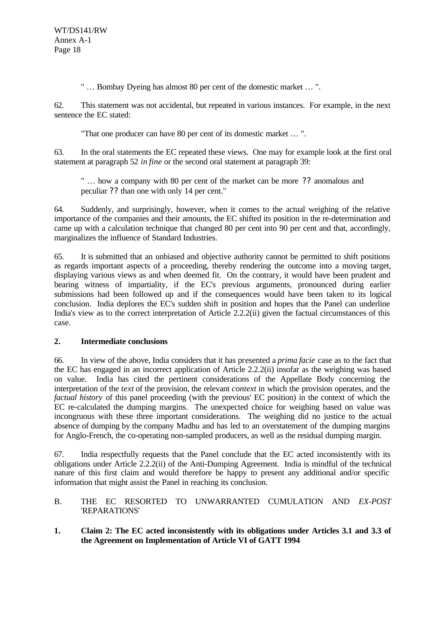" … Bombay Dyeing has almost 80 per cent of the domestic market … ".

62. This statement was not accidental, but repeated in various instances. For example, in the next sentence the EC stated:

"That one producer can have 80 per cent of its domestic market … ".

63. In the oral statements the EC repeated these views. One may for example look at the first oral statement at paragraph 52 *in fine* or the second oral statement at paragraph 39:

" … how a company with 80 per cent of the market can be more ?? anomalous and peculiar ?? than one with only 14 per cent."

64. Suddenly, and surprisingly, however, when it comes to the actual weighing of the relative importance of the companies and their amounts, the EC shifted its position in the re-determination and came up with a calculation technique that changed 80 per cent into 90 per cent and that, accordingly, marginalizes the influence of Standard Industries.

65. It is submitted that an unbiased and objective authority cannot be permitted to shift positions as regards important aspects of a proceeding, thereby rendering the outcome into a moving target, displaying various views as and when deemed fit. On the contrary, it would have been prudent and bearing witness of impartiality, if the EC's previous arguments, pronounced during earlier submissions had been followed up and if the consequences would have been taken to its logical conclusion. India deplores the EC's sudden shift in position and hopes that the Panel can underline India's view as to the correct interpretation of Article 2.2.2(ii) given the factual circumstances of this case.

## **2. Intermediate conclusions**

66. In view of the above, India considers that it has presented a *prima facie* case as to the fact that the EC has engaged in an incorrect application of Article 2.2.2(ii) insofar as the weighing was based on value. India has cited the pertinent considerations of the Appellate Body concerning the interpretation of the *text* of the provision, the relevant *context* in which the provision operates, and the *factual history* of this panel proceeding (with the previous' EC position) in the context of which the EC re-calculated the dumping margins. The unexpected choice for weighing based on value was incongruous with these three important considerations. The weighing did no justice to the actual absence of dumping by the company Madhu and has led to an overstatement of the dumping margins for Anglo-French, the co-operating non-sampled producers, as well as the residual dumping margin.

67. India respectfully requests that the Panel conclude that the EC acted inconsistently with its obligations under Article 2.2.2(ii) of the Anti-Dumping Agreement. India is mindful of the technical nature of this first claim and would therefore be happy to present any additional and/or specific information that might assist the Panel in reaching its conclusion.

B. THE EC RESORTED TO UNWARRANTED CUMULATION AND *EX-POST* 'REPARATIONS'

## **1. Claim 2: The EC acted inconsistently with its obligations under Articles 3.1 and 3.3 of the Agreement on Implementation of Article VI of GATT 1994**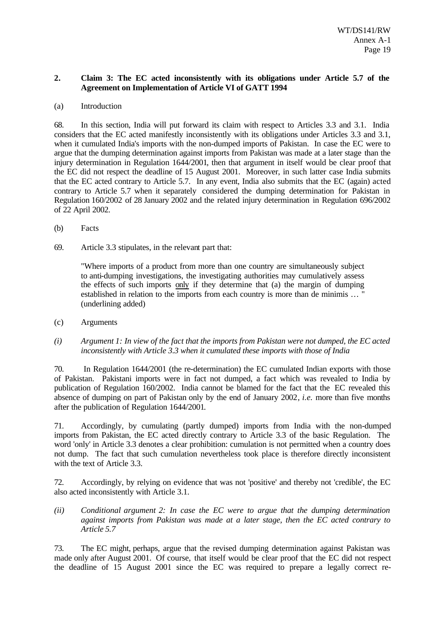## **2. Claim 3: The EC acted inconsistently with its obligations under Article 5.7 of the Agreement on Implementation of Article VI of GATT 1994**

#### (a) Introduction

68. In this section, India will put forward its claim with respect to Articles 3.3 and 3.1. India considers that the EC acted manifestly inconsistently with its obligations under Articles 3.3 and 3.1, when it cumulated India's imports with the non-dumped imports of Pakistan. In case the EC were to argue that the dumping determination against imports from Pakistan was made at a later stage than the injury determination in Regulation 1644/2001, then that argument in itself would be clear proof that the EC did not respect the deadline of 15 August 2001. Moreover, in such latter case India submits that the EC acted contrary to Article 5.7. In any event, India also submits that the EC (again) acted contrary to Article 5.7 when it separately considered the dumping determination for Pakistan in Regulation 160/2002 of 28 January 2002 and the related injury determination in Regulation 696/2002 of 22 April 2002.

- (b) Facts
- 69. Article 3.3 stipulates, in the relevant part that:

"Where imports of a product from more than one country are simultaneously subject to anti-dumping investigations, the investigating authorities may cumulatively assess the effects of such imports only if they determine that (a) the margin of dumping established in relation to the imports from each country is more than de minimis … " (underlining added)

- (c) Arguments
- *(i) Argument 1: In view of the fact that the imports from Pakistan were not dumped, the EC acted inconsistently with Article 3.3 when it cumulated these imports with those of India*

70. In Regulation 1644/2001 (the re-determination) the EC cumulated Indian exports with those of Pakistan. Pakistani imports were in fact not dumped, a fact which was revealed to India by publication of Regulation 160/2002. India cannot be blamed for the fact that the EC revealed this absence of dumping on part of Pakistan only by the end of January 2002, *i.e.* more than five months after the publication of Regulation 1644/2001.

71. Accordingly, by cumulating (partly dumped) imports from India with the non-dumped imports from Pakistan, the EC acted directly contrary to Article 3.3 of the basic Regulation. The word 'only' in Article 3.3 denotes a clear prohibition: cumulation is not permitted when a country does not dump. The fact that such cumulation nevertheless took place is therefore directly inconsistent with the text of Article 3.3.

72. Accordingly, by relying on evidence that was not 'positive' and thereby not 'credible', the EC also acted inconsistently with Article 3.1.

*(ii) Conditional argument 2: In case the EC were to argue that the dumping determination against imports from Pakistan was made at a later stage, then the EC acted contrary to Article 5.7*

73. The EC might, perhaps, argue that the revised dumping determination against Pakistan was made only after August 2001. Of course, that itself would be clear proof that the EC did not respect the deadline of 15 August 2001 since the EC was required to prepare a legally correct re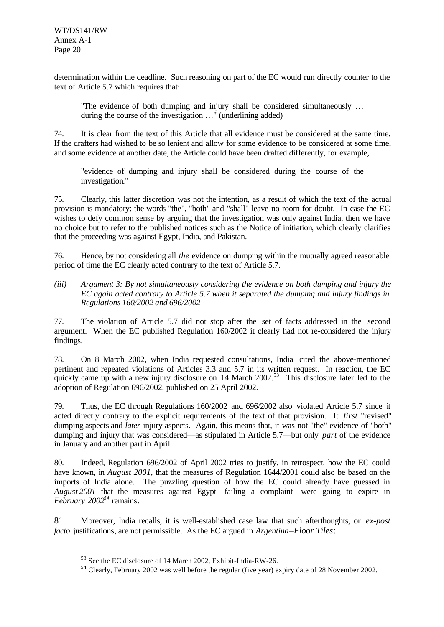determination within the deadline. Such reasoning on part of the EC would run directly counter to the text of Article 5.7 which requires that:

"The evidence of both dumping and injury shall be considered simultaneously … during the course of the investigation …" (underlining added)

74. It is clear from the text of this Article that all evidence must be considered at the same time. If the drafters had wished to be so lenient and allow for some evidence to be considered at some time, and some evidence at another date, the Article could have been drafted differently, for example,

"evidence of dumping and injury shall be considered during the course of the investigation."

75. Clearly, this latter discretion was not the intention, as a result of which the text of the actual provision is mandatory: the words "the", "both" and "shall" leave no room for doubt. In case the EC wishes to defy common sense by arguing that the investigation was only against India, then we have no choice but to refer to the published notices such as the Notice of initiation, which clearly clarifies that the proceeding was against Egypt, India, and Pakistan.

76. Hence, by not considering all *the* evidence on dumping within the mutually agreed reasonable period of time the EC clearly acted contrary to the text of Article 5.7.

*(iii) Argument 3: By not simultaneously considering the evidence on both dumping and injury the EC again acted contrary to Article 5.7 when it separated the dumping and injury findings in Regulations 160/2002 and 696/2002*

77. The violation of Article 5.7 did not stop after the set of facts addressed in the second argument. When the EC published Regulation 160/2002 it clearly had not re-considered the injury findings.

78. On 8 March 2002, when India requested consultations, India cited the above-mentioned pertinent and repeated violations of Articles 3.3 and 5.7 in its written request. In reaction, the EC quickly came up with a new injury disclosure on 14 March 2002.<sup>53</sup> This disclosure later led to the adoption of Regulation 696/2002, published on 25 April 2002.

79. Thus, the EC through Regulations 160/2002 and 696/2002 also violated Article 5.7 since it acted directly contrary to the explicit requirements of the text of that provision. It *first* "revised" dumping aspects and *later* injury aspects. Again, this means that, it was not "the" evidence of "both" dumping and injury that was considered—as stipulated in Article 5.7—but only *part* of the evidence in January and another part in April.

80. Indeed, Regulation 696/2002 of April 2002 tries to justify, in retrospect, how the EC could have known, in *August 2001*, that the measures of Regulation 1644/2001 could also be based on the imports of India alone. The puzzling question of how the EC could already have guessed in *August 2001* that the measures against Egypt—failing a complaint—were going to expire in *February 2002<sup>54</sup>* remains.

81. Moreover, India recalls, it is well-established case law that such afterthoughts, or *ex-post facto* justifications, are not permissible. As the EC argued in *Argentina*–*Floor Tiles*:

<sup>53</sup> See the EC disclosure of 14 March 2002, Exhibit-India-RW-26.

<sup>54</sup> Clearly, February 2002 was well before the regular (five year) expiry date of 28 November 2002.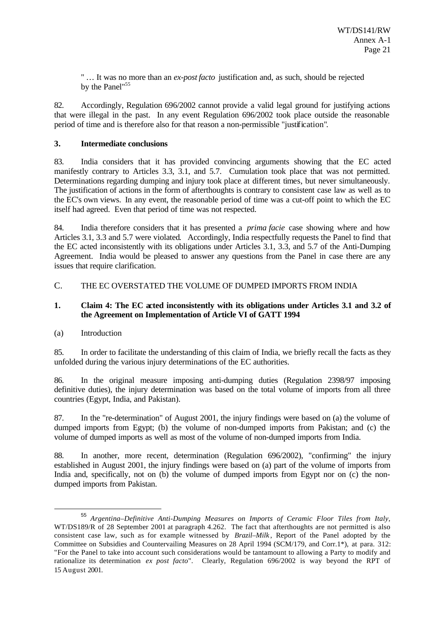" … It was no more than an *ex-post facto* justification and, as such, should be rejected by the Panel"<sup>55</sup>

82. Accordingly, Regulation 696/2002 cannot provide a valid legal ground for justifying actions that were illegal in the past. In any event Regulation 696/2002 took place outside the reasonable period of time and is therefore also for that reason a non-permissible "justification".

#### **3. Intermediate conclusions**

83. India considers that it has provided convincing arguments showing that the EC acted manifestly contrary to Articles 3.3, 3.1, and 5.7. Cumulation took place that was not permitted. Determinations regarding dumping and injury took place at different times, but never simultaneously. The justification of actions in the form of afterthoughts is contrary to consistent case law as well as to the EC's own views. In any event, the reasonable period of time was a cut-off point to which the EC itself had agreed. Even that period of time was not respected.

84. India therefore considers that it has presented a *prima facie* case showing where and how Articles 3.1, 3.3 and 5.7 were violated. Accordingly, India respectfully requests the Panel to find that the EC acted inconsistently with its obligations under Articles 3.1, 3.3, and 5.7 of the Anti-Dumping Agreement. India would be pleased to answer any questions from the Panel in case there are any issues that require clarification.

#### C. THE EC OVERSTATED THE VOLUME OF DUMPED IMPORTS FROM INDIA

#### **1. Claim 4: The EC acted inconsistently with its obligations under Articles 3.1 and 3.2 of the Agreement on Implementation of Article VI of GATT 1994**

#### (a) Introduction

l

85. In order to facilitate the understanding of this claim of India, we briefly recall the facts as they unfolded during the various injury determinations of the EC authorities.

86. In the original measure imposing anti-dumping duties (Regulation 2398/97 imposing definitive duties), the injury determination was based on the total volume of imports from all three countries (Egypt, India, and Pakistan).

87. In the "re-determination" of August 2001, the injury findings were based on (a) the volume of dumped imports from Egypt; (b) the volume of non-dumped imports from Pakistan; and (c) the volume of dumped imports as well as most of the volume of non-dumped imports from India.

88. In another, more recent, determination (Regulation 696/2002), "confirming" the injury established in August 2001, the injury findings were based on (a) part of the volume of imports from India and, specifically, not on (b) the volume of dumped imports from Egypt nor on (c) the nondumped imports from Pakistan.

<sup>55</sup> *Argentina–Definitive Anti-Dumping Measures on Imports of Ceramic Floor Tiles from Italy,* WT/DS189/R of 28 September 2001 at paragraph 4.262. The fact that afterthoughts are not permitted is also consistent case law, such as for example witnessed by *Brazil–Milk* , Report of the Panel adopted by the Committee on Subsidies and Countervailing Measures on 28 April 1994 (SCM/179, and Corr.1\*), at para. 312: "For the Panel to take into account such considerations would be tantamount to allowing a Party to modify and rationalize its determination *ex post facto*". Clearly, Regulation 696/2002 is way beyond the RPT of 15 August 2001.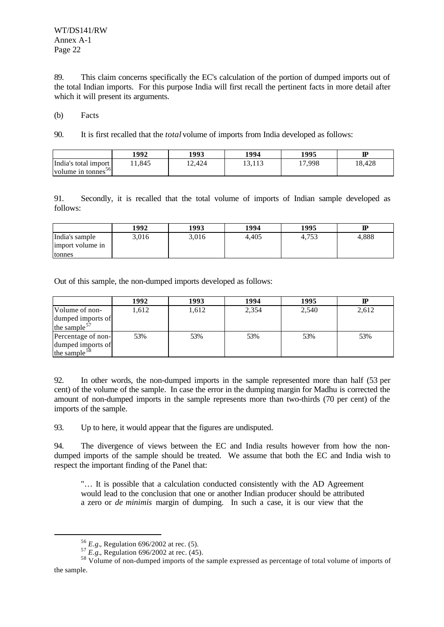WT/DS141/RW Annex A-1 Page 22

89. This claim concerns specifically the EC's calculation of the portion of dumped imports out of the total Indian imports. For this purpose India will first recall the pertinent facts in more detail after which it will present its arguments.

(b) Facts

90. It is first recalled that the *total* volume of imports from India developed as follows:

|                                                        | 1992  | 1993  | 1994            | 1995   | ${\bf I\!P}$ |
|--------------------------------------------------------|-------|-------|-----------------|--------|--------------|
| India's total import<br>volume in tonnes <sup>56</sup> | 1.845 | 2,424 | 12112<br>19,119 | 17,998 | 18,428       |

91. Secondly, it is recalled that the total volume of imports of Indian sample developed as follows:

|                                    | 1992  | 1993  | 1994  | 1995  | ${\bf I\!P}$ |
|------------------------------------|-------|-------|-------|-------|--------------|
| India's sample<br>import volume in | 3,016 | 3,016 | 4,405 | 4,753 | 4,888        |
| tonnes                             |       |       |       |       |              |

Out of this sample, the non-dumped imports developed as follows:

|                          | 1992  | 1993  | 1994  | 1995  |       |
|--------------------------|-------|-------|-------|-------|-------|
| Volume of non-           | 1,612 | 1,612 | 2,354 | 2,540 | 2,612 |
| dumped imports of        |       |       |       |       |       |
| the sample $57$          |       |       |       |       |       |
| Percentage of non-       | 53%   | 53%   | 53%   | 53%   | 53%   |
| dumped imports of        |       |       |       |       |       |
| the sample <sup>58</sup> |       |       |       |       |       |

92. In other words, the non-dumped imports in the sample represented more than half (53 per cent) of the volume of the sample. In case the error in the dumping margin for Madhu is corrected the amount of non-dumped imports in the sample represents more than two-thirds (70 per cent) of the imports of the sample.

93. Up to here, it would appear that the figures are undisputed.

94. The divergence of views between the EC and India results however from how the nondumped imports of the sample should be treated. We assume that both the EC and India wish to respect the important finding of the Panel that:

"… It is possible that a calculation conducted consistently with the AD Agreement would lead to the conclusion that one or another Indian producer should be attributed a zero or *de minimis* margin of dumping. In such a case, it is our view that the

<sup>56</sup> *E.g.*, Regulation 696/2002 at rec. (5).

<sup>57</sup> *E.g.*, Regulation 696/2002 at rec. (45).

<sup>&</sup>lt;sup>58</sup> Volume of non-dumped imports of the sample expressed as percentage of total volume of imports of the sample.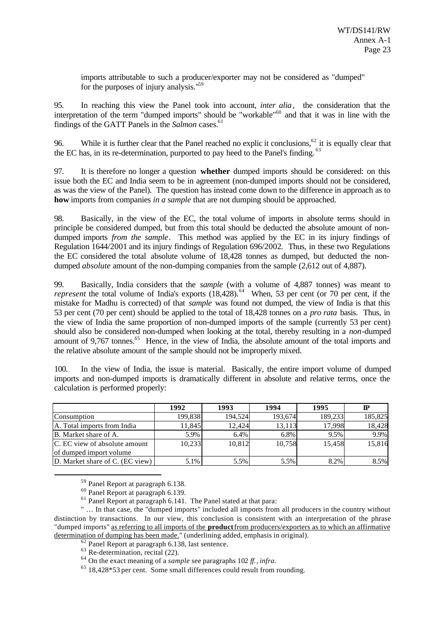imports attributable to such a producer/exporter may not be considered as "dumped" for the purposes of injury analysis."<sup>59</sup>

95. In reaching this view the Panel took into account, *inter alia*, the consideration that the interpretation of the term "dumped imports" should be "workable"<sup>60</sup> and that it was in line with the findings of the GATT Panels in the *Salmon* cases.<sup>61</sup>

96. While it is further clear that the Panel reached no explic it conclusions,<sup>62</sup> it is equally clear that the EC has, in its re-determination, purported to pay heed to the Panel's finding.<sup>63</sup>

97. It is therefore no longer a question **whether** dumped imports should be considered: on this issue both the EC and India seem to be in agreement (non-dumped imports should not be considered, as was the view of the Panel). The question has instead come down to the difference in approach as to **how** imports from companies *in a sample* that are not dumping should be approached.

98. Basically, in the view of the EC, the total volume of imports in absolute terms should in principle be considered dumped, but from this total should be deducted the absolute amount of nondumped imports *from the sample*. This method was applied by the EC in its injury findings of Regulation 1644/2001 and its injury findings of Regulation 696/2002. Thus, in these two Regulations the EC considered the total absolute volume of 18,428 tonnes as dumped, but deducted the nondumped *absolute* amount of the non-dumping companies from the sample (2,612 out of 4,887).

99. Basically, India considers that the *sample* (with a volume of 4,887 tonnes) was meant to *represent* the total volume of India's exports  $(18,428)$ .<sup>64</sup> When, 53 per cent (or 70 per cent, if the mistake for Madhu is corrected) of that *sample* was found not dumped, the view of India is that this 53 per cent (70 per cent) should be applied to the total of 18,428 tonnes on a *pro rata* basis. Thus, in the view of India the same proportion of non-dumped imports of the sample (currently 53 per cent) should also be considered non-dumped when looking at the total, thereby resulting in a *non*-dumped amount of 9,767 tonnes.<sup>65</sup> Hence, in the view of India, the absolute amount of the total imports and the relative absolute amount of the sample should not be improperly mixed.

100. In the view of India, the issue is material. Basically, the entire import volume of dumped imports and non-dumped imports is dramatically different in absolute and relative terms, once the calculation is performed properly:

|                                 | 1992    | 1993    | 1994    | 1995    | ℙ       |
|---------------------------------|---------|---------|---------|---------|---------|
| Consumption                     | 199.838 | 194.524 | 193,674 | 189.233 | 185,825 |
| A. Total imports from India     | 1,845   | 12.424  | 13,113  | 17,998  | 18,428  |
| B. Market share of A.           | 5.9%    | 6.4%    | 6.8%    | 9.5%    | 9.9%    |
| C. EC view of absolute amount   | 10,233  | 10.812  | 10,758  | 15,458  | 15,816  |
| of dumped import volume         |         |         |         |         |         |
| D. Market share of C. (EC view) | 5.1%    | 5.5%    | 5.5%    | 8.2%    | 8.5%    |

<sup>59</sup> Panel Report at paragraph 6.138.

l

" … In that case, the "dumped imports" included all imports from all producers in the country without distinction by transactions. In our view, this conclusion is consistent with an interpretation of the phrase "dumped imports" as referring to all imports of the **product** from producers/exporters as to which an affirmative determination of dumping has been made." (underlining added, emphasis in original).

 $\overline{62}$  Panel Report at paragraph 6.138, last sentence.

 $63$  Re-determination, recital (22).

<sup>60</sup> Panel Report at paragraph 6.139.

 $^{61}$  Panel Report at paragraph 6.141. The Panel stated at that para:

<sup>64</sup> On the exact meaning of a *sample* see paragraphs 102 *ff.*, *infra.*

<sup>65</sup> 18,428\*53 per cent. Some small differences could result from rounding.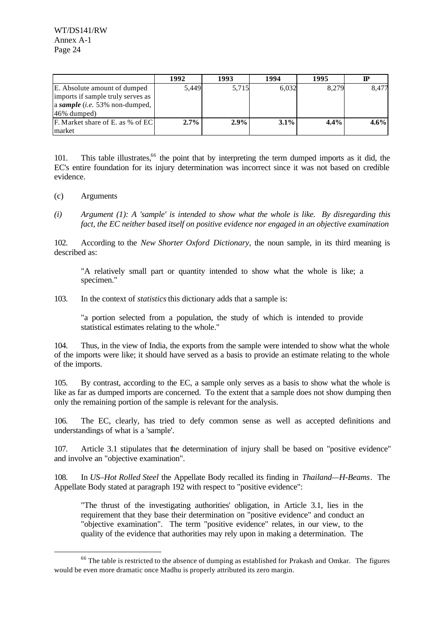|                                   | 1992  | 1993  | 1994    | 1995  | ℙ       |
|-----------------------------------|-------|-------|---------|-------|---------|
| E. Absolute amount of dumped      | 5,449 | 5,715 | 6,032   | 8,279 | 8,477   |
| imports if sample truly serves as |       |       |         |       |         |
| a sample (i.e. 53% non-dumped,    |       |       |         |       |         |
| 46% dumped)                       |       |       |         |       |         |
| F. Market share of E. as % of EC  | 2.7%  | 2.9%  | $3.1\%$ | 4.4%  | $4.6\%$ |
| market                            |       |       |         |       |         |

101. This table illustrates,<sup>66</sup> the point that by interpreting the term dumped imports as it did, the EC's entire foundation for its injury determination was incorrect since it was not based on credible evidence.

(c) Arguments

l

*(i) Argument (1): A 'sample' is intended to show what the whole is like. By disregarding this fact, the EC neither based itself on positive evidence nor engaged in an objective examination*

102. According to the *New Shorter Oxford Dictionary*, the noun sample, in its third meaning is described as:

"A relatively small part or quantity intended to show what the whole is like; a specimen."

103. In the context of *statistics* this dictionary adds that a sample is:

"a portion selected from a population, the study of which is intended to provide statistical estimates relating to the whole."

104. Thus, in the view of India, the exports from the sample were intended to show what the whole of the imports were like; it should have served as a basis to provide an estimate relating to the whole of the imports.

105. By contrast, according to the EC, a sample only serves as a basis to show what the whole is like as far as dumped imports are concerned. To the extent that a sample does not show dumping then only the remaining portion of the sample is relevant for the analysis.

106. The EC, clearly, has tried to defy common sense as well as accepted definitions and understandings of what is a 'sample'.

107. Article 3.1 stipulates that the determination of injury shall be based on "positive evidence" and involve an "objective examination".

108. In *US–Hot Rolled Steel* the Appellate Body recalled its finding in *Thailand—H-Beams*. The Appellate Body stated at paragraph 192 with respect to "positive evidence":

"The thrust of the investigating authorities' obligation, in Article 3.1, lies in the requirement that they base their determination on "positive evidence" and conduct an "objective examination". The term "positive evidence" relates, in our view, to the quality of the evidence that authorities may rely upon in making a determination. The

 $<sup>66</sup>$  The table is restricted to the absence of dumping as established for Prakash and Omkar. The figures</sup> would be even more dramatic once Madhu is properly attributed its zero margin.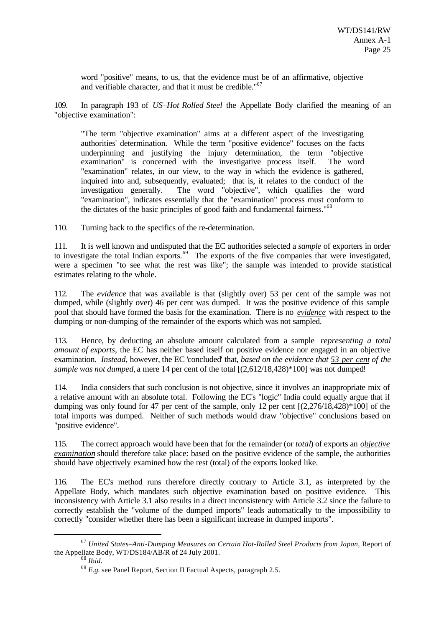word "positive" means, to us, that the evidence must be of an affirmative, objective and verifiable character, and that it must be credible."<sup>67</sup>

109. In paragraph 193 of *US–Hot Rolled Steel* the Appellate Body clarified the meaning of an "objective examination":

"The term "objective examination" aims at a different aspect of the investigating authorities' determination. While the term "positive evidence" focuses on the facts underpinning and justifying the injury determination, the term "objective examination" is concerned with the investigative process itself. The word "examination" relates, in our view, to the way in which the evidence is gathered, inquired into and, subsequently, evaluated; that is, it relates to the conduct of the investigation generally. The word "objective", which qualifies the word "examination", indicates essentially that the "examination" process must conform to the dictates of the basic principles of good faith and fundamental fairness."<sup>68</sup>

110. Turning back to the specifics of the re-determination.

111. It is well known and undisputed that the EC authorities selected a *sample* of exporters in order to investigate the total Indian exports.<sup>69</sup> The exports of the five companies that were investigated, were a specimen "to see what the rest was like"; the sample was intended to provide statistical estimates relating to the whole.

112. The *evidence* that was available is that (slightly over) 53 per cent of the sample was not dumped, while (slightly over) 46 per cent was dumped. It was the positive evidence of this sample pool that should have formed the basis for the examination. There is no *evidence* with respect to the dumping or non-dumping of the remainder of the exports which was not sampled.

113. Hence, by deducting an absolute amount calculated from a sample *representing a total amount of exports*, the EC has neither based itself on positive evidence nor engaged in an objective examination. *Instead*, however, the EC 'concluded' that, *based on the evidence that 53 per cent of the sample was not dumped*, a mere 14 per cent of the total  $[(2,612/18,428)*100]$  was not dumped!

114. India considers that such conclusion is not objective, since it involves an inappropriate mix of a relative amount with an absolute total. Following the EC's "logic" India could equally argue that if dumping was only found for 47 per cent of the sample, only 12 per cent [(2,276/18,428)\*100] of the total imports was dumped. Neither of such methods would draw "objective" conclusions based on "positive evidence".

115. The correct approach would have been that for the remainder (or *total*) of exports an *objective examination* should therefore take place: based on the positive evidence of the sample, the authorities should have objectively examined how the rest (total) of the exports looked like.

116. The EC's method runs therefore directly contrary to Article 3.1, as interpreted by the Appellate Body, which mandates such objective examination based on positive evidence. This inconsistency with Article 3.1 also results in a direct inconsistency with Article 3.2 since the failure to correctly establish the "volume of the dumped imports" leads automatically to the impossibility to correctly "consider whether there has been a significant increase in dumped imports".

<sup>67</sup> *United States–Anti-Dumping Measures on Certain Hot-Rolled Steel Products from Japan*, Report of the Appellate Body, WT/DS184/AB/R of 24 July 2001.

<sup>68</sup> *Ibid.*

<sup>69</sup> *E.g.* see Panel Report, Section II Factual Aspects, paragraph 2.5.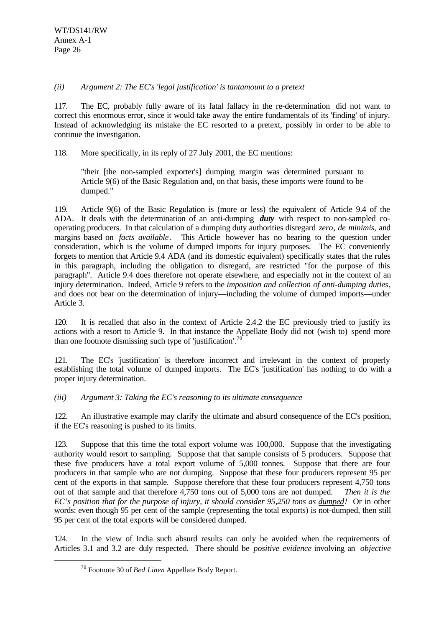#### *(ii) Argument 2: The EC's 'legal justification' is tantamount to a pretext*

117. The EC, probably fully aware of its fatal fallacy in the re-determination did not want to correct this enormous error, since it would take away the entire fundamentals of its 'finding' of injury. Instead of acknowledging its mistake the EC resorted to a pretext, possibly in order to be able to continue the investigation.

118. More specifically, in its reply of 27 July 2001, the EC mentions:

"their [the non-sampled exporter's] dumping margin was determined pursuant to Article 9(6) of the Basic Regulation and, on that basis, these imports were found to be dumped."

119. Article 9(6) of the Basic Regulation is (more or less) the equivalent of Article 9.4 of the ADA. It deals with the determination of an anti-dumping *duty* with respect to non-sampled cooperating producers. In that calculation of a dumping duty authorities disregard *zero*, *de minimis*, and margins based on *facts available*. This Article however has no bearing to the question under consideration, which is the volume of dumped imports for injury purposes. The EC conveniently forgets to mention that Article 9.4 ADA (and its domestic equivalent) specifically states that the rules in this paragraph, including the obligation to disregard, are restricted "for the purpose of this paragraph". Article 9.4 does therefore not operate elsewhere, and especially not in the context of an injury determination. Indeed, Article 9 refers to the *imposition and collection of anti-dumping duties*, and does not bear on the determination of injury—including the volume of dumped imports—under Article 3.

120. It is recalled that also in the context of Article 2.4.2 the EC previously tried to justify its actions with a resort to Article 9. In that instance the Appellate Body did not (wish to) spend more than one footnote dismissing such type of 'justification'.<sup>70</sup>

121. The EC's 'justification' is therefore incorrect and irrelevant in the context of properly establishing the total volume of dumped imports. The EC's 'justification' has nothing to do with a proper injury determination.

*(iii) Argument 3: Taking the EC's reasoning to its ultimate consequence*

122. An illustrative example may clarify the ultimate and absurd consequence of the EC's position, if the EC's reasoning is pushed to its limits.

123. Suppose that this time the total export volume was 100,000. Suppose that the investigating authority would resort to sampling. Suppose that that sample consists of 5 producers. Suppose that these five producers have a total export volume of 5,000 tonnes. Suppose that there are four producers in that sample who are not dumping. Suppose that these four producers represent 95 per cent of the exports in that sample. Suppose therefore that these four producers represent 4,750 tons out of that sample and that therefore 4,750 tons out of 5,000 tons are not dumped. *Then it is the EC's position that for the purpose of injury, it should consider 95,250 tons as dumped!* Or in other words: even though 95 per cent of the sample (representing the total exports) is not-dumped, then still 95 per cent of the total exports will be considered dumped.

124. In the view of India such absurd results can only be avoided when the requirements of Articles 3.1 and 3.2 are duly respected. There should be *positive evidence* involving an *objective*

<sup>70</sup> Footnote 30 of *Bed Linen* Appellate Body Report.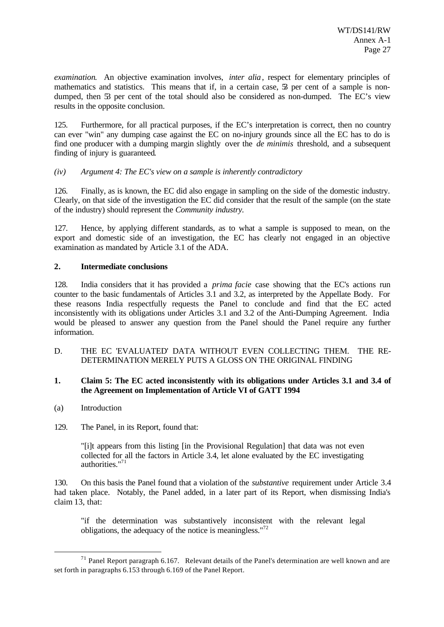*examination*. An objective examination involves, *inter alia*, respect for elementary principles of mathematics and statistics. This means that if, in a certain case,  $\tilde{S}$  per cent of a sample is nondumped, then 53 per cent of the total should also be considered as non-dumped. The EC's view results in the opposite conclusion.

125. Furthermore, for all practical purposes, if the EC's interpretation is correct, then no country can ever "win" any dumping case against the EC on no-injury grounds since all the EC has to do is find one producer with a dumping margin slightly over the *de minimis* threshold, and a subsequent finding of injury is guaranteed.

#### *(iv) Argument 4: The EC's view on a sample is inherently contradictory*

126. Finally, as is known, the EC did also engage in sampling on the side of the domestic industry. Clearly, on that side of the investigation the EC did consider that the result of the sample (on the state of the industry) should represent the *Community industry.*

127. Hence, by applying different standards, as to what a sample is supposed to mean, on the export and domestic side of an investigation, the EC has clearly not engaged in an objective examination as mandated by Article 3.1 of the ADA.

#### **2. Intermediate conclusions**

128. India considers that it has provided a *prima facie* case showing that the EC's actions run counter to the basic fundamentals of Articles 3.1 and 3.2, as interpreted by the Appellate Body. For these reasons India respectfully requests the Panel to conclude and find that the EC acted inconsistently with its obligations under Articles 3.1 and 3.2 of the Anti-Dumping Agreement. India would be pleased to answer any question from the Panel should the Panel require any further information.

D. THE EC 'EVALUATED' DATA WITHOUT EVEN COLLECTING THEM. THE RE-DETERMINATION MERELY PUTS A GLOSS ON THE ORIGINAL FINDING

#### **1. Claim 5: The EC acted inconsistently with its obligations under Articles 3.1 and 3.4 of the Agreement on Implementation of Article VI of GATT 1994**

(a) Introduction

l

129. The Panel, in its Report, found that:

"[i]t appears from this listing [in the Provisional Regulation] that data was not even collected for all the factors in Article 3.4, let alone evaluated by the EC investigating authorities."<sup>71</sup>

130. On this basis the Panel found that a violation of the *substantive* requirement under Article 3.4 had taken place. Notably, the Panel added, in a later part of its Report, when dismissing India's claim 13, that:

"if the determination was substantively inconsistent with the relevant legal obligations, the adequacy of the notice is meaningless."<sup>72</sup>

 $71$  Panel Report paragraph 6.167. Relevant details of the Panel's determination are well known and are set forth in paragraphs 6.153 through 6.169 of the Panel Report.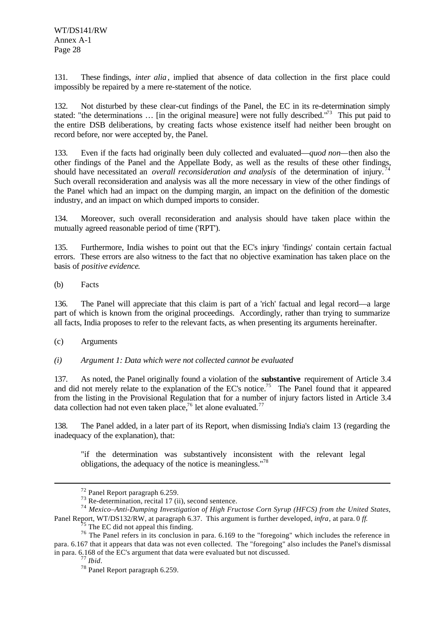131. These findings, *inter alia*, implied that absence of data collection in the first place could impossibly be repaired by a mere re-statement of the notice.

132. Not disturbed by these clear-cut findings of the Panel, the EC in its re-determination simply stated: "the determinations ... [in the original measure] were not fully described."<sup>73</sup> This put paid to the entire DSB deliberations, by creating facts whose existence itself had neither been brought on record before, nor were accepted by, the Panel.

133. Even if the facts had originally been duly collected and evaluated—*quod non—*then also the other findings of the Panel and the Appellate Body, as well as the results of these other findings, should have necessitated an *overall reconsideration and analysis* of the determination of injury.<sup>74</sup> Such overall reconsideration and analysis was all the more necessary in view of the other findings of the Panel which had an impact on the dumping margin, an impact on the definition of the domestic industry, and an impact on which dumped imports to consider.

134. Moreover, such overall reconsideration and analysis should have taken place within the mutually agreed reasonable period of time ('RPT').

135. Furthermore, India wishes to point out that the EC's injury 'findings' contain certain factual errors. These errors are also witness to the fact that no objective examination has taken place on the basis of *positive evidence*.

(b) Facts

136. The Panel will appreciate that this claim is part of a 'rich' factual and legal record—a large part of which is known from the original proceedings. Accordingly, rather than trying to summarize all facts, India proposes to refer to the relevant facts, as when presenting its arguments hereinafter.

(c) Arguments

*(i) Argument 1: Data which were not collected cannot be evaluated*

137. As noted, the Panel originally found a violation of the **substantive** requirement of Article 3.4 and did not merely relate to the explanation of the EC's notice.<sup>75</sup> The Panel found that it appeared from the listing in the Provisional Regulation that for a number of injury factors listed in Article 3.4 data collection had not even taken place,<sup>76</sup> let alone evaluated.<sup>77</sup>

138. The Panel added, in a later part of its Report, when dismissing India's claim 13 (regarding the inadequacy of the explanation), that:

"if the determination was substantively inconsistent with the relevant legal obligations, the adequacy of the notice is meaningless."<sup>78</sup>

<sup>72</sup> Panel Report paragraph 6.259.

 $73$  Re-determination, recital 17 (ii), second sentence.

<sup>74</sup> *Mexico–Anti-Dumping Investigation of High Fructose Corn Syrup (HFCS) from the United States*, Panel Report, WT/DS132/RW, at paragraph 6.37. This argument is further developed, *infra*, at para. 0 *ff*.

 $<sup>5</sup>$  The EC did not appeal this finding.</sup>

<sup>76</sup> The Panel refers in its conclusion in para. 6.169 to the "foregoing" which includes the reference in para. 6.167 that it appears that data was not even collected. The "foregoing" also includes the Panel's dismissal in para. 6.168 of the EC's argument that data were evaluated but not discussed.

<sup>77</sup> *Ibid*.

<sup>78</sup> Panel Report paragraph 6.259.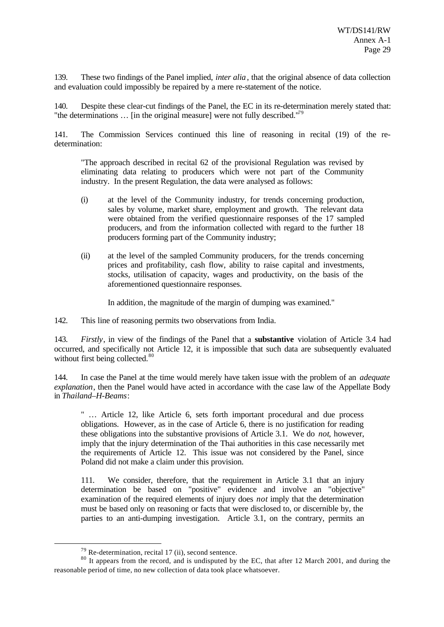139. These two findings of the Panel implied, *inter alia*, that the original absence of data collection and evaluation could impossibly be repaired by a mere re-statement of the notice.

140. Despite these clear-cut findings of the Panel, the EC in its re-determination merely stated that: "the determinations  $\ldots$  [in the original measure] were not fully described."<sup>79</sup>

141. The Commission Services continued this line of reasoning in recital (19) of the redetermination:

"The approach described in recital 62 of the provisional Regulation was revised by eliminating data relating to producers which were not part of the Community industry. In the present Regulation, the data were analysed as follows:

- (i) at the level of the Community industry, for trends concerning production, sales by volume, market share, employment and growth. The relevant data were obtained from the verified questionnaire responses of the 17 sampled producers, and from the information collected with regard to the further 18 producers forming part of the Community industry;
- (ii) at the level of the sampled Community producers, for the trends concerning prices and profitability, cash flow, ability to raise capital and investments, stocks, utilisation of capacity, wages and productivity, on the basis of the aforementioned questionnaire responses.

In addition, the magnitude of the margin of dumping was examined."

142. This line of reasoning permits two observations from India.

143. *Firstly*, in view of the findings of the Panel that a **substantive** violation of Article 3.4 had occurred, and specifically not Article 12, it is impossible that such data are subsequently evaluated without first being collected.<sup>80</sup>

144. In case the Panel at the time would merely have taken issue with the problem of an *adequate explanation*, then the Panel would have acted in accordance with the case law of the Appellate Body in *Thailand–H-Beams*:

" … Article 12, like Article 6, sets forth important procedural and due process obligations. However, as in the case of Article 6, there is no justification for reading these obligations into the substantive provisions of Article 3.1. We do *not*, however, imply that the injury determination of the Thai authorities in this case necessarily met the requirements of Article 12. This issue was not considered by the Panel, since Poland did not make a claim under this provision.

111. We consider, therefore, that the requirement in Article 3.1 that an injury determination be based on "positive" evidence and involve an "objective" examination of the required elements of injury does *not* imply that the determination must be based only on reasoning or facts that were disclosed to, or discernible by, the parties to an anti-dumping investigation. Article 3.1, on the contrary, permits an

 $79$  Re-determination, recital 17 (ii), second sentence.

<sup>&</sup>lt;sup>80</sup> It appears from the record, and is undisputed by the EC, that after 12 March 2001, and during the reasonable period of time, no new collection of data took place whatsoever.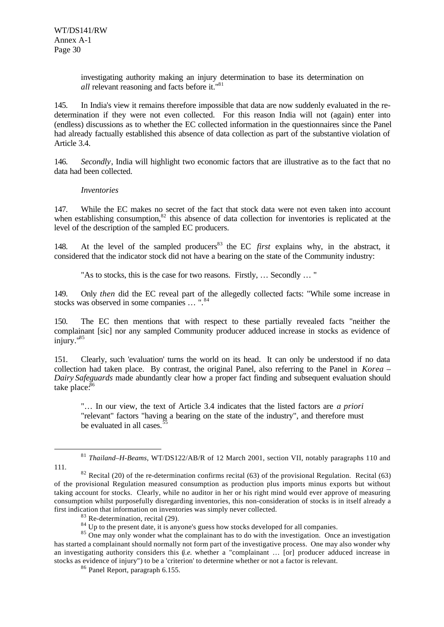investigating authority making an injury determination to base its determination on *all* relevant reasoning and facts before it."<sup>81</sup>

145. In India's view it remains therefore impossible that data are now suddenly evaluated in the redetermination if they were not even collected. For this reason India will not (again) enter into (endless) discussions as to whether the EC collected information in the questionnaires since the Panel had already factually established this absence of data collection as part of the substantive violation of Article 3.4.

146. *Secondly*, India will highlight two economic factors that are illustrative as to the fact that no data had been collected.

#### *Inventories*

147. While the EC makes no secret of the fact that stock data were not even taken into account when establishing consumption, $82$  this absence of data collection for inventories is replicated at the level of the description of the sampled EC producers.

148. At the level of the sampled producers<sup>83</sup> the EC *first* explains why, in the abstract, it considered that the indicator stock did not have a bearing on the state of the Community industry:

"As to stocks, this is the case for two reasons. Firstly, … Secondly … "

149. Only *then* did the EC reveal part of the allegedly collected facts: "While some increase in stocks was observed in some companies ... ".<sup>84</sup>

150. The EC then mentions that with respect to these partially revealed facts "neither the complainant [sic] nor any sampled Community producer adduced increase in stocks as evidence of  $iniuro.$ <sup> $185$ </sup>

151. Clearly, such 'evaluation' turns the world on its head. It can only be understood if no data collection had taken place. By contrast, the original Panel, also referring to the Panel in *Korea – Dairy Safeguards* made abundantly clear how a proper fact finding and subsequent evaluation should take place.<sup>86</sup>

"… In our view, the text of Article 3.4 indicates that the listed factors are *a priori* "relevant" factors "having a bearing on the state of the industry", and therefore must be evaluated in all cases. $\dot{5}$ 

<sup>81</sup> *Thailand–H-Beams*, WT/DS122/AB/R of 12 March 2001, section VII, notably paragraphs 110 and 111.

 $82$  Recital (20) of the re-determination confirms recital (63) of the provisional Regulation. Recital (63) of the provisional Regulation measured consumption as production plus imports minus exports but without taking account for stocks. Clearly, while no auditor in her or his right mind would ever approve of measuring consumption whilst purposefully disregarding inventories, this non-consideration of stocks is in itself already a first indication that information on inventories was simply never collected.

<sup>&</sup>lt;sup>83</sup> Re-determination, recital (29).

 $84$  Up to the present date, it is anyone's guess how stocks developed for all companies.

<sup>&</sup>lt;sup>85</sup> One may only wonder what the complainant has to do with the investigation. Once an investigation has started a complainant should normally not form part of the investigative process. One may also wonder why an investigating authority considers this (*i.e.* whether a "complainant … [or] producer adduced increase in stocks as evidence of injury") to be a 'criterion' to determine whether or not a factor is relevant.

<sup>86</sup> Panel Report, paragraph 6.155.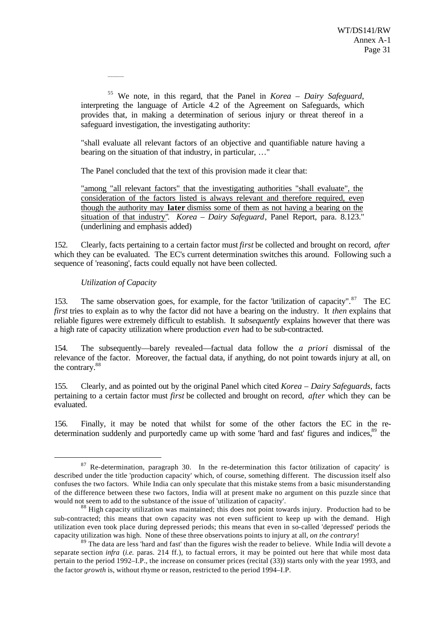<sup>55</sup> We note, in this regard, that the Panel in *Korea – Dairy Safeguard*, interpreting the language of Article 4.2 of the Agreement on Safeguards, which provides that, in making a determination of serious injury or threat thereof in a safeguard investigation, the investigating authority:

"shall evaluate all relevant factors of an objective and quantifiable nature having a bearing on the situation of that industry, in particular, …"

The Panel concluded that the text of this provision made it clear that:

"among "all relevant factors" that the investigating authorities "shall evaluate", the consideration of the factors listed is always relevant and therefore required, even though the authority may **later** dismiss some of them as not having a bearing on the situation of that industry". *Korea – Dairy Safeguard*, Panel Report, para. 8.123." (underlining and emphasis added)

152. Clearly, facts pertaining to a certain factor must *first* be collected and brought on record, *after* which they can be evaluated. The EC's current determination switches this around. Following such a sequence of 'reasoning', facts could equally not have been collected.

#### *Utilization of Capacity*

l

\_\_\_\_\_\_

153. The same observation goes, for example, for the factor "utilization of capacity". $87$  The EC *first* tries to explain as to why the factor did not have a bearing on the industry. It *then* explains that reliable figures were extremely difficult to establish. It *subsequently* explains however that there was a high rate of capacity utilization where production *even* had to be sub-contracted.

154. The subsequently—barely revealed—factual data follow the *a priori* dismissal of the relevance of the factor. Moreover, the factual data, if anything, do not point towards injury at all, on the contrary.<sup>88</sup>

155. Clearly, and as pointed out by the original Panel which cited *Korea – Dairy Safeguards*, facts pertaining to a certain factor must *first* be collected and brought on record, *after* which they can be evaluated.

156. Finally, it may be noted that whilst for some of the other factors the EC in the redetermination suddenly and purportedly came up with some 'hard and fast' figures and indices.<sup>89</sup> the

 $87$  Re-determination, paragraph 30. In the re-determination this factor utilization of capacity' is described under the title 'production capacity' which, of course, something different. The discussion itself also confuses the two factors. While India can only speculate that this mistake stems from a basic misunderstanding of the difference between these two factors, India will at present make no argument on this puzzle since that would not seem to add to the substance of the issue of 'utilization of capacity'.

<sup>&</sup>lt;sup>88</sup> High capacity utilization was maintained; this does not point towards injury. Production had to be sub-contracted; this means that own capacity was not even sufficient to keep up with the demand. High utilization even took place during depressed periods; this means that even in so-called 'depressed' periods the capacity utilization was high. None of these three observations points to injury at all, *on the contrary*!

<sup>&</sup>lt;sup>89</sup> The data are less 'hard and fast' than the figures wish the reader to believe. While India will devote a separate section *infra* (*i.e.* paras. 214 ff.), to factual errors, it may be pointed out here that while most data pertain to the period 1992–I.P., the increase on consumer prices (recital (33)) starts only with the year 1993, and the factor *growth* is, without rhyme or reason, restricted to the period 1994–I.P.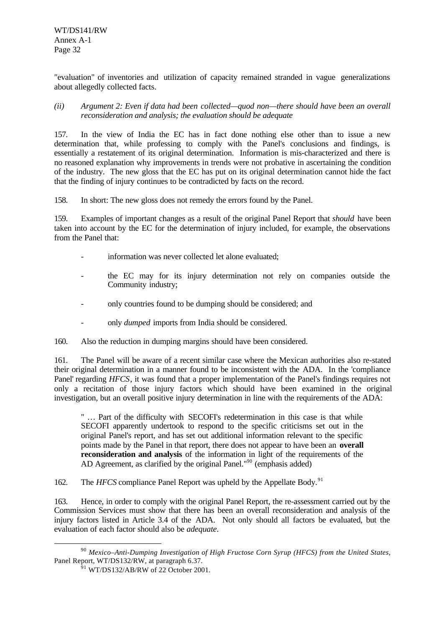WT/DS141/RW Annex A-1 Page 32

"evaluation" of inventories and utilization of capacity remained stranded in vague generalizations about allegedly collected facts.

*(ii) Argument 2: Even if data had been collected—quod non—there should have been an overall reconsideration and analysis; the evaluation should be adequate*

157. In the view of India the EC has in fact done nothing else other than to issue a new determination that, while professing to comply with the Panel's conclusions and findings, is essentially a restatement of its original determination. Information is mis-characterized and there is no reasoned explanation why improvements in trends were not probative in ascertaining the condition of the industry. The new gloss that the EC has put on its original determination cannot hide the fact that the finding of injury continues to be contradicted by facts on the record.

158. In short: The new gloss does not remedy the errors found by the Panel.

159. Examples of important changes as a result of the original Panel Report that *should* have been taken into account by the EC for the determination of injury included, for example, the observations from the Panel that:

- information was never collected let alone evaluated;
- the EC may for its injury determination not rely on companies outside the Community industry;
- only countries found to be dumping should be considered; and
- only *dumped* imports from India should be considered.
- 160. Also the reduction in dumping margins should have been considered.

161. The Panel will be aware of a recent similar case where the Mexican authorities also re-stated their original determination in a manner found to be inconsistent with the ADA. In the 'compliance Panel' regarding *HFCS*, it was found that a proper implementation of the Panel's findings requires not only a recitation of those injury factors which should have been examined in the original investigation, but an overall positive injury determination in line with the requirements of the ADA:

" … Part of the difficulty with SECOFI's redetermination in this case is that while SECOFI apparently undertook to respond to the specific criticisms set out in the original Panel's report, and has set out additional information relevant to the specific points made by the Panel in that report, there does not appear to have been an **overall reconsideration and analysis** of the information in light of the requirements of the AD Agreement, as clarified by the original Panel."<sup>90</sup> (emphasis added)

162. The *HFCS* compliance Panel Report was upheld by the Appellate Body.<sup>91</sup>

163. Hence, in order to comply with the original Panel Report, the re-assessment carried out by the Commission Services must show that there has been an overall reconsideration and analysis of the injury factors listed in Article 3.4 of the ADA. Not only should all factors be evaluated, but the evaluation of each factor should also be *adequate*.

<sup>90</sup> *Mexico–Anti-Dumping Investigation of High Fructose Corn Syrup (HFCS) from the United States*, Panel Report, WT/DS132/RW, at paragraph 6.37.

 $91$  WT/DS132/AB/RW of 22 October 2001.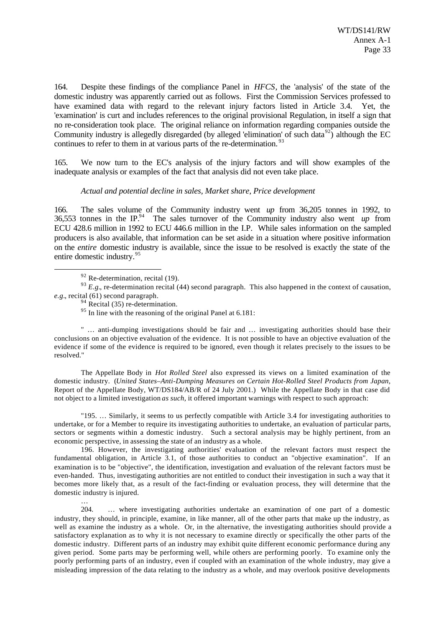164. Despite these findings of the compliance Panel in *HFCS*, the 'analysis' of the state of the domestic industry was apparently carried out as follows. First the Commission Services professed to have examined data with regard to the relevant injury factors listed in Article 3.4. Yet, the 'examination' is curt and includes references to the original provisional Regulation, in itself a sign that no re-consideration took place. The original reliance on information regarding companies outside the Community industry is allegedly disregarded (by alleged 'elimination' of such data<sup>92</sup>) although the EC continues to refer to them in at various parts of the re-determination.<sup>93</sup>

165. We now turn to the EC's analysis of the injury factors and will show examples of the inadequate analysis or examples of the fact that analysis did not even take place.

#### *Actual and potential decline in sales, Market share, Price development*

166. The sales volume of the Community industry went *up* from 36,205 tonnes in 1992, to 36,553 tonnes in the IP.<sup>94</sup> The sales turnover of the Community industry also went *up* from ECU 428.6 million in 1992 to ECU 446.6 million in the I.P. While sales information on the sampled producers is also available, that information can be set aside in a situation where positive information on the *entire* domestic industry is available, since the issue to be resolved is exactly the state of the entire domestic industry.<sup>95</sup>

l

…

<sup>93</sup> *E.g.*, re-determination recital (44) second paragraph. This also happened in the context of causation, *e.g.*, recital (61) second paragraph.

 $94$  Recital (35) re-determination.

<sup>95</sup> In line with the reasoning of the original Panel at 6.181:

" … anti-dumping investigations should be fair and … investigating authorities should base their conclusions on an objective evaluation of the evidence. It is not possible to have an objective evaluation of the evidence if some of the evidence is required to be ignored, even though it relates precisely to the issues to be resolved."

The Appellate Body in *Hot Rolled Steel* also expressed its views on a limited examination of the domestic industry. (*United States–Anti-Dumping Measures on Certain Hot-Rolled Steel Products from Japan*, Report of the Appellate Body, WT/DS184/AB/R of 24 July 2001.)While the Appellate Body in that case did not object to a limited investigation *as such*, it offered important warnings with respect to such approach:

"195. … Similarly, it seems to us perfectly compatible with Article 3.4 for investigating authorities to undertake, or for a Member to require its investigating authorities to undertake, an evaluation of particular parts, sectors or segments within a domestic industry. Such a sectoral analysis may be highly pertinent, from an economic perspective, in assessing the state of an industry as a whole.

196. However, the investigating authorities' evaluation of the relevant factors must respect the fundamental obligation, in Article 3.1, of those authorities to conduct an "objective examination". If an examination is to be "objective", the identification, investigation and evaluation of the relevant factors must be even-handed. Thus, investigating authorities are not entitled to conduct their investigation in such a way that it becomes more likely that, as a result of the fact-finding or evaluation process, they will determine that the domestic industry is injured.

204. … where investigating authorities undertake an examination of one part of a domestic industry, they should, in principle, examine, in like manner, all of the other parts that make up the industry, as well as examine the industry as a whole. Or, in the alternative, the investigating authorities should provide a satisfactory explanation as to why it is not necessary to examine directly or specifically the other parts of the domestic industry. Different parts of an industry may exhibit quite different economic performance during any given period. Some parts may be performing well, while others are performing poorly. To examine only the poorly performing parts of an industry, even if coupled with an examination of the whole industry, may give a misleading impression of the data relating to the industry as a whole, and may overlook positive developments

 $92$  Re-determination, recital (19).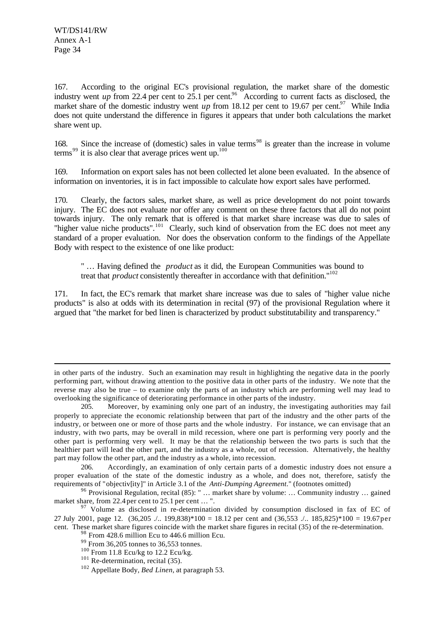l

167. According to the original EC's provisional regulation, the market share of the domestic industry went *up* from 22.4 per cent to 25.1 per cent.<sup>96</sup> According to current facts as disclosed, the market share of the domestic industry went *up* from 18.12 per cent to 19.67 per cent.<sup>97</sup> While India does not quite understand the difference in figures it appears that under both calculations the market share went up.

168. Since the increase of (domestic) sales in value terms<sup>98</sup> is greater than the increase in volume terms<sup>99</sup> it is also clear that average prices went up.<sup>100</sup>

169. Information on export sales has not been collected let alone been evaluated. In the absence of information on inventories, it is in fact impossible to calculate how export sales have performed.

170. Clearly, the factors sales, market share, as well as price development do not point towards injury. The EC does not evaluate nor offer any comment on these three factors that all do not point towards injury. The only remark that is offered is that market share increase was due to sales of "higher value niche products".<sup>101</sup> Clearly, such kind of observation from the EC does not meet any standard of a proper evaluation. Nor does the observation conform to the findings of the Appellate Body with respect to the existence of one like product:

" … Having defined the *product* as it did, the European Communities was bound to treat that *product* consistently thereafter in accordance with that definition."<sup>102</sup>

171. In fact, the EC's remark that market share increase was due to sales of "higher value niche products" is also at odds with its determination in recital (97) of the provisional Regulation where it argued that "the market for bed linen is characterized by product substitutability and transparency."

in other parts of the industry. Such an examination may result in highlighting the negative data in the poorly performing part, without drawing attention to the positive data in other parts of the industry. We note that the reverse may also be true – to examine only the parts of an industry which are performing well may lead to overlooking the significance of deteriorating performance in other parts of the industry.

<sup>205.</sup> Moreover, by examining only one part of an industry, the investigating authorities may fail properly to appreciate the economic relationship between that part of the industry and the other parts of the industry, or between one or more of those parts and the whole industry. For instance, we can envisage that an industry, with two parts, may be overall in mild recession, where one part is performing very poorly and the other part is performing very well. It may be that the relationship between the two parts is such that the healthier part will lead the other part, and the industry as a whole, out of recession. Alternatively, the healthy part may follow the other part, and the industry as a whole, into recession.

<sup>206.</sup> Accordingly, an examination of only certain parts of a domestic industry does not ensure a proper evaluation of the state of the domestic industry as a whole, and does not, therefore, satisfy the requirements of "objectiv[ity]" in Article 3.1 of the *Anti-Dumping Agreement*." (footnotes omitted)

<sup>96</sup> Provisional Regulation, recital (85): " … market share by volume: … Community industry … gained market share, from 22.4 per cent to 25.1 per cent ... ".

 $97$  Volume as disclosed in re-determination divided by consumption disclosed in fax of EC of 27 July 2001, page 12. (36,205 ./.. 199,838)\*100 = 18.12 per cent and (36,553 ./.. 185,825)\*100 = 19.67 per cent. These market share figures coincide with the market share figures in recital (35) of the re-determination.

<sup>&</sup>lt;sup>98</sup> From 428.6 million Ecu to 446.6 million Ecu.

<sup>99</sup> From 36,205 tonnes to 36,553 tonnes.

 $100$  From 11.8 Ecu/kg to 12.2 Ecu/kg.

 $101$  Re-determination, recital (35).

<sup>102</sup> Appellate Body, *Bed Linen*, at paragraph 53.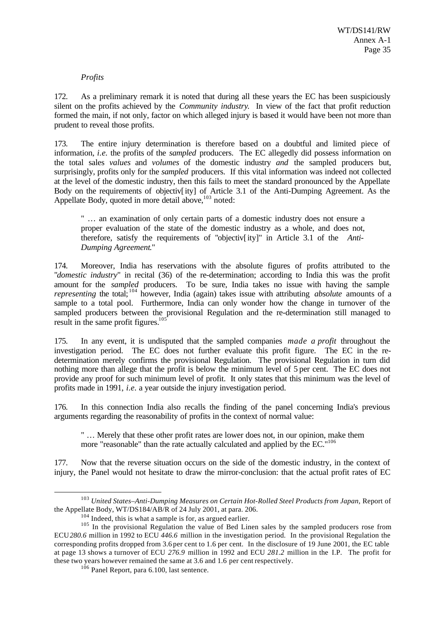## *Profits*

172. As a preliminary remark it is noted that during all these years the EC has been suspiciously silent on the profits achieved by the *Community industry*. In view of the fact that profit reduction formed the main, if not only, factor on which alleged injury is based it would have been not more than prudent to reveal those profits.

173. The entire injury determination is therefore based on a doubtful and limited piece of information, *i.e.* the profits of the *sampled* producers. The EC allegedly did possess information on the total sales *values* and *volumes* of the domestic industry *and* the sampled producers but, surprisingly, profits only for the *sampled* producers. If this vital information was indeed not collected at the level of the domestic industry, then this fails to meet the standard pronounced by the Appellate Body on the requirements of objectiv[ity] of Article 3.1 of the Anti-Dumping Agreement. As the Appellate Body, quoted in more detail above,  $103$  noted:

" … an examination of only certain parts of a domestic industry does not ensure a proper evaluation of the state of the domestic industry as a whole, and does not, therefore, satisfy the requirements of "objectiv[ity]" in Article 3.1 of the *Anti-Dumping Agreement*."

174. Moreover, India has reservations with the absolute figures of profits attributed to the "*domestic industry*" in recital (36) of the re-determination; according to India this was the profit amount for the *sampled* producers. To be sure, India takes no issue with having the sample *representing* the total; <sup>104</sup> however, India (again) takes issue with attributing *absolute* amounts of a sample to a total pool. Furthermore, India can only wonder how the change in turnover of the sampled producers between the provisional Regulation and the re-determination still managed to result in the same profit figures. $105'$ 

175. In any event, it is undisputed that the sampled companies *made a profit* throughout the investigation period. The EC does not further evaluate this profit figure. The EC in the redetermination merely confirms the provisional Regulation. The provisional Regulation in turn did nothing more than allege that the profit is below the minimum level of 5 per cent. The EC does not provide any proof for such minimum level of profit. It only states that this minimum was the level of profits made in 1991, *i.e.* a year outside the injury investigation period.

176. In this connection India also recalls the finding of the panel concerning India's previous arguments regarding the reasonability of profits in the context of normal value:

" … Merely that these other profit rates are lower does not, in our opinion, make them more "reasonable" than the rate actually calculated and applied by the EC."<sup>106</sup>

177. Now that the reverse situation occurs on the side of the domestic industry, in the context of injury, the Panel would not hesitate to draw the mirror-conclusion: that the actual profit rates of EC

<sup>103</sup> *United States–Anti-Dumping Measures on Certain Hot-Rolled Steel Products from Japan*, Report of the Appellate Body, WT/DS184/AB/R of 24 July 2001, at para. 206.

<sup>&</sup>lt;sup>104</sup> Indeed, this is what a sample is for, as argued earlier.

<sup>&</sup>lt;sup>105</sup> In the provisional Regulation the value of Bed Linen sales by the sampled producers rose from ECU*280.6* million in 1992 to ECU *446.6* million in the investigation period. In the provisional Regulation the corresponding profits dropped from 3.6 per cent to 1.6 per cent. In the disclosure of 19 June 2001, the EC table at page 13 shows a turnover of ECU *276.9* million in 1992 and ECU *281.2* million in the I.P. The profit for these two years however remained the same at 3.6 and 1.6 per cent respectively.

 $106$  Panel Report, para 6.100, last sentence.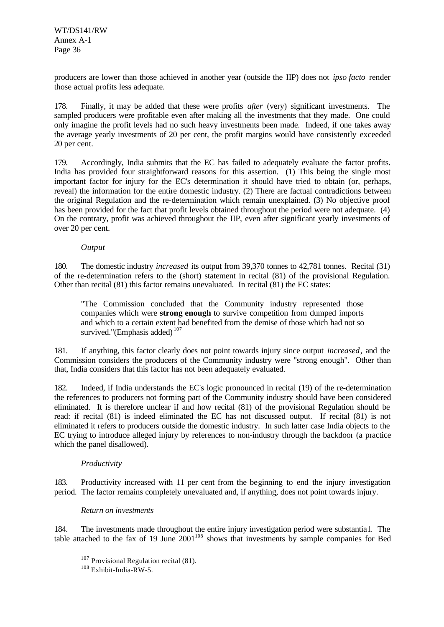producers are lower than those achieved in another year (outside the IIP) does not *ipso facto* render those actual profits less adequate.

178. Finally, it may be added that these were profits *after* (very) significant investments. The sampled producers were profitable even after making all the investments that they made. One could only imagine the profit levels had no such heavy investments been made. Indeed, if one takes away the average yearly investments of 20 per cent, the profit margins would have consistently exceeded 20 per cent.

179. Accordingly, India submits that the EC has failed to adequately evaluate the factor profits. India has provided four straightforward reasons for this assertion. (1) This being the single most important factor for injury for the EC's determination it should have tried to obtain (or, perhaps, reveal) the information for the entire domestic industry. (2) There are factual contradictions between the original Regulation and the re-determination which remain unexplained. (3) No objective proof has been provided for the fact that profit levels obtained throughout the period were not adequate. (4) On the contrary, profit was achieved throughout the IIP, even after significant yearly investments of over 20 per cent.

*Output*

180. The domestic industry *increased* its output from 39,370 tonnes to 42,781 tonnes. Recital (31) of the re-determination refers to the (short) statement in recital (81) of the provisional Regulation. Other than recital (81) this factor remains unevaluated. In recital (81) the EC states:

"The Commission concluded that the Community industry represented those companies which were **strong enough** to survive competition from dumped imports and which to a certain extent had benefited from the demise of those which had not so survived."(Emphasis added)<sup>107</sup>

181. If anything, this factor clearly does not point towards injury since output *increased*, and the Commission considers the producers of the Community industry were "strong enough". Other than that, India considers that this factor has not been adequately evaluated.

182. Indeed, if India understands the EC's logic pronounced in recital (19) of the re-determination the references to producers not forming part of the Community industry should have been considered eliminated. It is therefore unclear if and how recital (81) of the provisional Regulation should be read: if recital (81) is indeed eliminated the EC has not discussed output. If recital (81) is not eliminated it refers to producers outside the domestic industry. In such latter case India objects to the EC trying to introduce alleged injury by references to non-industry through the backdoor (a practice which the panel disallowed).

## *Productivity*

l

183. Productivity increased with 11 per cent from the beginning to end the injury investigation period. The factor remains completely unevaluated and, if anything, does not point towards injury.

#### *Return on investments*

184. The investments made throughout the entire injury investigation period were substantia l. The table attached to the fax of 19 June  $2001^{108}$  shows that investments by sample companies for Bed

 $107$  Provisional Regulation recital (81).

<sup>108</sup> Exhibit-India-RW-5.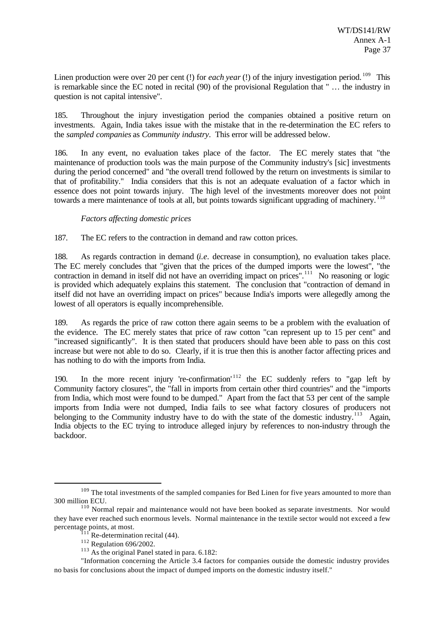Linen production were over 20 per cent (!) for *each year* (!) of the injury investigation period. <sup>109</sup> This is remarkable since the EC noted in recital (90) of the provisional Regulation that " … the industry in question is not capital intensive".

185. Throughout the injury investigation period the companies obtained a positive return on investments. Again, India takes issue with the mistake that in the re-determination the EC refers to the *sampled companies* as *Community industry*. This error will be addressed below.

186. In any event, no evaluation takes place of the factor. The EC merely states that "the maintenance of production tools was the main purpose of the Community industry's [sic] investments during the period concerned" and "the overall trend followed by the return on investments is similar to that of profitability." India considers that this is not an adequate evaluation of a factor which in essence does not point towards injury. The high level of the investments moreover does not point towards a mere maintenance of tools at all, but points towards significant upgrading of machinery.<sup>110</sup>

#### *Factors affecting domestic prices*

187. The EC refers to the contraction in demand and raw cotton prices.

188. As regards contraction in demand (*i.e.* decrease in consumption), no evaluation takes place. The EC merely concludes that "given that the prices of the dumped imports were the lowest", "the contraction in demand in itself did not have an overriding impact on prices".<sup>111</sup> No reasoning or logic is provided which adequately explains this statement. The conclusion that "contraction of demand in itself did not have an overriding impact on prices" because India's imports were allegedly among the lowest of all operators is equally incomprehensible.

189. As regards the price of raw cotton there again seems to be a problem with the evaluation of the evidence. The EC merely states that price of raw cotton "can represent up to 15 per cent" and "increased significantly". It is then stated that producers should have been able to pass on this cost increase but were not able to do so. Clearly, if it is true then this is another factor affecting prices and has nothing to do with the imports from India.

190. In the more recent injury 're-confirmation'<sup>112</sup> the EC suddenly refers to "gap left by Community factory closures", the "fall in imports from certain other third countries" and the "imports from India, which most were found to be dumped." Apart from the fact that 53 per cent of the sample imports from India were not dumped, India fails to see what factory closures of producers not belonging to the Community industry have to do with the state of the domestic industry.<sup>113</sup> Again, India objects to the EC trying to introduce alleged injury by references to non-industry through the backdoor.

<sup>&</sup>lt;sup>109</sup> The total investments of the sampled companies for Bed Linen for five years amounted to more than 300 million ECU.

<sup>&</sup>lt;sup>110</sup> Normal repair and maintenance would not have been booked as separate investments. Nor would they have ever reached such enormous levels. Normal maintenance in the textile sector would not exceed a few percentage points, at most.

Re-determination recital (44).

<sup>&</sup>lt;sup>112</sup> Regulation 696/2002.

<sup>&</sup>lt;sup>113</sup> As the original Panel stated in para. 6.182:

<sup>&</sup>quot;Information concerning the Article 3.4 factors for companies outside the domestic industry provides no basis for conclusions about the impact of dumped imports on the domestic industry itself."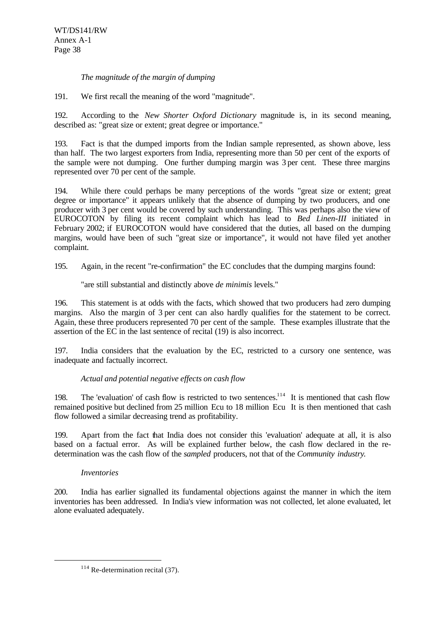#### *The magnitude of the margin of dumping*

191. We first recall the meaning of the word "magnitude".

192. According to the *New Shorter Oxford Dictionary* magnitude is, in its second meaning, described as: "great size or extent; great degree or importance."

193. Fact is that the dumped imports from the Indian sample represented, as shown above, less than half. The two largest exporters from India, representing more than 50 per cent of the exports of the sample were not dumping. One further dumping margin was 3 per cent. These three margins represented over 70 per cent of the sample.

194. While there could perhaps be many perceptions of the words "great size or extent; great degree or importance" it appears unlikely that the absence of dumping by two producers, and one producer with 3 per cent would be covered by such understanding. This was perhaps also the view of EUROCOTON by filing its recent complaint which has lead to *Bed Linen-III* initiated in February 2002; if EUROCOTON would have considered that the duties, all based on the dumping margins, would have been of such "great size or importance", it would not have filed yet another complaint.

195. Again, in the recent "re-confirmation" the EC concludes that the dumping margins found:

"are still substantial and distinctly above *de minimis* levels."

196. This statement is at odds with the facts, which showed that two producers had zero dumping margins. Also the margin of 3 per cent can also hardly qualifies for the statement to be correct. Again, these three producers represented 70 per cent of the sample. These examples illustrate that the assertion of the EC in the last sentence of recital (19) is also incorrect.

197. India considers that the evaluation by the EC, restricted to a cursory one sentence, was inadequate and factually incorrect.

# *Actual and potential negative effects on cash flow*

198. The 'evaluation' of cash flow is restricted to two sentences.<sup>114</sup> It is mentioned that cash flow remained positive but declined from 25 million Ecu to 18 million Ecu It is then mentioned that cash flow followed a similar decreasing trend as profitability.

199. Apart from the fact that India does not consider this 'evaluation' adequate at all, it is also based on a factual error. As will be explained further below, the cash flow declared in the redetermination was the cash flow of the *sampled* producers, not that of the *Community industry*.

#### *Inventories*

l

200. India has earlier signalled its fundamental objections against the manner in which the item inventories has been addressed. In India's view information was not collected, let alone evaluated, let alone evaluated adequately.

 $114$  Re-determination recital (37).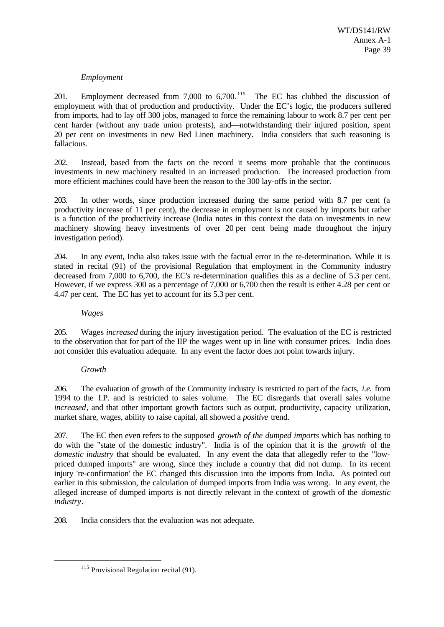# *Employment*

201. Employment decreased from 7,000 to 6,700.<sup>115</sup> The EC has clubbed the discussion of employment with that of production and productivity. Under the EC's logic, the producers suffered from imports, had to lay off 300 jobs, managed to force the remaining labour to work 8.7 per cent per cent harder (without any trade union protests), and—notwithstanding their injured position, spent 20 per cent on investments in new Bed Linen machinery. India considers that such reasoning is fallacious.

202. Instead, based from the facts on the record it seems more probable that the continuous investments in new machinery resulted in an increased production. The increased production from more efficient machines could have been the reason to the 300 lay-offs in the sector.

203. In other words, since production increased during the same period with 8.7 per cent (a productivity increase of 11 per cent), the decrease in employment is not caused by imports but rather is a function of the productivity increase (India notes in this context the data on investments in new machinery showing heavy investments of over 20 per cent being made throughout the injury investigation period).

204. In any event, India also takes issue with the factual error in the re-determination. While it is stated in recital (91) of the provisional Regulation that employment in the Community industry decreased from 7,000 to 6,700, the EC's re-determination qualifies this as a decline of 5.3 per cent. However, if we express 300 as a percentage of 7,000 or 6,700 then the result is either 4.28 per cent or 4.47 per cent. The EC has yet to account for its 5.3 per cent.

## *Wages*

205. Wages *increased* during the injury investigation period. The evaluation of the EC is restricted to the observation that for part of the IIP the wages went up in line with consumer prices. India does not consider this evaluation adequate. In any event the factor does not point towards injury.

# *Growth*

l

206. The evaluation of growth of the Community industry is restricted to part of the facts, *i.e.* from 1994 to the I.P. and is restricted to sales volume. The EC disregards that overall sales volume *increased*, and that other important growth factors such as output, productivity, capacity utilization, market share, wages, ability to raise capital, all showed a *positive* trend.

207. The EC then even refers to the supposed *growth of the dumped imports* which has nothing to do with the "state of the domestic industry". India is of the opinion that it is the *growth* of the *domestic industry* that should be evaluated. In any event the data that allegedly refer to the "lowpriced dumped imports" are wrong, since they include a country that did not dump. In its recent injury 're-confirmation' the EC changed this discussion into the imports from India. As pointed out earlier in this submission, the calculation of dumped imports from India was wrong. In any event, the alleged increase of dumped imports is not directly relevant in the context of growth of the *domestic industry*.

208. India considers that the evaluation was not adequate.

 $115$  Provisional Regulation recital (91).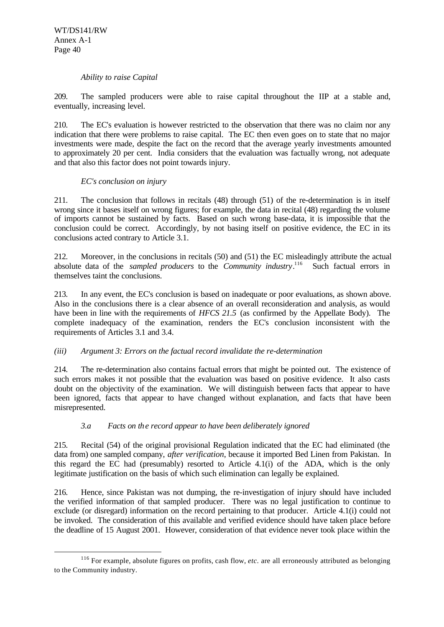l

#### *Ability to raise Capital*

209. The sampled producers were able to raise capital throughout the IIP at a stable and, eventually, increasing level.

210. The EC's evaluation is however restricted to the observation that there was no claim nor any indication that there were problems to raise capital. The EC then even goes on to state that no major investments were made, despite the fact on the record that the average yearly investments amounted to approximately 20 per cent. India considers that the evaluation was factually wrong, not adequate and that also this factor does not point towards injury.

# *EC's conclusion on injury*

211. The conclusion that follows in recitals (48) through (51) of the re-determination is in itself wrong since it bases itself on wrong figures; for example, the data in recital (48) regarding the volume of imports cannot be sustained by facts. Based on such wrong base-data, it is impossible that the conclusion could be correct. Accordingly, by not basing itself on positive evidence, the EC in its conclusions acted contrary to Article 3.1.

212. Moreover, in the conclusions in recitals (50) and (51) the EC misleadingly attribute the actual absolute data of the *sampled producers* to the *Community industry*.<sup>116</sup> Such factual errors in themselves taint the conclusions.

213. In any event, the EC's conclusion is based on inadequate or poor evaluations, as shown above. Also in the conclusions there is a clear absence of an overall reconsideration and analysis, as would have been in line with the requirements of *HFCS 21.5* (as confirmed by the Appellate Body). The complete inadequacy of the examination, renders the EC's conclusion inconsistent with the requirements of Articles 3.1 and 3.4.

# *(iii) Argument 3: Errors on the factual record invalidate the re-determination*

214. The re-determination also contains factual errors that might be pointed out. The existence of such errors makes it not possible that the evaluation was based on positive evidence. It also casts doubt on the objectivity of the examination. We will distinguish between facts that appear to have been ignored, facts that appear to have changed without explanation, and facts that have been misrepresented.

# *3.a Facts on the record appear to have been deliberately ignored*

215. Recital (54) of the original provisional Regulation indicated that the EC had eliminated (the data from) one sampled company, *after verification*, because it imported Bed Linen from Pakistan. In this regard the EC had (presumably) resorted to Article 4.1(i) of the ADA, which is the only legitimate justification on the basis of which such elimination can legally be explained.

216. Hence, since Pakistan was not dumping, the re-investigation of injury should have included the verified information of that sampled producer. There was no legal justification to continue to exclude (or disregard) information on the record pertaining to that producer. Article 4.1(i) could not be invoked. The consideration of this available and verified evidence should have taken place before the deadline of 15 August 2001. However, consideration of that evidence never took place within the

<sup>116</sup> For example, absolute figures on profits, cash flow, *etc*. are all erroneously attributed as belonging to the Community industry.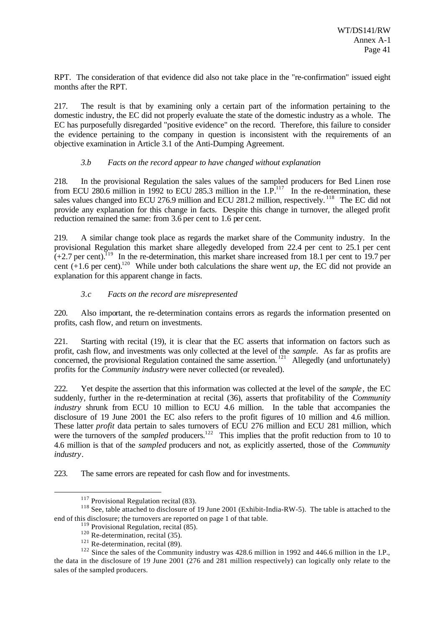RPT. The consideration of that evidence did also not take place in the "re-confirmation" issued eight months after the RPT.

217. The result is that by examining only a certain part of the information pertaining to the domestic industry, the EC did not properly evaluate the state of the domestic industry as a whole. The EC has purposefully disregarded "positive evidence" on the record. Therefore, this failure to consider the evidence pertaining to the company in question is inconsistent with the requirements of an objective examination in Article 3.1 of the Anti-Dumping Agreement.

#### *3.b Facts on the record appear to have changed without explanation*

218. In the provisional Regulation the sales values of the sampled producers for Bed Linen rose from ECU 280.6 million in 1992 to ECU 285.3 million in the I.P.<sup>117</sup> In the re-determination, these sales values changed into ECU 276.9 million and ECU 281.2 million, respectively. <sup>118</sup> The EC did not provide any explanation for this change in facts. Despite this change in turnover, the alleged profit reduction remained the same: from 3.6 per cent to 1.6 per cent.

219. A similar change took place as regards the market share of the Community industry. In the provisional Regulation this market share allegedly developed from 22.4 per cent to 25.1 per cent  $(+2.7 \text{ per cent})$ .<sup>119</sup> In the re-determination, this market share increased from 18.1 per cent to 19.7 per cent  $(+1.6$  per cent).<sup>120</sup> While under both calculations the share went *up*, the EC did not provide an explanation for this apparent change in facts.

# *3.c Facts on the record are misrepresented*

220. Also important, the re-determination contains errors as regards the information presented on profits, cash flow, and return on investments.

221. Starting with recital (19), it is clear that the EC asserts that information on factors such as profit, cash flow, and investments was only collected at the level of the *sample*. As far as profits are prom, easy how, and investments was single-concerned at the level of the same process at as promise are concerned, the provisional Regulation contained the same assertion. <sup>121</sup> Allegedly (and unfortunately) profits for the *Community industry* were never collected (or revealed).

222. Yet despite the assertion that this information was collected at the level of the *sample*, the EC suddenly, further in the re-determination at recital (36), asserts that profitability of the *Community industry* shrunk from ECU 10 million to ECU 4.6 million. In the table that accompanies the disclosure of 19 June 2001 the EC also refers to the profit figures of 10 million and 4.6 million. These latter *profit* data pertain to sales turnovers of ECU 276 million and ECU 281 million, which were the turnovers of the *sampled* producers.<sup>122</sup> This implies that the profit reduction from to 10 to 4.6 million is that of the *sampled* producers and not, as explicitly asserted, those of the *Community industry*.

223. The same errors are repeated for cash flow and for investments.

 $117$  Provisional Regulation recital (83).

<sup>&</sup>lt;sup>118</sup> See, table attached to disclosure of 19 June 2001 (Exhibit-India-RW-5). The table is attached to the end of this disclosure; the turnovers are reported on page 1 of that table.

 $119$  Provisional Regulation, recital (85).

 $120$  Re-determination, recital (35).

 $121$  Re-determination, recital (89).

<sup>&</sup>lt;sup>122</sup> Since the sales of the Community industry was 428.6 million in 1992 and 446.6 million in the I.P., the data in the disclosure of 19 June 2001 (276 and 281 million respectively) can logically only relate to the sales of the sampled producers.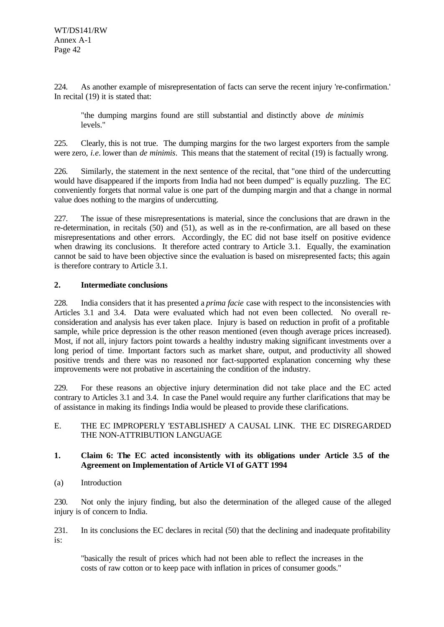224. As another example of misrepresentation of facts can serve the recent injury 're-confirmation.' In recital (19) it is stated that:

"the dumping margins found are still substantial and distinctly above *de minimis* levels."

225. Clearly, this is not true. The dumping margins for the two largest exporters from the sample were zero, *i.e.* lower than *de minimis*. This means that the statement of recital (19) is factually wrong.

226. Similarly, the statement in the next sentence of the recital, that "one third of the undercutting would have disappeared if the imports from India had not been dumped" is equally puzzling. The EC conveniently forgets that normal value is one part of the dumping margin and that a change in normal value does nothing to the margins of undercutting.

227. The issue of these misrepresentations is material, since the conclusions that are drawn in the re-determination, in recitals (50) and (51), as well as in the re-confirmation, are all based on these misrepresentations and other errors. Accordingly, the EC did not base itself on positive evidence when drawing its conclusions. It therefore acted contrary to Article 3.1. Equally, the examination cannot be said to have been objective since the evaluation is based on misrepresented facts; this again is therefore contrary to Article 3.1.

#### **2. Intermediate conclusions**

228. India considers that it has presented a *prima facie* case with respect to the inconsistencies with Articles 3.1 and 3.4. Data were evaluated which had not even been collected. No overall reconsideration and analysis has ever taken place. Injury is based on reduction in profit of a profitable sample, while price depression is the other reason mentioned (even though average prices increased). Most, if not all, injury factors point towards a healthy industry making significant investments over a long period of time. Important factors such as market share, output, and productivity all showed positive trends and there was no reasoned nor fact-supported explanation concerning why these improvements were not probative in ascertaining the condition of the industry.

229. For these reasons an objective injury determination did not take place and the EC acted contrary to Articles 3.1 and 3.4. In case the Panel would require any further clarifications that may be of assistance in making its findings India would be pleased to provide these clarifications.

#### E. THE EC IMPROPERLY 'ESTABLISHED' A CAUSAL LINK. THE EC DISREGARDED THE NON-ATTRIBUTION LANGUAGE

#### **1. Claim 6: The EC acted inconsistently with its obligations under Article 3.5 of the Agreement on Implementation of Article VI of GATT 1994**

(a) Introduction

230. Not only the injury finding, but also the determination of the alleged cause of the alleged injury is of concern to India.

231. In its conclusions the EC declares in recital (50) that the declining and inadequate profitability is:

"basically the result of prices which had not been able to reflect the increases in the costs of raw cotton or to keep pace with inflation in prices of consumer goods."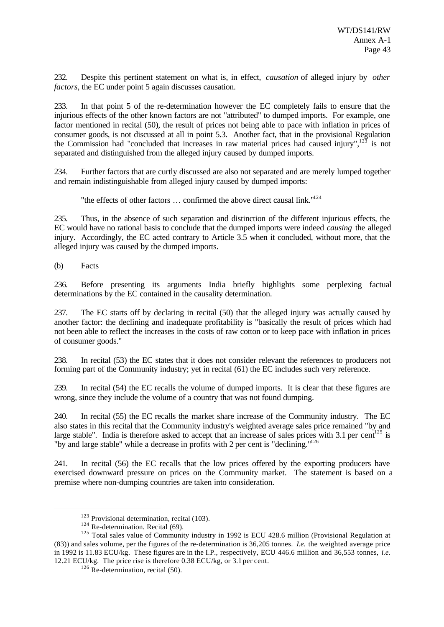232. Despite this pertinent statement on what is, in effect, *causation* of alleged injury by *other factors*, the EC under point 5 again discusses causation.

233. In that point 5 of the re-determination however the EC completely fails to ensure that the injurious effects of the other known factors are not "attributed" to dumped imports. For example, one factor mentioned in recital (50), the result of prices not being able to pace with inflation in prices of consumer goods, is not discussed at all in point 5.3. Another fact, that in the provisional Regulation the Commission had "concluded that increases in raw material prices had caused injury", $123$  is not separated and distinguished from the alleged injury caused by dumped imports.

234. Further factors that are curtly discussed are also not separated and are merely lumped together and remain indistinguishable from alleged injury caused by dumped imports:

"the effects of other factors ... confirmed the above direct causal link."<sup>124</sup>

235. Thus, in the absence of such separation and distinction of the different injurious effects, the EC would have no rational basis to conclude that the dumped imports were indeed *causing* the alleged injury. Accordingly, the EC acted contrary to Article 3.5 when it concluded, without more, that the alleged injury was caused by the dumped imports.

(b) Facts

l

236. Before presenting its arguments India briefly highlights some perplexing factual determinations by the EC contained in the causality determination.

237. The EC starts off by declaring in recital (50) that the alleged injury was actually caused by another factor: the declining and inadequate profitability is "basically the result of prices which had not been able to reflect the increases in the costs of raw cotton or to keep pace with inflation in prices of consumer goods."

238. In recital (53) the EC states that it does not consider relevant the references to producers not forming part of the Community industry; yet in recital (61) the EC includes such very reference.

239. In recital (54) the EC recalls the volume of dumped imports. It is clear that these figures are wrong, since they include the volume of a country that was not found dumping.

240. In recital (55) the EC recalls the market share increase of the Community industry. The EC also states in this recital that the Community industry's weighted average sales price remained "by and large stable". India is therefore asked to accept that an increase of sales prices with 3.1 per cent<sup>125</sup> is "by and large stable" while a decrease in profits with 2 per cent is "declining."<sup>126</sup>

241. In recital (56) the EC recalls that the low prices offered by the exporting producers have exercised downward pressure on prices on the Community market. The statement is based on a premise where non-dumping countries are taken into consideration.

<sup>123</sup> Provisional determination, recital (103).

 $124$  Re-determination. Recital (69).

<sup>&</sup>lt;sup>125</sup> Total sales value of Community industry in 1992 is ECU 428.6 million (Provisional Regulation at (83)) and sales volume, per the figures of the re-determination is 36,205 tonnes. *I.e.* the weighted average price in 1992 is 11.83 ECU/kg. These figures are in the I.P., respectively, ECU 446.6 million and 36,553 tonnes, *i.e.* 12.21 ECU/kg. The price rise is therefore 0.38 ECU/kg, or 3.1 per cent.

 $126$  Re-determination, recital (50).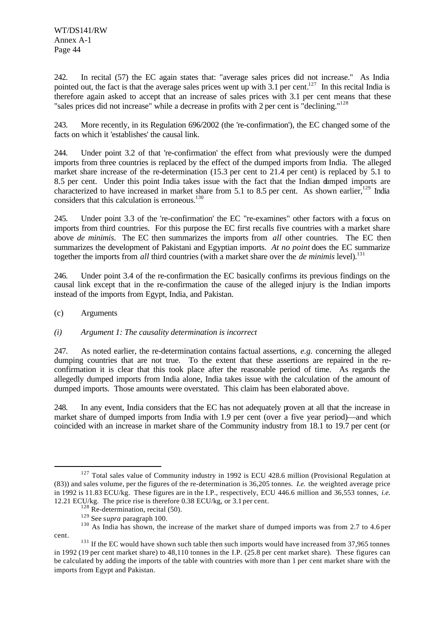WT/DS141/RW Annex A-1 Page 44

242. In recital (57) the EC again states that: "average sales prices did not increase." As India pointed out, the fact is that the average sales prices went up with  $3.1$  per cent.<sup>127</sup> In this recital India is therefore again asked to accept that an increase of sales prices with 3.1 per cent means that these "sales prices did not increase" while a decrease in profits with 2 per cent is "declining."<sup>128</sup>

243. More recently, in its Regulation 696/2002 (the 're-confirmation'), the EC changed some of the facts on which it 'establishes' the causal link.

244. Under point 3.2 of that 're-confirmation' the effect from what previously were the dumped imports from three countries is replaced by the effect of the dumped imports from India. The alleged market share increase of the re-determination (15.3 per cent to 21.4 per cent) is replaced by 5.1 to 8.5 per cent. Under this point India takes issue with the fact that the Indian dumped imports are characterized to have increased in market share from 5.1 to 8.5 per cent. As shown earlier,<sup>129</sup> India considers that this calculation is erroneous.<sup>130</sup>

245. Under point 3.3 of the 're-confirmation' the EC "re-examines" other factors with a focus on imports from third countries. For this purpose the EC first recalls five countries with a market share above *de minimis*. The EC then summarizes the imports from *all* other countries. The EC then summarizes the development of Pakistani and Egyptian imports. *At no point* does the EC summarize together the imports from *all* third countries (with a market share over the *de minimis* level).<sup>131</sup>

246. Under point 3.4 of the re-confirmation the EC basically confirms its previous findings on the causal link except that in the re-confirmation the cause of the alleged injury is the Indian imports instead of the imports from Egypt, India, and Pakistan.

#### (c) Arguments

l

#### *(i) Argument 1: The causality determination is incorrect*

247. As noted earlier, the re-determination contains factual assertions, *e.g.* concerning the alleged dumping countries that are not true. To the extent that these assertions are repaired in the reconfirmation it is clear that this took place after the reasonable period of time. As regards the allegedly dumped imports from India alone, India takes issue with the calculation of the amount of dumped imports. Those amounts were overstated. This claim has been elaborated above.

248. In any event, India considers that the EC has not adequately proven at all that the increase in market share of dumped imports from India with 1.9 per cent (over a five year period)—and which coincided with an increase in market share of the Community industry from 18.1 to 19.7 per cent (or

<sup>&</sup>lt;sup>127</sup> Total sales value of Community industry in 1992 is ECU 428.6 million (Provisional Regulation at (83)) and sales volume, per the figures of the re-determination is 36,205 tonnes. *I.e.* the weighted average price in 1992 is 11.83 ECU/kg. These figures are in the I.P., respectively, ECU 446.6 million and 36,553 tonnes, *i.e.* 12.21 ECU/kg. The price rise is therefore 0.38 ECU/kg, or 3.1 per cent.

 $128$  Re-determination, recital (50).

<sup>129</sup> See s*upra* paragraph 100.

<sup>&</sup>lt;sup>130</sup> As India has shown, the increase of the market share of dumped imports was from 2.7 to 4.6 per cent.

<sup>&</sup>lt;sup>131</sup> If the EC would have shown such table then such imports would have increased from 37,965 tonnes in 1992 (19 per cent market share) to 48,110 tonnes in the I.P. (25.8 per cent market share). These figures can be calculated by adding the imports of the table with countries with more than 1 per cent market share with the imports from Egypt and Pakistan.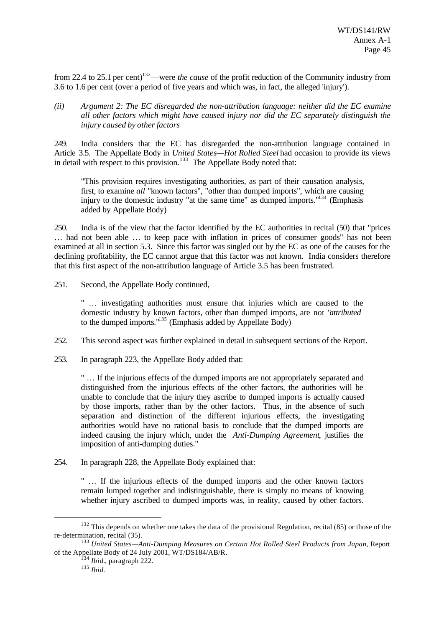from 22.4 to 25.1 per cent) <sup>132</sup>—were *the cause* of the profit reduction of the Community industry from 3.6 to 1.6 per cent (over a period of five years and which was, in fact, the alleged 'injury').

*(ii) Argument 2: The EC disregarded the non-attribution language: neither did the EC examine all other factors which might have caused injury nor did the EC separately distinguish the injury caused by other factors*

249. India considers that the EC has disregarded the non-attribution language contained in Article 3.5. The Appellate Body in *United States—Hot Rolled Steel* had occasion to provide its views in detail with respect to this provision.<sup>133</sup> The Appellate Body noted that:

"This provision requires investigating authorities, as part of their causation analysis, first, to examine *all* "known factors", "other than dumped imports", which are causing injury to the domestic industry "at the same time" as dumped imports."<sup>134</sup> (Emphasis added by Appellate Body)

250. India is of the view that the factor identified by the EC authorities in recital (50) that "prices … had not been able … to keep pace with inflation in prices of consumer goods" has not been examined at all in section 5.3. Since this factor was singled out by the EC as one of the causes for the declining profitability, the EC cannot argue that this factor was not known. India considers therefore that this first aspect of the non-attribution language of Article 3.5 has been frustrated.

251. Second, the Appellate Body continued,

" … investigating authorities must ensure that injuries which are caused to the domestic industry by known factors, other than dumped imports, are not "*attributed* to the dumped imports."<sup>135</sup> (Emphasis added by Appellate Body)

- 252. This second aspect was further explained in detail in subsequent sections of the Report.
- 253. In paragraph 223, the Appellate Body added that:

" … If the injurious effects of the dumped imports are not appropriately separated and distinguished from the injurious effects of the other factors, the authorities will be unable to conclude that the injury they ascribe to dumped imports is actually caused by those imports, rather than by the other factors. Thus, in the absence of such separation and distinction of the different injurious effects, the investigating authorities would have no rational basis to conclude that the dumped imports are indeed causing the injury which, under the *Anti-Dumping Agreement*, justifies the imposition of anti-dumping duties."

254. In paragraph 228, the Appellate Body explained that:

" … If the injurious effects of the dumped imports and the other known factors remain lumped together and indistinguishable, there is simply no means of knowing whether injury ascribed to dumped imports was, in reality, caused by other factors.

<sup>&</sup>lt;sup>132</sup> This depends on whether one takes the data of the provisional Regulation, recital (85) or those of the re-determination, recital (35).

<sup>133</sup> *United States—Anti-Dumping Measures on Certain Hot Rolled Steel Products from Japan*, Report of the Appellate Body of 24 July 2001, WT/DS184/AB/R.

<sup>134</sup> *Ibid.*, paragraph 222.

<sup>135</sup> *Ibid.*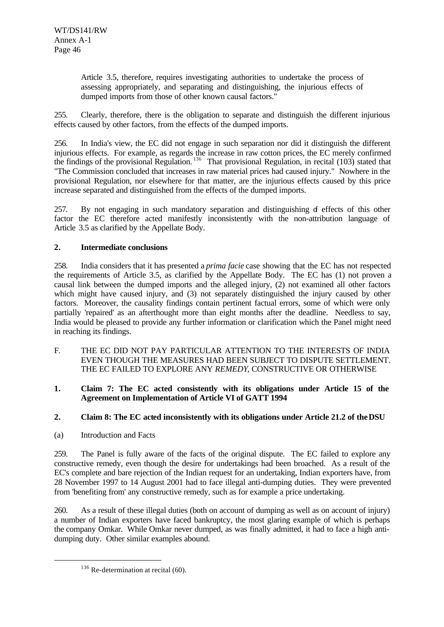Article 3.5, therefore, requires investigating authorities to undertake the process of assessing appropriately, and separating and distinguishing, the injurious effects of dumped imports from those of other known causal factors."

255. Clearly, therefore, there is the obligation to separate and distinguish the different injurious effects caused by other factors, from the effects of the dumped imports.

256. In India's view, the EC did not engage in such separation nor did it distinguish the different injurious effects. For example, as regards the increase in raw cotton prices, the EC merely confirmed the findings of the provisional Regulation.<sup>136</sup> That provisional Regulation, in recital (103) stated that "The Commission concluded that increases in raw material prices had caused injury." Nowhere in the provisional Regulation, nor elsewhere for that matter, are the injurious effects caused by this price increase separated and distinguished from the effects of the dumped imports.

257. By not engaging in such mandatory separation and distinguishing of effects of this other factor the EC therefore acted manifestly inconsistently with the non-attribution language of Article 3.5 as clarified by the Appellate Body.

# **2. Intermediate conclusions**

258. India considers that it has presented a *prima facie* case showing that the EC has not respected the requirements of Article 3.5, as clarified by the Appellate Body. The EC has (1) not proven a causal link between the dumped imports and the alleged injury, (2) not examined all other factors which might have caused injury, and (3) not separately distinguished the injury caused by other factors. Moreover, the causality findings contain pertinent factual errors, some of which were only partially 'repaired' as an afterthought more than eight months after the deadline. Needless to say, India would be pleased to provide any further information or clarification which the Panel might need in reaching its findings.

F. THE EC DID NOT PAY PARTICULAR ATTENTION TO THE INTERESTS OF INDIA EVEN THOUGH THE MEASURES HAD BEEN SUBJECT TO DISPUTE SETTLEMENT. THE EC FAILED TO EXPLORE ANY *REMEDY*, CONSTRUCTIVE OR OTHERWISE

#### **1. Claim 7: The EC acted consistently with its obligations under Article 15 of the Agreement on Implementation of Article VI of GATT 1994**

# **2. Claim 8: The EC acted inconsistently with its obligations under Article 21.2 of the DSU**

(a) Introduction and Facts

l

259. The Panel is fully aware of the facts of the original dispute. The EC failed to explore any constructive remedy, even though the desire for undertakings had been broached. As a result of the EC's complete and bare rejection of the Indian request for an undertaking, Indian exporters have, from 28 November 1997 to 14 August 2001 had to face illegal anti-dumping duties. They were prevented from 'benefiting from' any constructive remedy, such as for example a price undertaking.

260. As a result of these illegal duties (both on account of dumping as well as on account of injury) a number of Indian exporters have faced bankruptcy, the most glaring example of which is perhaps the company Omkar. While Omkar never dumped, as was finally admitted, it had to face a high antidumping duty. Other similar examples abound.

 $136$  Re-determination at recital (60).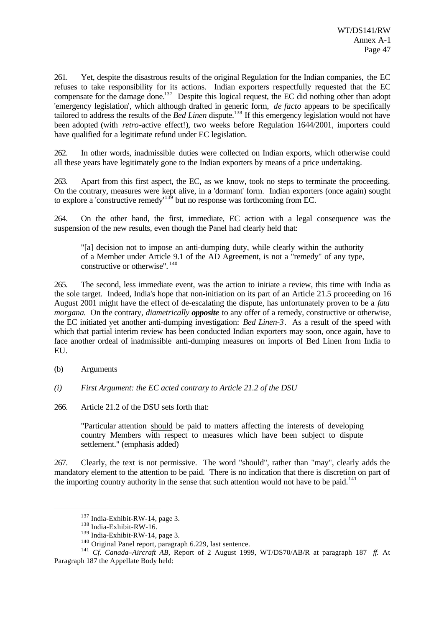261. Yet, despite the disastrous results of the original Regulation for the Indian companies, the EC refuses to take responsibility for its actions. Indian exporters respectfully requested that the EC compensate for the damage done.<sup>137</sup> Despite this logical request, the EC did nothing other than adopt 'emergency legislation', which although drafted in generic form, *de facto* appears to be specifically tailored to address the results of the *Bed Linen* dispute.<sup>138</sup> If this emergency legislation would not have been adopted (with *retro*-active effect!), two weeks before Regulation 1644/2001, importers could have qualified for a legitimate refund under EC legislation.

262. In other words, inadmissible duties were collected on Indian exports, which otherwise could all these years have legitimately gone to the Indian exporters by means of a price undertaking.

263. Apart from this first aspect, the EC, as we know, took no steps to terminate the proceeding. On the contrary, measures were kept alive, in a 'dormant' form. Indian exporters (once again) sought to explore a 'constructive remedy'<sup>139</sup> but no response was forthcoming from EC.

264. On the other hand, the first, immediate, EC action with a legal consequence was the suspension of the new results, even though the Panel had clearly held that:

"[a] decision not to impose an anti-dumping duty, while clearly within the authority of a Member under Article 9.1 of the AD Agreement, is not a "remedy" of any type, constructive or otherwise". <sup>140</sup>

265. The second, less immediate event, was the action to initiate a review, this time with India as the sole target. Indeed, India's hope that non-initiation on its part of an Article 21.5 proceeding on 16 August 2001 might have the effect of de-escalating the dispute, has unfortunately proven to be a *fata morgana.* On the contrary, *diametrically opposite* to any offer of a remedy, constructive or otherwise, the EC initiated yet another anti-dumping investigation: *Bed Linen-3*. As a result of the speed with which that partial interim review has been conducted Indian exporters may soon, once again, have to face another ordeal of inadmissible anti-dumping measures on imports of Bed Linen from India to EU.

(b) Arguments

l

- *(i) First Argument: the EC acted contrary to Article 21.2 of the DSU*
- 266. Article 21.2 of the DSU sets forth that:

"Particular attention should be paid to matters affecting the interests of developing country Members with respect to measures which have been subject to dispute settlement." (emphasis added)

267. Clearly, the text is not permissive. The word "should", rather than "may", clearly adds the mandatory element to the attention to be paid. There is no indication that there is discretion on part of the importing country authority in the sense that such attention would not have to be paid.<sup>141</sup>

<sup>137</sup> India-Exhibit-RW-14, page 3.

<sup>138</sup> India-Exhibit-RW-16.

 $139$  India-Exhibit-RW-14, page 3.

<sup>140</sup> Original Panel report, paragraph 6.229, last sentence.

<sup>141</sup> *Cf. Canada–Aircraft AB,* Report of 2 August 1999, WT/DS70/AB/R at paragraph 187 *ff.* At Paragraph 187 the Appellate Body held: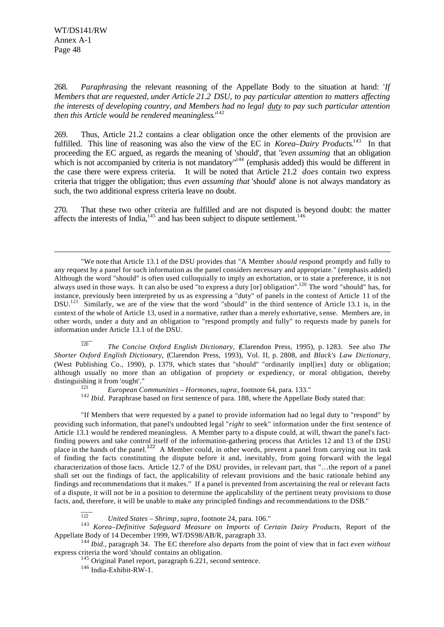l

268. *Paraphrasing* the relevant reasoning of the Appellate Body to the situation at hand: '*If Members that are requested, under Article 21.2 DSU, to pay particular attention to matters affecting the interests of developing country, and Members had no legal duty to pay such particular attention then this Article would be rendered meaningless.*<sup>142</sup>

269. Thus, Article 21.2 contains a clear obligation once the other elements of the provision are fulfilled. This line of reasoning was also the view of the EC in *Korea–Dairy Products*.<sup>143</sup> In that proceeding the EC argued, as regards the meaning of 'should', that "*even assuming* that an obligation which is not accompanied by criteria is not mandatory<sup> $n<sup>144</sup>$ </sup> (emphasis added) this would be different in the case there were express criteria. It will be noted that Article 21.2 *does* contain two express criteria that trigger the obligation; thus *even assuming that* 'should' alone is not always mandatory as such, the two additional express criteria leave no doubt.

270. That these two other criteria are fulfilled and are not disputed is beyond doubt: the matter affects the interests of India, $^{145}$  and has been subject to dispute settlement.<sup>146</sup>

"We note that Article 13.1 of the DSU provides that "A Member *should* respond promptly and fully to any request by a panel for such information as the panel considers necessary and appropriate." (emphasis added) Although the word "should" is often used colloquially to imply an exhortation, or to state a preference, it is not always used in those ways. It can also be used "to express a duty [or] obligation".<sup>120</sup> The word "should" has, for instance, previously been interpreted by us as expressing a "duty" of panels in the context of Article 11 of the DSU.<sup>121</sup> Similarly, we are of the view that the word "should" in the third sentence of Article 13.1 is, in the context of the whole of Article 13, used in a normative, rather than a merely exhortative, sense. Members are, in other words, under a duty and an obligation to "respond promptly and fully" to requests made by panels for information under Article 13.1 of the DSU.

 $\overline{120}$ <sup>120</sup> *The Concise Oxford English Dictionary*, (Clarendon Press, 1995), p. 1283. See also *The Shorter Oxford English Dictionary*, (Clarendon Press, 1993), Vol. II, p. 2808, and *Black's Law Dictionary*, (West Publishing Co., 1990), p. 1379, which states that "should" "ordinarily impl[ies] duty or obligation; although usually no more than an obligation of propriety or expediency, or moral obligation, thereby distinguishing it from 'ought'."

<sup>121</sup> *European Communities – Hormones*, *supra*, footnote 64, para. 133."

<sup>142</sup> *Ibid.* Paraphrase based on first sentence of para. 188, where the Appellate Body stated that:

"If Members that were requested by a panel to provide information had no legal duty to "respond" by providing such information, that panel's undoubted legal "*right* to seek" information under the first sentence of Article 13.1 would be rendered meaningless. A Member party to a dispute could, at will, thwart the panel's factfinding powers and take control itself of the information-gathering process that Articles 12 and 13 of the DSU place in the hands of the panel.<sup>122</sup> A Member could, in other words, prevent a panel from carrying out its task of finding the facts constituting the dispute before it and, inevitably, from going forward with the legal characterization of those facts. Article 12.7 of the DSU provides, in relevant part, that "…the report of a panel shall set out the findings of fact, the applicability of relevant provisions and the basic rationale behind any findings and recommendations that it makes." If a panel is prevented from ascertaining the real or relevant facts of a dispute, it will not be in a position to determine the applicability of the pertinent treaty provisions to those facts, and, therefore, it will be unable to make any principled findings and recommendations to the DSB."

 $\overline{122}$ <sup>122</sup> *United States – Shrimp*, *supra*, footnote 24, para. 106."

<sup>143</sup> *Korea–Definitive Safeguard Measure on Imports of Certain Dairy Products*, Report of the Appellate Body of 14 December 1999, WT/DS98/AB/R, paragraph 33.

<sup>144</sup> *Ibid.,* paragraph 34. The EC therefore also departs from the point of view that in fact *even without* express criteria the word 'should' contains an obligation.

 $145$  Original Panel report, paragraph 6.221, second sentence.

<sup>146</sup> India-Exhibit-RW-1.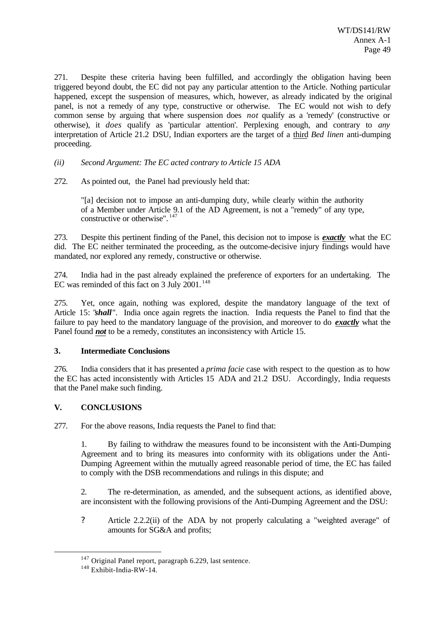271. Despite these criteria having been fulfilled, and accordingly the obligation having been triggered beyond doubt, the EC did not pay any particular attention to the Article. Nothing particular happened, except the suspension of measures, which, however, as already indicated by the original panel, is not a remedy of any type, constructive or otherwise. The EC would not wish to defy common sense by arguing that where suspension does *not* qualify as a 'remedy' (constructive or otherwise), it *does* qualify as 'particular attention'. Perplexing enough, and contrary to *any* interpretation of Article 21.2 DSU, Indian exporters are the target of a third *Bed linen* anti-dumping proceeding.

*(ii) Second Argument: The EC acted contrary to Article 15 ADA*

272. As pointed out, the Panel had previously held that:

"[a] decision not to impose an anti-dumping duty, while clearly within the authority of a Member under Article 9.1 of the AD Agreement, is not a "remedy" of any type, constructive or otherwise".  $147$ 

273. Despite this pertinent finding of the Panel, this decision not to impose is *exactly* what the EC did. The EC neither terminated the proceeding, as the outcome-decisive injury findings would have mandated, nor explored any remedy, constructive or otherwise.

274. India had in the past already explained the preference of exporters for an undertaking. The EC was reminded of this fact on 3 July 2001.<sup>148</sup>

275. Yet, once again, nothing was explored, despite the mandatory language of the text of Article 15: "*shall*". India once again regrets the inaction. India requests the Panel to find that the failure to pay heed to the mandatory language of the provision, and moreover to do *exactly* what the Panel found *not* to be a remedy, constitutes an inconsistency with Article 15.

# **3. Intermediate Conclusions**

276. India considers that it has presented a *prima facie* case with respect to the question as to how the EC has acted inconsistently with Articles 15 ADA and 21.2 DSU. Accordingly, India requests that the Panel make such finding.

# **V. CONCLUSIONS**

277. For the above reasons, India requests the Panel to find that:

1. By failing to withdraw the measures found to be inconsistent with the Anti-Dumping Agreement and to bring its measures into conformity with its obligations under the Anti-Dumping Agreement within the mutually agreed reasonable period of time, the EC has failed to comply with the DSB recommendations and rulings in this dispute; and

2. The re-determination, as amended, and the subsequent actions, as identified above, are inconsistent with the following provisions of the Anti-Dumping Agreement and the DSU:

? Article 2.2.2(ii) of the ADA by not properly calculating a "weighted average" of amounts for SG&A and profits;

<sup>&</sup>lt;sup>147</sup> Original Panel report, paragraph 6.229, last sentence.

<sup>&</sup>lt;sup>148</sup> Exhibit-India-RW-14.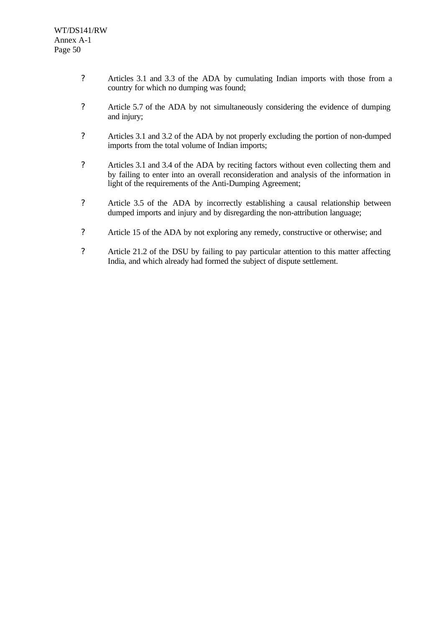- ? Articles 3.1 and 3.3 of the ADA by cumulating Indian imports with those from a country for which no dumping was found;
- ? Article 5.7 of the ADA by not simultaneously considering the evidence of dumping and injury;
- ? Articles 3.1 and 3.2 of the ADA by not properly excluding the portion of non-dumped imports from the total volume of Indian imports;
- ? Articles 3.1 and 3.4 of the ADA by reciting factors without even collecting them and by failing to enter into an overall reconsideration and analysis of the information in light of the requirements of the Anti-Dumping Agreement;
- ? Article 3.5 of the ADA by incorrectly establishing a causal relationship between dumped imports and injury and by disregarding the non-attribution language;
- ? Article 15 of the ADA by not exploring any remedy, constructive or otherwise; and
- ? Article 21.2 of the DSU by failing to pay particular attention to this matter affecting India, and which already had formed the subject of dispute settlement.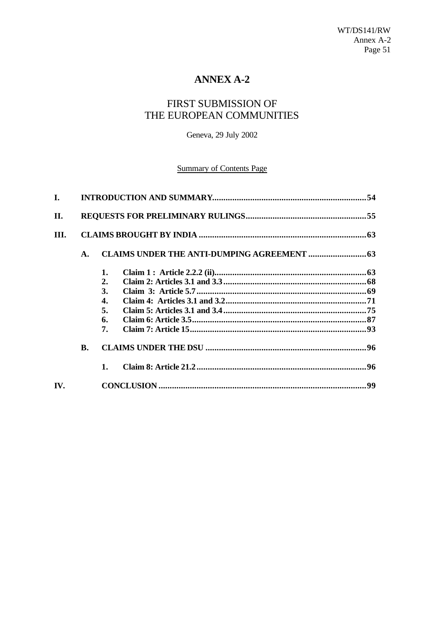# **ANNEX A-2**

# FIRST SUBMISSION OF THE EUROPEAN COMMUNITIES

Geneva, 29 July 2002

# **Summary of Contents Page**

| L.   |    |    |  |  |
|------|----|----|--|--|
| II.  |    |    |  |  |
| III. |    |    |  |  |
|      | A. |    |  |  |
|      |    | 1. |  |  |
|      |    | 2. |  |  |
|      |    | 3. |  |  |
|      |    | 4. |  |  |
|      |    | 5. |  |  |
|      |    | 6. |  |  |
|      |    | 7. |  |  |
|      | B. |    |  |  |
|      |    | 1. |  |  |
| IV.  |    |    |  |  |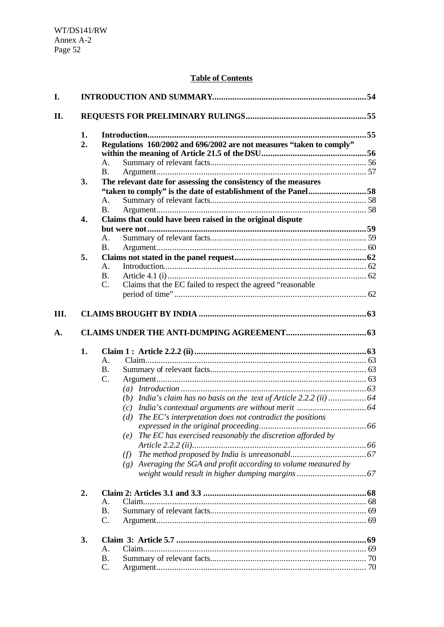# **Table of Contents**

| 1.               |                                                                                |  |
|------------------|--------------------------------------------------------------------------------|--|
| 2.               | Regulations 160/2002 and 696/2002 are not measures "taken to comply"           |  |
|                  |                                                                                |  |
|                  | Α.                                                                             |  |
|                  | <b>B.</b>                                                                      |  |
| 3.               | The relevant date for assessing the consistency of the measures                |  |
|                  | "taken to comply" is the date of establishment of the Panel58                  |  |
|                  | A.                                                                             |  |
|                  | <b>B.</b>                                                                      |  |
| $\overline{4}$ . | Claims that could have been raised in the original dispute                     |  |
|                  |                                                                                |  |
|                  | А.                                                                             |  |
|                  | <b>B.</b>                                                                      |  |
| 5.               |                                                                                |  |
|                  | $A_{-}$                                                                        |  |
|                  | <b>B.</b>                                                                      |  |
|                  | Claims that the EC failed to respect the agreed "reasonable"<br>$\mathbf{C}$ . |  |
|                  |                                                                                |  |
|                  |                                                                                |  |
|                  |                                                                                |  |
|                  |                                                                                |  |
|                  |                                                                                |  |
| 1.               |                                                                                |  |
|                  | $\mathsf{A}$ .                                                                 |  |
|                  | <b>B.</b>                                                                      |  |
|                  | C.                                                                             |  |
|                  |                                                                                |  |
|                  |                                                                                |  |
|                  |                                                                                |  |
|                  | (d) The $EC$ 's interpretation does not contradict the positions               |  |
|                  |                                                                                |  |
|                  | The EC has exercised reasonably the discretion afforded by<br>(e)              |  |
|                  |                                                                                |  |
|                  | (f)                                                                            |  |
|                  | $(g)$ Averaging the SGA and profit according to volume measured by             |  |
|                  |                                                                                |  |
| 2.               |                                                                                |  |
|                  | A.                                                                             |  |
|                  | <b>B.</b>                                                                      |  |
|                  | C.                                                                             |  |
| 3.               |                                                                                |  |
|                  | A.                                                                             |  |
|                  | <b>B.</b>                                                                      |  |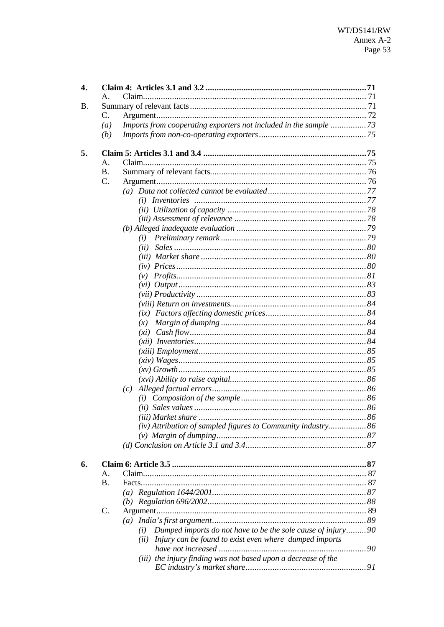| 4. |                 |                                                                    |  |  |
|----|-----------------|--------------------------------------------------------------------|--|--|
|    | $\mathsf{A}$ .  |                                                                    |  |  |
| Β. |                 |                                                                    |  |  |
|    | C.              |                                                                    |  |  |
|    | (a)             |                                                                    |  |  |
|    | (b)             |                                                                    |  |  |
| 5. |                 |                                                                    |  |  |
|    | A.              |                                                                    |  |  |
|    | <b>B.</b>       |                                                                    |  |  |
|    | C.              |                                                                    |  |  |
|    |                 |                                                                    |  |  |
|    |                 |                                                                    |  |  |
|    |                 |                                                                    |  |  |
|    |                 |                                                                    |  |  |
|    |                 |                                                                    |  |  |
|    |                 | (i)                                                                |  |  |
|    |                 | (ii)                                                               |  |  |
|    |                 |                                                                    |  |  |
|    |                 |                                                                    |  |  |
|    |                 | (v)                                                                |  |  |
|    |                 |                                                                    |  |  |
|    |                 |                                                                    |  |  |
|    |                 |                                                                    |  |  |
|    |                 |                                                                    |  |  |
|    |                 | (x)                                                                |  |  |
|    |                 |                                                                    |  |  |
|    |                 |                                                                    |  |  |
|    |                 |                                                                    |  |  |
|    |                 |                                                                    |  |  |
|    |                 |                                                                    |  |  |
|    |                 |                                                                    |  |  |
|    |                 | (c)                                                                |  |  |
|    |                 |                                                                    |  |  |
|    |                 |                                                                    |  |  |
|    |                 |                                                                    |  |  |
|    |                 | (iv) Attribution of sampled figures to Community industry 86       |  |  |
|    |                 |                                                                    |  |  |
|    |                 |                                                                    |  |  |
|    |                 |                                                                    |  |  |
| 6. |                 |                                                                    |  |  |
|    | А.              |                                                                    |  |  |
|    | <b>B.</b>       |                                                                    |  |  |
|    |                 |                                                                    |  |  |
|    |                 |                                                                    |  |  |
|    | $\mathcal{C}$ . |                                                                    |  |  |
|    |                 |                                                                    |  |  |
|    |                 | Dumped imports do not have to be the sole cause of injury90<br>(i) |  |  |
|    |                 | Injury can be found to exist even where dumped imports<br>(ii)     |  |  |
|    |                 |                                                                    |  |  |
|    |                 | (iii) the injury finding was not based upon a decrease of the      |  |  |
|    |                 |                                                                    |  |  |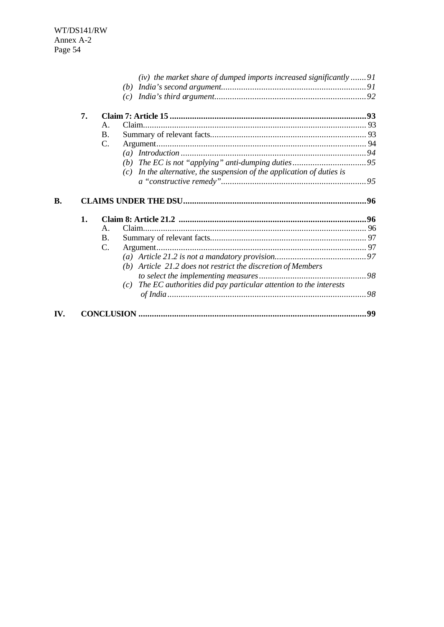| $(c)$ In the alternative, the suspension of the application of duties is |
|--------------------------------------------------------------------------|
|                                                                          |
|                                                                          |
|                                                                          |
|                                                                          |
|                                                                          |
|                                                                          |
|                                                                          |
|                                                                          |
|                                                                          |
|                                                                          |
|                                                                          |
| The EC authorities did pay particular attention to the interests         |
|                                                                          |
|                                                                          |
|                                                                          |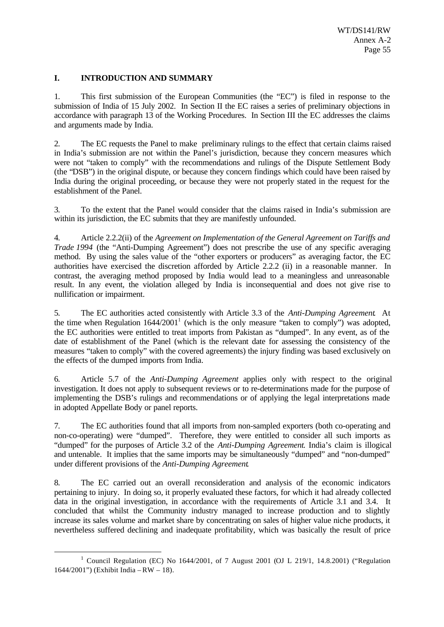## **I. INTRODUCTION AND SUMMARY**

1. This first submission of the European Communities (the "EC") is filed in response to the submission of India of 15 July 2002. In Section II the EC raises a series of preliminary objections in accordance with paragraph 13 of the Working Procedures. In Section III the EC addresses the claims and arguments made by India.

2. The EC requests the Panel to make preliminary rulings to the effect that certain claims raised in India's submission are not within the Panel's jurisdiction, because they concern measures which were not "taken to comply" with the recommendations and rulings of the Dispute Settlement Body (the "DSB") in the original dispute, or because they concern findings which could have been raised by India during the original proceeding, or because they were not properly stated in the request for the establishment of the Panel.

3. To the extent that the Panel would consider that the claims raised in India's submission are within its jurisdiction, the EC submits that they are manifestly unfounded.

4. Article 2.2.2(ii) of the *Agreement on Implementation of the General Agreement on Tariffs and Trade 1994* (the "Anti-Dumping Agreement") does not prescribe the use of any specific averaging method. By using the sales value of the "other exporters or producers" as averaging factor, the EC authorities have exercised the discretion afforded by Article 2.2.2 (ii) in a reasonable manner. In contrast, the averaging method proposed by India would lead to a meaningless and unreasonable result. In any event, the violation alleged by India is inconsequential and does not give rise to nullification or impairment.

5. The EC authorities acted consistently with Article 3.3 of the *Anti-Dumping Agreement*. At the time when Regulation  $1644/2001<sup>1</sup>$  (which is the only measure "taken to comply") was adopted, the EC authorities were entitled to treat imports from Pakistan as "dumped". In any event, as of the date of establishment of the Panel (which is the relevant date for assessing the consistency of the measures "taken to comply" with the covered agreements) the injury finding was based exclusively on the effects of the dumped imports from India.

6. Article 5.7 of the *Anti-Dumping Agreement* applies only with respect to the original investigation. It does not apply to subsequent reviews or to re-determinations made for the purpose of implementing the DSB's rulings and recommendations or of applying the legal interpretations made in adopted Appellate Body or panel reports.

7. The EC authorities found that all imports from non-sampled exporters (both co-operating and non-co-operating) were "dumped". Therefore, they were entitled to consider all such imports as "dumped" for the purposes of Article 3.2 of the *Anti-Dumping Agreement*. India's claim is illogical and untenable. It implies that the same imports may be simultaneously "dumped" and "non-dumped" under different provisions of the *Anti-Dumping Agreement*.

8. The EC carried out an overall reconsideration and analysis of the economic indicators pertaining to injury. In doing so, it properly evaluated these factors, for which it had already collected data in the original investigation, in accordance with the requirements of Article 3.1 and 3.4. It concluded that whilst the Community industry managed to increase production and to slightly increase its sales volume and market share by concentrating on sales of higher value niche products, it nevertheless suffered declining and inadequate profitability, which was basically the result of price

<sup>&</sup>lt;sup>1</sup> Council Regulation (EC) No 1644/2001, of 7 August 2001 (OJ L 219/1, 14.8.2001) ("Regulation 1644/2001") (Exhibit India – RW – 18).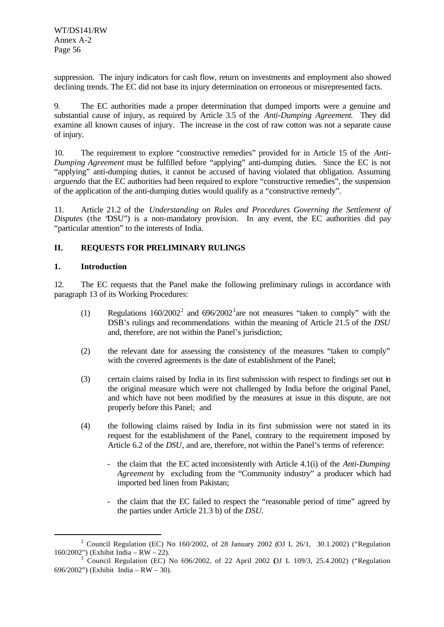suppression. The injury indicators for cash flow, return on investments and employment also showed declining trends. The EC did not base its injury determination on erroneous or misrepresented facts.

9. The EC authorities made a proper determination that dumped imports were a genuine and substantial cause of injury, as required by Article 3.5 of the *Anti-Dumping Agreement*. They did examine all known causes of injury. The increase in the cost of raw cotton was not a separate cause of injury.

10. The requirement to explore "constructive remedies" provided for in Article 15 of the *Anti-Dumping Agreement* must be fulfilled before "applying" anti-dumping duties. Since the EC is not "applying" anti-dumping duties, it cannot be accused of having violated that obligation. Assuming *arguendo* that the EC authorities had been required to explore "constructive remedies", the suspension of the application of the anti-dumping duties would qualify as a "constructive remedy".

11. Article 21.2 of the *Understanding on Rules and Procedures Governing the Settlement of Disputes* (the "DSU") is a non-mandatory provision. In any event, the EC authorities did pay "particular attention" to the interests of India.

# **II. REQUESTS FOR PRELIMINARY RULINGS**

## **1. Introduction**

l

12. The EC requests that the Panel make the following preliminary rulings in accordance with paragraph 13 of its Working Procedures:

- (1) Regulations  $160/2002^2$  and  $696/2002^3$  are not measures "taken to comply" with the DSB's rulings and recommendations within the meaning of Article 21.5 of the *DSU* and, therefore, are not within the Panel's jurisdiction;
- (2) the relevant date for assessing the consistency of the measures "taken to comply" with the covered agreements is the date of establishment of the Panel;
- (3) certain claims raised by India in its first submission with respect to findings set out in the original measure which were not challenged by India before the original Panel, and which have not been modified by the measures at issue in this dispute, are not properly before this Panel; and
- (4) the following claims raised by India in its first submission were not stated in its request for the establishment of the Panel, contrary to the requirement imposed by Article 6.2 of the *DSU*, and are, therefore, not within the Panel's terms of reference:
	- the claim that the EC acted inconsistently with Article 4.1(i) of the *Anti-Dumping Agreement* by excluding from the "Community industry" a producer which had imported bed linen from Pakistan;
	- the claim that the EC failed to respect the "reasonable period of time" agreed by the parties under Article 21.3 b) of the *DSU.*

<sup>&</sup>lt;sup>2</sup> Council Regulation (EC) No 160/2002, of 28 January 2002 (OJ L 26/1, 30.1.2002) ("Regulation 160/2002") (Exhibit India – RW – 22).

 $3^{3}$  Council Regulation (EC) No 696/2002, of 22 April 2002 QJ L 109/3, 25.4.2002) ("Regulation 696/2002") (Exhibit India – RW – 30).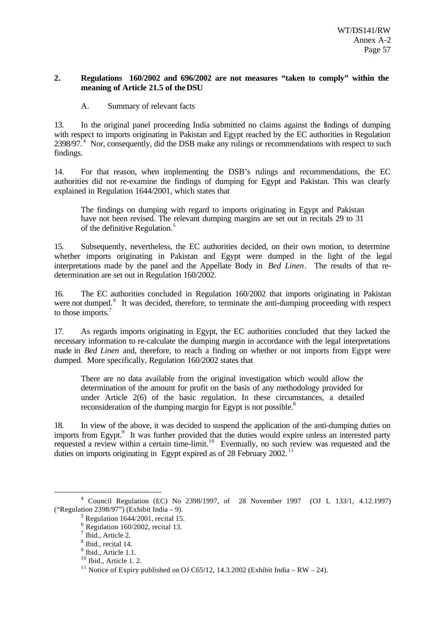#### **2. Regulations 160/2002 and 696/2002 are not measures "taken to comply" within the meaning of Article 21.5 of the DSU**

A. Summary of relevant facts

13. In the original panel proceeding India submitted no claims against the findings of dumping with respect to imports originating in Pakistan and Egypt reached by the EC authorities in Regulation  $2398/97<sup>4</sup>$  Nor, consequently, did the DSB make any rulings or recommendations with respect to such findings.

14. For that reason, when implementing the DSB's rulings and recommendations, the EC authorities did not re-examine the findings of dumping for Egypt and Pakistan. This was clearly explained in Regulation 1644/2001, which states that

The findings on dumping with regard to imports originating in Egypt and Pakistan have not been revised. The relevant dumping margins are set out in recitals 29 to 31 of the definitive Regulation.<sup>5</sup>

15. Subsequently, nevertheless, the EC authorities decided, on their own motion, to determine whether imports originating in Pakistan and Egypt were dumped in the light of the legal interpretations made by the panel and the Appellate Body in *Bed Linen*. The results of that redetermination are set out in Regulation 160/2002.

16. The EC authorities concluded in Regulation 160/2002 that imports originating in Pakistan were not dumped.<sup>6</sup> It was decided, therefore, to terminate the anti-dumping proceeding with respect to those imports.<sup>7</sup>

17. As regards imports originating in Egypt, the EC authorities concluded that they lacked the necessary information to re-calculate the dumping margin in accordance with the legal interpretations made in *Bed Linen* and, therefore, to reach a finding on whether or not imports from Egypt were dumped. More specifically, Regulation 160/2002 states that

There are no data available from the original investigation which would allow the determination of the amount for profit on the basis of any methodology provided for under Article 2(6) of the basic regulation. In these circumstances, a detailed reconsideration of the dumping margin for Egypt is not possible.<sup>8</sup>

18. In view of the above, it was decided to suspend the application of the anti-dumping duties on imports from Egypt.<sup>9</sup> It was further provided that the duties would expire unless an interested party requested a review within a certain time-limit.<sup>10</sup> Eventually, no such review was requested and the duties on imports originating in Egypt expired as of  $28$  February 2002.<sup>11</sup>

<sup>4</sup> Council Regulation (EC) No 2398/1997, of 28 November 1997 (OJ L 133/1, 4.12.1997) ("Regulation 2398/97") (Exhibit India – 9).

 $<sup>5</sup>$  Regulation 1644/2001, recital 15.</sup>

 $6$  Regulation 160/2002, recital 13.

<sup>&</sup>lt;sup>7</sup> Ibid., Article 2.

<sup>&</sup>lt;sup>8</sup> Ibid., recital 14.

 $<sup>9</sup>$  Ibid., Article 1.1.</sup>

 $10$  Ibid., Article 1. 2.

<sup>&</sup>lt;sup>11</sup> Notice of Expiry published on OJ C65/12, 14.3.2002 (Exhibit India – RW – 24).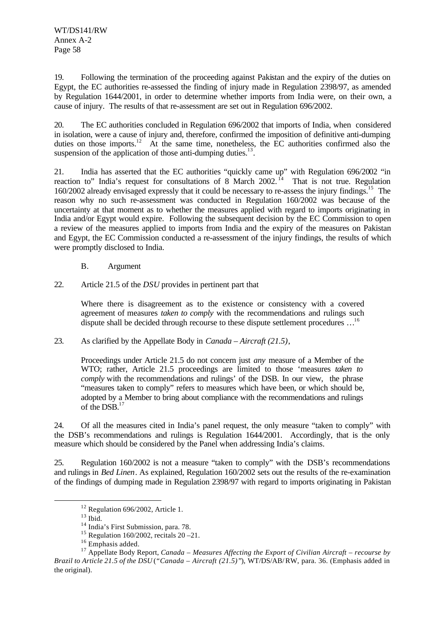19. Following the termination of the proceeding against Pakistan and the expiry of the duties on Egypt, the EC authorities re-assessed the finding of injury made in Regulation 2398/97, as amended by Regulation 1644/2001, in order to determine whether imports from India were, on their own, a cause of injury. The results of that re-assessment are set out in Regulation 696/2002.

20. The EC authorities concluded in Regulation 696/2002 that imports of India, when considered in isolation, were a cause of injury and, therefore, confirmed the imposition of definitive anti-dumping duties on those imports.<sup>12</sup> At the same time, nonetheless, the EC authorities confirmed also the suspension of the application of those anti-dumping duties. $^{13}$ .

21. India has asserted that the EC authorities "quickly came up" with Regulation 696/2002 "in reaction to" India's request for consultations of  $8^{\circ}$  March 2002.<sup>14</sup> That is not true. Regulation 160/2002 already envisaged expressly that it could be necessary to re-assess the injury findings.<sup>15</sup> The reason why no such re-assessment was conducted in Regulation 160/2002 was because of the uncertainty at that moment as to whether the measures applied with regard to imports originating in India and/or Egypt would expire. Following the subsequent decision by the EC Commission to open a review of the measures applied to imports from India and the expiry of the measures on Pakistan and Egypt, the EC Commission conducted a re-assessment of the injury findings, the results of which were promptly disclosed to India.

#### B. Argument

22. Article 21.5 of the *DSU* provides in pertinent part that

Where there is disagreement as to the existence or consistency with a covered agreement of measures *taken to comply* with the recommendations and rulings such dispute shall be decided through recourse to these dispute settlement procedures …<sup>16</sup>

#### 23. As clarified by the Appellate Body in *Canada – Aircraft (21.5)*,

Proceedings under Article 21.5 do not concern just *any* measure of a Member of the WTO; rather, Article 21.5 proceedings are limited to those 'measures *taken to comply* with the recommendations and rulings' of the DSB. In our view, the phrase "measures taken to comply" refers to measures which have been, or which should be, adopted by a Member to bring about compliance with the recommendations and rulings of the DSB.<sup>17</sup>

24. Of all the measures cited in India's panel request, the only measure "taken to comply" with the DSB's recommendations and rulings is Regulation 1644/2001. Accordingly, that is the only measure which should be considered by the Panel when addressing India's claims.

25. Regulation 160/2002 is not a measure "taken to comply" with the DSB's recommendations and rulings in *Bed Linen*. As explained, Regulation 160/2002 sets out the results of the re-examination of the findings of dumping made in Regulation 2398/97 with regard to imports originating in Pakistan

 $12$  Regulation 696/2002, Article 1.

 $13$  Ibid.

<sup>14</sup> India's First Submission, para. 78.

<sup>&</sup>lt;sup>15</sup> Regulation 160/2002, recitals  $20 - 21$ .

<sup>&</sup>lt;sup>16</sup> Emphasis added.

<sup>17</sup> Appellate Body Report, *Canada – Measures Affecting the Export of Civilian Aircraft – recourse by Brazil to Article 21.5 of the DSU* (*"Canada – Aircraft (21.5)"*), WT/DS/AB/RW, para. 36. (Emphasis added in the original).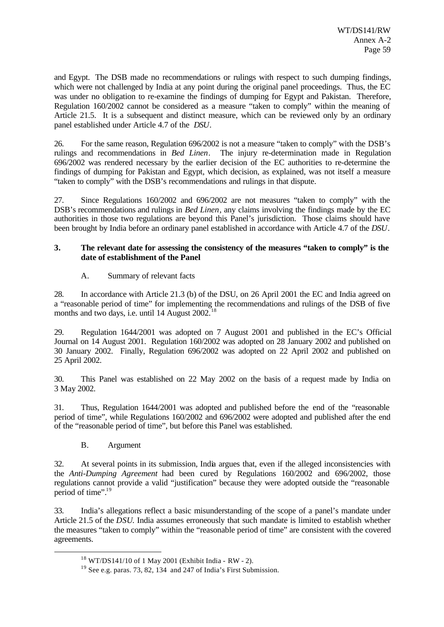and Egypt. The DSB made no recommendations or rulings with respect to such dumping findings, which were not challenged by India at any point during the original panel proceedings. Thus, the EC was under no obligation to re-examine the findings of dumping for Egypt and Pakistan. Therefore, Regulation 160/2002 cannot be considered as a measure "taken to comply" within the meaning of Article 21.5. It is a subsequent and distinct measure, which can be reviewed only by an ordinary panel established under Article 4.7 of the *DSU*.

26. For the same reason, Regulation 696/2002 is not a measure "taken to comply" with the DSB's rulings and recommendations in *Bed Linen*. The injury re-determination made in Regulation 696/2002 was rendered necessary by the earlier decision of the EC authorities to re-determine the findings of dumping for Pakistan and Egypt, which decision, as explained, was not itself a measure "taken to comply" with the DSB's recommendations and rulings in that dispute.

27. Since Regulations 160/2002 and 696/2002 are not measures "taken to comply" with the DSB's recommendations and rulings in *Bed Linen*, any claims involving the findings made by the EC authorities in those two regulations are beyond this Panel's jurisdiction. Those claims should have been brought by India before an ordinary panel established in accordance with Article 4.7 of the *DSU*.

#### **3. The relevant date for assessing the consistency of the measures "taken to comply" is the date of establishment of the Panel**

# A. Summary of relevant facts

28. In accordance with Article 21.3 (b) of the DSU, on 26 April 2001 the EC and India agreed on a "reasonable period of time" for implementing the recommendations and rulings of the DSB of five months and two days, i.e. until 14 August 2002.<sup>18</sup>

29. Regulation 1644/2001 was adopted on 7 August 2001 and published in the EC's Official Journal on 14 August 2001. Regulation 160/2002 was adopted on 28 January 2002 and published on 30 January 2002. Finally, Regulation 696/2002 was adopted on 22 April 2002 and published on 25 April 2002.

30. This Panel was established on 22 May 2002 on the basis of a request made by India on 3 May 2002.

31. Thus, Regulation 1644/2001 was adopted and published before the end of the "reasonable period of time", while Regulations 160/2002 and 696/2002 were adopted and published after the end of the "reasonable period of time", but before this Panel was established.

B. Argument

l

32. At several points in its submission, India argues that, even if the alleged inconsistencies with the *Anti-Dumping Agreement* had been cured by Regulations 160/2002 and 696/2002, those regulations cannot provide a valid "justification" because they were adopted outside the "reasonable period of time".<sup>19</sup>

33. India's allegations reflect a basic misunderstanding of the scope of a panel's mandate under Article 21.5 of the *DSU*. India assumes erroneously that such mandate is limited to establish whether the measures "taken to comply" within the "reasonable period of time" are consistent with the covered agreements.

<sup>18</sup> WT/DS141/10 of 1 May 2001 (Exhibit India - RW - 2).

 $19$  See e.g. paras. 73, 82, 134 and 247 of India's First Submission.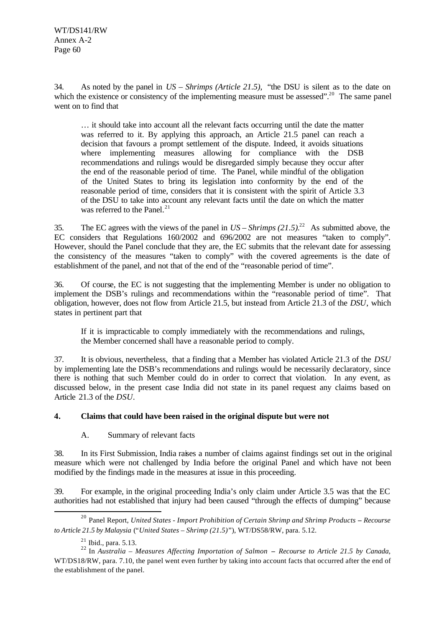34. As noted by the panel in *US – Shrimps (Article 21.5)*, "the DSU is silent as to the date on which the existence or consistency of the implementing measure must be assessed".<sup>20</sup> The same panel went on to find that

… it should take into account all the relevant facts occurring until the date the matter was referred to it. By applying this approach, an Article 21.5 panel can reach a decision that favours a prompt settlement of the dispute. Indeed, it avoids situations where implementing measures allowing for compliance with the DSB recommendations and rulings would be disregarded simply because they occur after the end of the reasonable period of time. The Panel, while mindful of the obligation of the United States to bring its legislation into conformity by the end of the reasonable period of time, considers that it is consistent with the spirit of Article 3.3 of the DSU to take into account any relevant facts until the date on which the matter was referred to the Panel. $^{21}$ 

35. The EC agrees with the views of the panel in  $US - Shrimps (21.5).^{22}$  As submitted above, the EC considers that Regulations 160/2002 and 696/2002 are not measures "taken to comply". However, should the Panel conclude that they are, the EC submits that the relevant date for assessing the consistency of the measures "taken to comply" with the covered agreements is the date of establishment of the panel, and not that of the end of the "reasonable period of time".

36. Of course, the EC is not suggesting that the implementing Member is under no obligation to implement the DSB's rulings and recommendations within the "reasonable period of time". That obligation, however, does not flow from Article 21.5, but instead from Article 21.3 of the *DSU*, which states in pertinent part that

If it is impracticable to comply immediately with the recommendations and rulings, the Member concerned shall have a reasonable period to comply.

37. It is obvious, nevertheless, that a finding that a Member has violated Article 21.3 of the *DSU* by implementing late the DSB's recommendations and rulings would be necessarily declaratory, since there is nothing that such Member could do in order to correct that violation. In any event, as discussed below, in the present case India did not state in its panel request any claims based on Article 21.3 of the *DSU*.

# **4. Claims that could have been raised in the original dispute but were not**

A. Summary of relevant facts

38. In its First Submission, India raises a number of claims against findings set out in the original measure which were not challenged by India before the original Panel and which have not been modified by the findings made in the measures at issue in this proceeding.

39. For example, in the original proceeding India's only claim under Article 3.5 was that the EC authorities had not established that injury had been caused "through the effects of dumping" because

l <sup>20</sup> Panel Report, *United States - Import Prohibition of Certain Shrimp and Shrimp Products - Recourse to Article 21.5 by Malaysia* ("*United States – Shrimp (21.5)*"), WT/DS58/RW, para. 5.12.

 $21$  Ibid., para. 5.13.

<sup>22</sup> In *Australia – Measures Affecting Importation of Salmon* **–** *Recourse to Article 21.5 by Canada*, WT/DS18/RW, para. 7.10, the panel went even further by taking into account facts that occurred after the end of the establishment of the panel.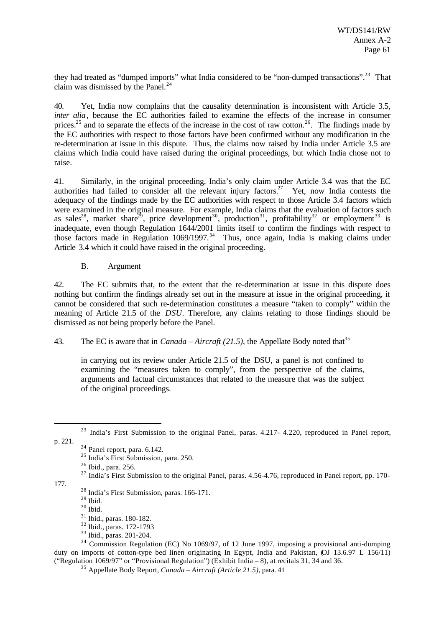they had treated as "dumped imports" what India considered to be "non-dumped transactions".<sup>23</sup> That claim was dismissed by the Panel.<sup>24</sup>

40. Yet, India now complains that the causality determination is inconsistent with Article 3.5, *inter alia*, because the EC authorities failed to examine the effects of the increase in consumer prices.<sup>25</sup> and to separate the effects of the increase in the cost of raw cotton.<sup>26</sup>. The findings made by the EC authorities with respect to those factors have been confirmed without any modification in the re-determination at issue in this dispute. Thus, the claims now raised by India under Article 3.5 are claims which India could have raised during the original proceedings, but which India chose not to raise.

41. Similarly, in the original proceeding, India's only claim under Article 3.4 was that the EC authorities had failed to consider all the relevant injury factors.<sup>27</sup> Yet, now India contests the adequacy of the findings made by the EC authorities with respect to those Article 3.4 factors which were examined in the original measure. For example, India claims that the evaluation of factors such as sales<sup>28</sup>, market share<sup>29</sup>, price development<sup>30</sup>, production<sup>31</sup>, profitability<sup>32</sup> or employment<sup>33</sup> is inadequate, even though Regulation 1644/2001 limits itself to confirm the findings with respect to those factors made in Regulation  $1069/1997$ <sup>34</sup> Thus, once again, India is making claims under Article 3.4 which it could have raised in the original proceeding.

B. Argument

42. The EC submits that, to the extent that the re-determination at issue in this dispute does nothing but confirm the findings already set out in the measure at issue in the original proceeding, it cannot be considered that such re-determination constitutes a measure "taken to comply" within the meaning of Article 21.5 of the *DSU*. Therefore, any claims relating to those findings should be dismissed as not being properly before the Panel.

# 43. The EC is aware that in *Canada – Aircraft (21.5)*, the Appellate Body noted that<sup>35</sup>

in carrying out its review under Article 21.5 of the DSU, a panel is not confined to examining the "measures taken to comply", from the perspective of the claims, arguments and factual circumstances that related to the measure that was the subject of the original proceedings.

l

177.

- <sup>32</sup> Ibid., paras. 172-1793
- $33$  Ibid., paras. 201-204.

<sup>&</sup>lt;sup>23</sup> India's First Submission to the original Panel, paras. 4.217- 4.220, reproduced in Panel report, p. 221.

 $24$  Panel report, para. 6.142.

<sup>25</sup> India's First Submission, para. 250.

<sup>26</sup> Ibid., para. 256.

 $^{27}$  India's First Submission to the original Panel, paras. 4.56-4.76, reproduced in Panel report, pp. 170-

<sup>28</sup> India's First Submission, paras. 166-171.

 $^{29}$  Ibid.

 $30$  Ibid.

<sup>31</sup> Ibid., paras. 180-182.

 $34$  Commission Regulation (EC) No 1069/97, of 12 June 1997, imposing a provisional anti-dumping duty on imports of cotton-type bed linen originating In Egypt, India and Pakistan, OJ 13.6.97 L 156/11) ("Regulation 1069/97" or "Provisional Regulation") (Exhibit India – 8), at recitals 31, 34 and 36.

<sup>35</sup> Appellate Body Report, *Canada – Aircraft (Article 21.5)*, para. 41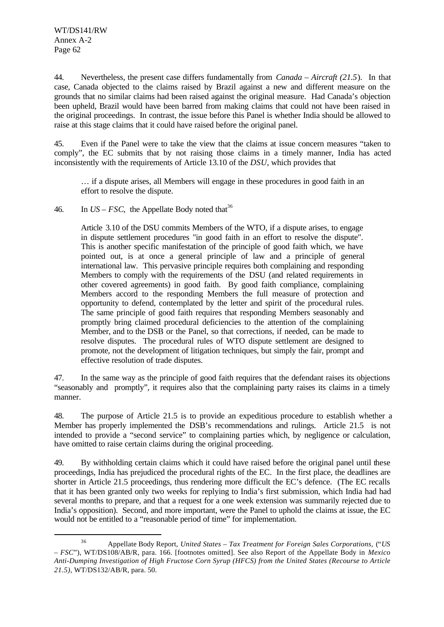l

44. Nevertheless, the present case differs fundamentally from *Canada – Aircraft (21.5*). In that case, Canada objected to the claims raised by Brazil against a new and different measure on the grounds that no similar claims had been raised against the original measure. Had Canada's objection been upheld, Brazil would have been barred from making claims that could not have been raised in the original proceedings. In contrast, the issue before this Panel is whether India should be allowed to raise at this stage claims that it could have raised before the original panel.

45. Even if the Panel were to take the view that the claims at issue concern measures "taken to comply", the EC submits that by not raising those claims in a timely manner, India has acted inconsistently with the requirements of Article 13.10 of the *DSU*, which provides that

… if a dispute arises, all Members will engage in these procedures in good faith in an effort to resolve the dispute.

46. In  $US - FSC$ , the Appellate Body noted that<sup>36</sup>

Article 3.10 of the DSU commits Members of the WTO, if a dispute arises, to engage in dispute settlement procedures "in good faith in an effort to resolve the dispute". This is another specific manifestation of the principle of good faith which, we have pointed out, is at once a general principle of law and a principle of general international law. This pervasive principle requires both complaining and responding Members to comply with the requirements of the DSU (and related requirements in other covered agreements) in good faith. By good faith compliance, complaining Members accord to the responding Members the full measure of protection and opportunity to defend, contemplated by the letter and spirit of the procedural rules. The same principle of good faith requires that responding Members seasonably and promptly bring claimed procedural deficiencies to the attention of the complaining Member, and to the DSB or the Panel, so that corrections, if needed, can be made to resolve disputes. The procedural rules of WTO dispute settlement are designed to promote, not the development of litigation techniques, but simply the fair, prompt and effective resolution of trade disputes.

47. In the same way as the principle of good faith requires that the defendant raises its objections "seasonably and promptly", it requires also that the complaining party raises its claims in a timely manner.

48. The purpose of Article 21.5 is to provide an expeditious procedure to establish whether a Member has properly implemented the DSB's recommendations and rulings. Article 21.5 is not intended to provide a "second service" to complaining parties which, by negligence or calculation, have omitted to raise certain claims during the original proceeding.

49. By withholding certain claims which it could have raised before the original panel until these proceedings, India has prejudiced the procedural rights of the EC. In the first place, the deadlines are shorter in Article 21.5 proceedings, thus rendering more difficult the EC's defence. (The EC recalls that it has been granted only two weeks for replying to India's first submission, which India had had several months to prepare, and that a request for a one week extension was summarily rejected due to India's opposition). Second, and more important, were the Panel to uphold the claims at issue, the EC would not be entitled to a "reasonable period of time" for implementation.

<sup>36</sup> Appellate Body Report, *United States – Tax Treatment for Foreign Sales Corporations,* ("*US – FSC*"), WT/DS108/AB/R, para. 166. [footnotes omitted]. See also Report of the Appellate Body in *Mexico Anti-Dumping Investigation of High Fructose Corn Syrup (HFCS) from the United States (Recourse to Article 21.5)*, WT/DS132/AB/R, para. 50.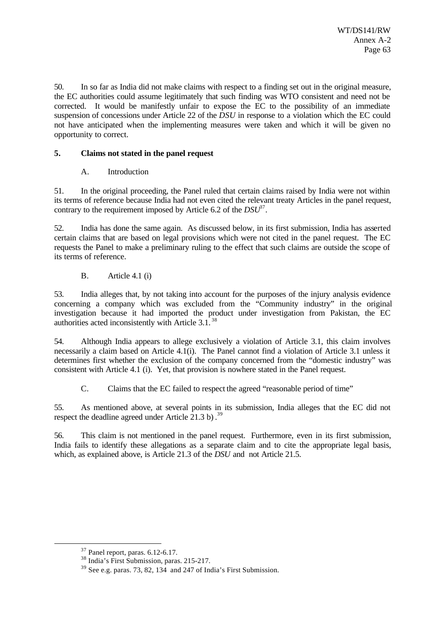50. In so far as India did not make claims with respect to a finding set out in the original measure, the EC authorities could assume legitimately that such finding was WTO consistent and need not be corrected. It would be manifestly unfair to expose the EC to the possibility of an immediate suspension of concessions under Article 22 of the *DSU* in response to a violation which the EC could not have anticipated when the implementing measures were taken and which it will be given no opportunity to correct.

# **5. Claims not stated in the panel request**

# A. Introduction

51. In the original proceeding, the Panel ruled that certain claims raised by India were not within its terms of reference because India had not even cited the relevant treaty Articles in the panel request, contrary to the requirement imposed by Article 6.2 of the  $DSU^3$ .

52. India has done the same again. As discussed below, in its first submission, India has asserted certain claims that are based on legal provisions which were not cited in the panel request. The EC requests the Panel to make a preliminary ruling to the effect that such claims are outside the scope of its terms of reference.

# B. Article 4.1 (i)

53. India alleges that, by not taking into account for the purposes of the injury analysis evidence concerning a company which was excluded from the "Community industry" in the original investigation because it had imported the product under investigation from Pakistan, the EC authorities acted inconsistently with Article 3.1. <sup>38</sup>

54. Although India appears to allege exclusively a violation of Article 3.1, this claim involves necessarily a claim based on Article 4.1(i). The Panel cannot find a violation of Article 3.1 unless it determines first whether the exclusion of the company concerned from the "domestic industry" was consistent with Article 4.1 (i). Yet, that provision is nowhere stated in the Panel request.

C. Claims that the EC failed to respect the agreed "reasonable period of time"

55. As mentioned above, at several points in its submission, India alleges that the EC did not respect the deadline agreed under Article  $21.3$  b).<sup>39</sup>

56. This claim is not mentioned in the panel request. Furthermore, even in its first submission, India fails to identify these allegations as a separate claim and to cite the appropriate legal basis, which, as explained above, is Article 21.3 of the *DSU* and not Article 21.5.

 $37$  Panel report, paras. 6.12-6.17.

 $38$  India's First Submission, paras. 215-217.

 $39$  See e.g. paras. 73, 82, 134 and 247 of India's First Submission.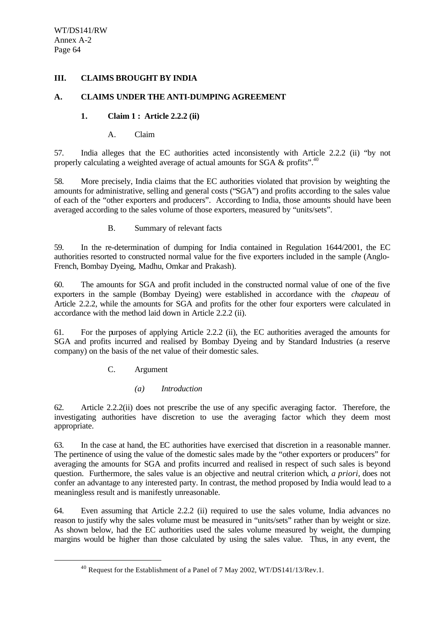## **III. CLAIMS BROUGHT BY INDIA**

#### **A. CLAIMS UNDER THE ANTI-DUMPING AGREEMENT**

# **1. Claim 1 : Article 2.2.2 (ii)**

A. Claim

57. India alleges that the EC authorities acted inconsistently with Article 2.2.2 (ii) "by not properly calculating a weighted average of actual amounts for SGA  $\&$  profits".<sup>40</sup>

58. More precisely, India claims that the EC authorities violated that provision by weighting the amounts for administrative, selling and general costs ("SGA") and profits according to the sales value of each of the "other exporters and producers". According to India, those amounts should have been averaged according to the sales volume of those exporters, measured by "units/sets".

B. Summary of relevant facts

59. In the re-determination of dumping for India contained in Regulation 1644/2001, the EC authorities resorted to constructed normal value for the five exporters included in the sample (Anglo-French, Bombay Dyeing, Madhu, Omkar and Prakash).

60. The amounts for SGA and profit included in the constructed normal value of one of the five exporters in the sample (Bombay Dyeing) were established in accordance with the *chapeau* of Article 2.2.2, while the amounts for SGA and profits for the other four exporters were calculated in accordance with the method laid down in Article 2.2.2 (ii).

61. For the purposes of applying Article 2.2.2 (ii), the EC authorities averaged the amounts for SGA and profits incurred and realised by Bombay Dyeing and by Standard Industries (a reserve company) on the basis of the net value of their domestic sales.

C. Argument

l

*(a) Introduction*

62. Article 2.2.2(ii) does not prescribe the use of any specific averaging factor. Therefore, the investigating authorities have discretion to use the averaging factor which they deem most appropriate.

63. In the case at hand, the EC authorities have exercised that discretion in a reasonable manner. The pertinence of using the value of the domestic sales made by the "other exporters or producers" for averaging the amounts for SGA and profits incurred and realised in respect of such sales is beyond question. Furthermore, the sales value is an objective and neutral criterion which*, a priori,* does not confer an advantage to any interested party. In contrast, the method proposed by India would lead to a meaningless result and is manifestly unreasonable.

64. Even assuming that Article 2.2.2 (ii) required to use the sales volume, India advances no reason to justify why the sales volume must be measured in "units/sets" rather than by weight or size. As shown below, had the EC authorities used the sales volume measured by weight, the dumping margins would be higher than those calculated by using the sales value. Thus, in any event, the

<sup>&</sup>lt;sup>40</sup> Request for the Establishment of a Panel of 7 May 2002, WT/DS141/13/Rev.1.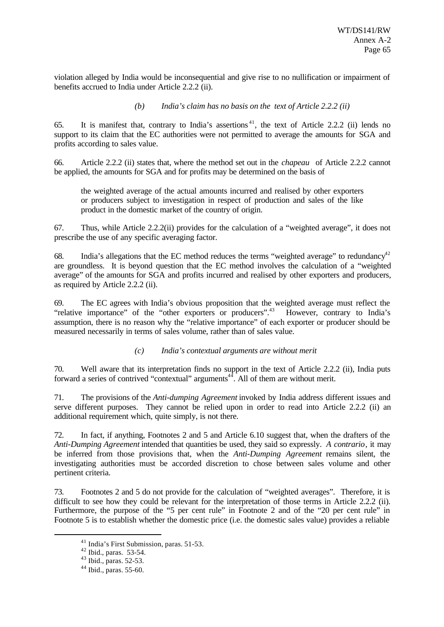violation alleged by India would be inconsequential and give rise to no nullification or impairment of benefits accrued to India under Article 2.2.2 (ii).

*(b) India's claim has no basis on the text of Article 2.2.2 (ii)*

65. It is manifest that, contrary to India's assertions<sup>41</sup>, the text of Article 2.2.2 (ii) lends no support to its claim that the EC authorities were not permitted to average the amounts for SGA and profits according to sales value.

66. Article 2.2.2 (ii) states that, where the method set out in the *chapeau* of Article 2.2.2 cannot be applied, the amounts for SGA and for profits may be determined on the basis of

the weighted average of the actual amounts incurred and realised by other exporters or producers subject to investigation in respect of production and sales of the like product in the domestic market of the country of origin.

67. Thus, while Article 2.2.2(ii) provides for the calculation of a "weighted average", it does not prescribe the use of any specific averaging factor.

68. India's allegations that the EC method reduces the terms "weighted average" to redundancy<sup>42</sup> are groundless. It is beyond question that the EC method involves the calculation of a "weighted average" of the amounts for SGA and profits incurred and realised by other exporters and producers, as required by Article 2.2.2 (ii).

69. The EC agrees with India's obvious proposition that the weighted average must reflect the "relative importance" of the "other exporters or producers".<sup>43</sup> However, contrary to India's assumption, there is no reason why the "relative importance" of each exporter or producer should be measured necessarily in terms of sales volume, rather than of sales value.

*(c) India's contextual arguments are without merit*

70. Well aware that its interpretation finds no support in the text of Article 2.2.2 (ii), India puts forward a series of contrived "contextual" arguments $44$ . All of them are without merit.

71. The provisions of the *Anti-dumping Agreement* invoked by India address different issues and serve different purposes. They cannot be relied upon in order to read into Article 2.2.2 (ii) an additional requirement which, quite simply, is not there.

72. In fact, if anything, Footnotes 2 and 5 and Article 6.10 suggest that, when the drafters of the *Anti-Dumping Agreement* intended that quantities be used, they said so expressly. *A contrario*, it may be inferred from those provisions that, when the *Anti-Dumping Agreement* remains silent, the investigating authorities must be accorded discretion to chose between sales volume and other pertinent criteria.

73. Footnotes 2 and 5 do not provide for the calculation of "weighted averages". Therefore, it is difficult to see how they could be relevant for the interpretation of those terms in Article 2.2.2 (ii). Furthermore, the purpose of the "5 per cent rule" in Footnote 2 and of the "20 per cent rule" in Footnote 5 is to establish whether the domestic price (i.e. the domestic sales value) provides a reliable

<sup>41</sup> India's First Submission, paras. 51-53.

 $42$  Ibid., paras. 53-54.

 $43$  Ibid., paras. 52-53.

<sup>44</sup> Ibid., paras. 55-60.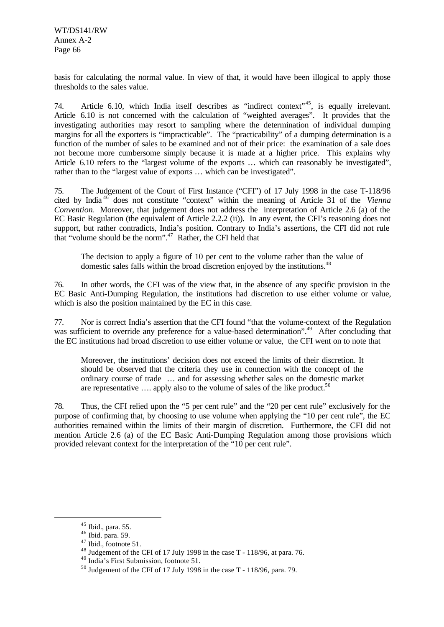basis for calculating the normal value. In view of that, it would have been illogical to apply those thresholds to the sales value.

74. Article 6.10, which India itself describes as "indirect context"<sup>45</sup>, is equally irrelevant. Article 6.10 is not concerned with the calculation of "weighted averages". It provides that the investigating authorities may resort to sampling where the determination of individual dumping margins for all the exporters is "impracticable". The "practicability" of a dumping determination is a function of the number of sales to be examined and not of their price: the examination of a sale does not become more cumbersome simply because it is made at a higher price. This explains why Article 6.10 refers to the "largest volume of the exports … which can reasonably be investigated", rather than to the "largest value of exports … which can be investigated".

75. The Judgement of the Court of First Instance ("CFI") of 17 July 1998 in the case T-118/96 cited by India <sup>46</sup> does not constitute "context" within the meaning of Article 31 of the *Vienna Convention*. Moreover, that judgement does not address the interpretation of Article 2.6 (a) of the EC Basic Regulation (the equivalent of Article 2.2.2 (ii)). In any event, the CFI's reasoning does not support, but rather contradicts, India's position. Contrary to India's assertions, the CFI did not rule that "volume should be the norm".<sup>47</sup> Rather, the CFI held that

The decision to apply a figure of 10 per cent to the volume rather than the value of domestic sales falls within the broad discretion enjoyed by the institutions.<sup>48</sup>

76. In other words, the CFI was of the view that, in the absence of any specific provision in the EC Basic Anti-Dumping Regulation, the institutions had discretion to use either volume or value, which is also the position maintained by the EC in this case.

77. Nor is correct India's assertion that the CFI found "that the volume-context of the Regulation was sufficient to override any preference for a value-based determination".<sup>49</sup> After concluding that the EC institutions had broad discretion to use either volume or value, the CFI went on to note that

Moreover, the institutions' decision does not exceed the limits of their discretion. It should be observed that the criteria they use in connection with the concept of the ordinary course of trade … and for assessing whether sales on the domestic market are representative  $\ldots$  apply also to the volume of sales of the like product.<sup>50</sup>

78. Thus, the CFI relied upon the "5 per cent rule" and the "20 per cent rule" exclusively for the purpose of confirming that, by choosing to use volume when applying the "10 per cent rule", the EC authorities remained within the limits of their margin of discretion. Furthermore, the CFI did not mention Article 2.6 (a) of the EC Basic Anti-Dumping Regulation among those provisions which provided relevant context for the interpretation of the "10 per cent rule".

 $45$  Ibid., para. 55.

 $46$  Ibid. para. 59.

 $47$  Ibid., footnote 51.

<sup>48</sup> Judgement of the CFI of 17 July 1998 in the case T - 118/96, at para. 76.

<sup>49</sup> India's First Submission, footnote 51.

<sup>50</sup> Judgement of the CFI of 17 July 1998 in the case T - 118/96, para. 79.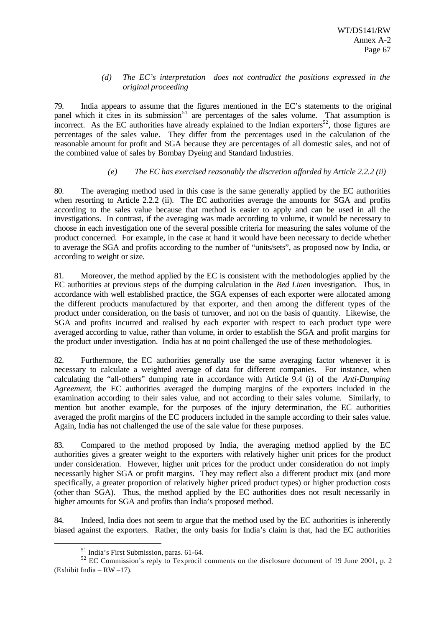## *(d) The EC's interpretation does not contradict the positions expressed in the original proceeding*

79. India appears to assume that the figures mentioned in the EC's statements to the original panel which it cites in its submission<sup>51</sup> are percentages of the sales volume. That assumption is incorrect. As the EC authorities have already explained to the Indian exporters<sup>52</sup>, those figures are percentages of the sales value. They differ from the percentages used in the calculation of the reasonable amount for profit and SGA because they are percentages of all domestic sales, and not of the combined value of sales by Bombay Dyeing and Standard Industries.

# *(e) The EC has exercised reasonably the discretion afforded by Article 2.2.2 (ii)*

80. The averaging method used in this case is the same generally applied by the EC authorities when resorting to Article 2.2.2 (ii). The EC authorities average the amounts for SGA and profits according to the sales value because that method is easier to apply and can be used in all the investigations. In contrast, if the averaging was made according to volume, it would be necessary to choose in each investigation one of the several possible criteria for measuring the sales volume of the product concerned. For example, in the case at hand it would have been necessary to decide whether to average the SGA and profits according to the number of "units/sets", as proposed now by India, or according to weight or size.

81. Moreover, the method applied by the EC is consistent with the methodologies applied by the EC authorities at previous steps of the dumping calculation in the *Bed Linen* investigation. Thus, in accordance with well established practice, the SGA expenses of each exporter were allocated among the different products manufactured by that exporter, and then among the different types of the product under consideration, on the basis of turnover, and not on the basis of quantity. Likewise, the SGA and profits incurred and realised by each exporter with respect to each product type were averaged according to value, rather than volume, in order to establish the SGA and profit margins for the product under investigation. India has at no point challenged the use of these methodologies.

82. Furthermore, the EC authorities generally use the same averaging factor whenever it is necessary to calculate a weighted average of data for different companies. For instance, when calculating the "all-others" dumping rate in accordance with Article 9.4 (i) of the *Anti-Dumping Agreement*, the EC authorities averaged the dumping margins of the exporters included in the examination according to their sales value, and not according to their sales volume. Similarly, to mention but another example, for the purposes of the injury determination, the EC authorities averaged the profit margins of the EC producers included in the sample according to their sales value. Again, India has not challenged the use of the sale value for these purposes.

83. Compared to the method proposed by India, the averaging method applied by the EC authorities gives a greater weight to the exporters with relatively higher unit prices for the product under consideration. However, higher unit prices for the product under consideration do not imply necessarily higher SGA or profit margins. They may reflect also a different product mix (and more specifically, a greater proportion of relatively higher priced product types) or higher production costs (other than SGA). Thus, the method applied by the EC authorities does not result necessarily in higher amounts for SGA and profits than India's proposed method.

84. Indeed, India does not seem to argue that the method used by the EC authorities is inherently biased against the exporters. Rather, the only basis for India's claim is that, had the EC authorities

<sup>51</sup> India's First Submission, paras. 61-64.

 $52$  EC Commission's reply to Texprocil comments on the disclosure document of 19 June 2001, p. 2 (Exhibit India – RW –17).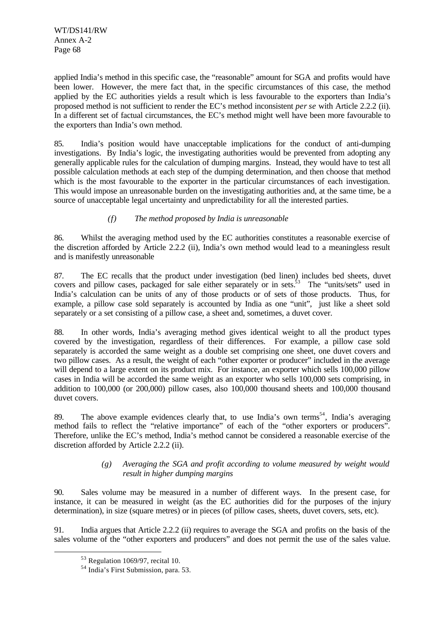WT/DS141/RW Annex A-2 Page 68

applied India's method in this specific case, the "reasonable" amount for SGA and profits would have been lower. However, the mere fact that, in the specific circumstances of this case, the method applied by the EC authorities yields a result which is less favourable to the exporters than India's proposed method is not sufficient to render the EC's method inconsistent *per se* with Article 2.2.2 (ii). In a different set of factual circumstances, the EC's method might well have been more favourable to the exporters than India's own method.

85. India's position would have unacceptable implications for the conduct of anti-dumping investigations. By India's logic, the investigating authorities would be prevented from adopting any generally applicable rules for the calculation of dumping margins. Instead, they would have to test all possible calculation methods at each step of the dumping determination, and then choose that method which is the most favourable to the exporter in the particular circumstances of each investigation. This would impose an unreasonable burden on the investigating authorities and, at the same time, be a source of unacceptable legal uncertainty and unpredictability for all the interested parties.

# *(f) The method proposed by India is unreasonable*

86. Whilst the averaging method used by the EC authorities constitutes a reasonable exercise of the discretion afforded by Article 2.2.2 (ii), India's own method would lead to a meaningless result and is manifestly unreasonable

87. The EC recalls that the product under investigation (bed linen) includes bed sheets, duvet covers and pillow cases, packaged for sale either separately or in sets.<sup>53</sup> The "units/sets" used in India's calculation can be units of any of those products or of sets of those products. Thus, for example, a pillow case sold separately is accounted by India as one "unit", just like a sheet sold separately or a set consisting of a pillow case, a sheet and, sometimes, a duvet cover.

88. In other words, India's averaging method gives identical weight to all the product types covered by the investigation, regardless of their differences. For example, a pillow case sold separately is accorded the same weight as a double set comprising one sheet, one duvet covers and two pillow cases. As a result, the weight of each "other exporter or producer" included in the average will depend to a large extent on its product mix. For instance, an exporter which sells 100,000 pillow cases in India will be accorded the same weight as an exporter who sells 100,000 sets comprising, in addition to 100,000 (or 200,000) pillow cases, also 100,000 thousand sheets and 100,000 thousand duvet covers.

89. The above example evidences clearly that, to use India's own terms<sup>54</sup>, India's averaging method fails to reflect the "relative importance" of each of the "other exporters or producers". Therefore, unlike the EC's method, India's method cannot be considered a reasonable exercise of the discretion afforded by Article 2.2.2 (ii).

#### *(g) Averaging the SGA and profit according to volume measured by weight would result in higher dumping margins*

90. Sales volume may be measured in a number of different ways. In the present case, for instance, it can be measured in weight (as the EC authorities did for the purposes of the injury determination), in size (square metres) or in pieces (of pillow cases, sheets, duvet covers, sets, etc).

91. India argues that Article 2.2.2 (ii) requires to average the SGA and profits on the basis of the sales volume of the "other exporters and producers" and does not permit the use of the sales value.

<sup>53</sup> Regulation 1069/97, recital 10.

<sup>54</sup> India's First Submission, para. 53.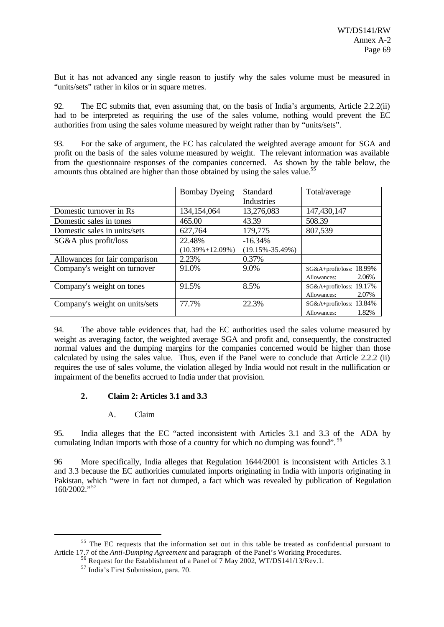But it has not advanced any single reason to justify why the sales volume must be measured in "units/sets" rather in kilos or in square metres.

92. The EC submits that, even assuming that, on the basis of India's arguments, Article 2.2.2(ii) had to be interpreted as requiring the use of the sales volume, nothing would prevent the EC authorities from using the sales volume measured by weight rather than by "units/sets".

93. For the sake of argument, the EC has calculated the weighted average amount for SGA and profit on the basis of the sales volume measured by weight. The relevant information was available from the questionnaire responses of the companies concerned. As shown by the table below, the amounts thus obtained are higher than those obtained by using the sales value.<sup>5</sup>

|                                | <b>Bombay Dyeing</b>  | Standard              | Total/average            |
|--------------------------------|-----------------------|-----------------------|--------------------------|
|                                |                       | Industries            |                          |
| Domestic turnover in Rs        | 134,154,064           | 13,276,083            | 147,430,147              |
| Domestic sales in tones        | 465.00                | 43.39                 | 508.39                   |
| Domestic sales in units/sets   | 627,764               | 179,775               | 807,539                  |
| SG&A plus profit/loss          | 22.48%                | $-16.34%$             |                          |
|                                | $(10.39\% + 12.09\%)$ | $(19.15\% - 35.49\%)$ |                          |
| Allowances for fair comparison | 2.23%                 | 0.37%                 |                          |
| Company's weight on turnover   | 91.0%                 | 9.0%                  | SG&A+profit/loss: 18.99% |
|                                |                       |                       | 2.06%<br>Allowances:     |
| Company's weight on tones      | 91.5%                 | 8.5%                  | SG&A+profit/loss: 19.17% |
|                                |                       |                       | 2.07%<br>Allowances:     |
| Company's weight on units/sets | 77.7%                 | 22.3%                 | SG&A+profit/loss: 13.84% |
|                                |                       |                       | 1.82%<br>Allowances:     |

94. The above table evidences that, had the EC authorities used the sales volume measured by weight as averaging factor, the weighted average SGA and profit and, consequently, the constructed normal values and the dumping margins for the companies concerned would be higher than those calculated by using the sales value. Thus, even if the Panel were to conclude that Article 2.2.2 (ii) requires the use of sales volume, the violation alleged by India would not result in the nullification or impairment of the benefits accrued to India under that provision.

# **2. Claim 2: Articles 3.1 and 3.3**

# A. Claim

95. India alleges that the EC "acted inconsistent with Articles 3.1 and 3.3 of the ADA by cumulating Indian imports with those of a country for which no dumping was found". <sup>56</sup>

96 More specifically, India alleges that Regulation 1644/2001 is inconsistent with Articles 3.1 and 3.3 because the EC authorities cumulated imports originating in India with imports originating in Pakistan, which "were in fact not dumped, a fact which was revealed by publication of Regulation 160/2002."57

<sup>&</sup>lt;sup>55</sup> The EC requests that the information set out in this table be treated as confidential pursuant to Article 17.7 of the *Anti-Dumping Agreement* and paragraph of the Panel's Working Procedures.

 $^{6}$  Request for the Establishment of a Panel of 7 May 2002, WT/DS141/13/Rev.1.

<sup>57</sup> India's First Submission, para. 70.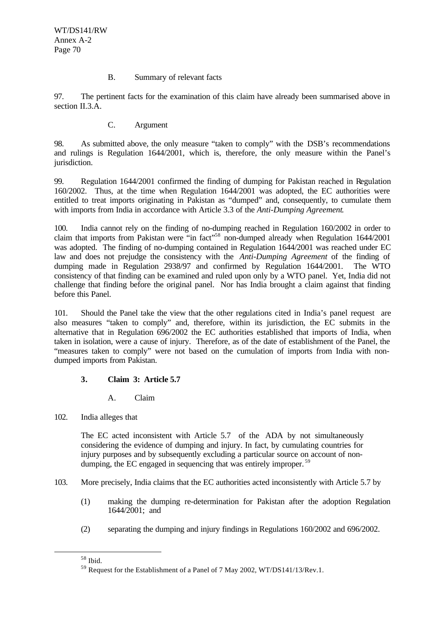## B. Summary of relevant facts

97. The pertinent facts for the examination of this claim have already been summarised above in section II.3.A.

## C. Argument

98. As submitted above, the only measure "taken to comply" with the DSB's recommendations and rulings is Regulation 1644/2001, which is, therefore, the only measure within the Panel's jurisdiction.

99. Regulation 1644/2001 confirmed the finding of dumping for Pakistan reached in Regulation 160/2002. Thus, at the time when Regulation 1644/2001 was adopted, the EC authorities were entitled to treat imports originating in Pakistan as "dumped" and, consequently, to cumulate them with imports from India in accordance with Article 3.3 of the *Anti-Dumping Agreement*.

100. India cannot rely on the finding of no-dumping reached in Regulation 160/2002 in order to claim that imports from Pakistan were "in fact"<sup>58</sup> non-dumped already when Regulation 1644/2001 was adopted. The finding of no-dumping contained in Regulation 1644/2001 was reached under EC law and does not prejudge the consistency with the *Anti-Dumping Agreement* of the finding of dumping made in Regulation 2938/97 and confirmed by Regulation 1644/2001. The WTO consistency of that finding can be examined and ruled upon only by a WTO panel. Yet, India did not challenge that finding before the original panel. Nor has India brought a claim against that finding before this Panel.

101. Should the Panel take the view that the other regulations cited in India's panel request are also measures "taken to comply" and, therefore, within its jurisdiction, the EC submits in the alternative that in Regulation 696/2002 the EC authorities established that imports of India, when taken in isolation, were a cause of injury. Therefore, as of the date of establishment of the Panel, the "measures taken to comply" were not based on the cumulation of imports from India with nondumped imports from Pakistan.

# **3. Claim 3: Article 5.7**

# A. Claim

102. India alleges that

The EC acted inconsistent with Article 5.7 of the ADA by not simultaneously considering the evidence of dumping and injury. In fact, by cumulating countries for injury purposes and by subsequently excluding a particular source on account of nondumping, the EC engaged in sequencing that was entirely improper.<sup>59</sup>

- 103. More precisely, India claims that the EC authorities acted inconsistently with Article 5.7 by
	- (1) making the dumping re-determination for Pakistan after the adoption Regulation 1644/2001; and
	- (2) separating the dumping and injury findings in Regulations 160/2002 and 696/2002.

<sup>58</sup> Ibid.

<sup>&</sup>lt;sup>59</sup> Request for the Establishment of a Panel of 7 May 2002, WT/DS141/13/Rev.1.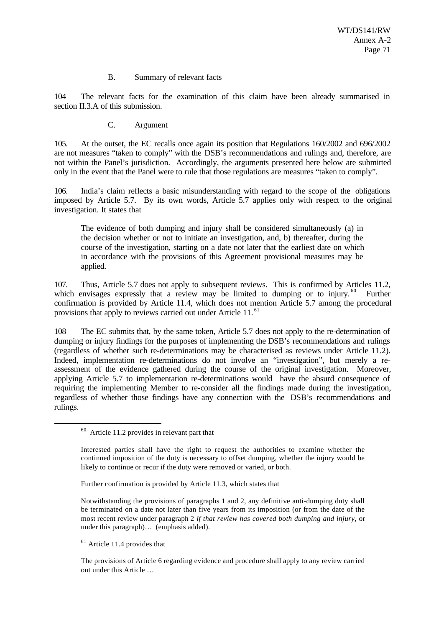#### B. Summary of relevant facts

104 The relevant facts for the examination of this claim have been already summarised in section II.3.A of this submission.

C. Argument

105. At the outset, the EC recalls once again its position that Regulations 160/2002 and 696/2002 are not measures "taken to comply" with the DSB's recommendations and rulings and, therefore, are not within the Panel's jurisdiction. Accordingly, the arguments presented here below are submitted only in the event that the Panel were to rule that those regulations are measures "taken to comply".

106. India's claim reflects a basic misunderstanding with regard to the scope of the obligations imposed by Article 5.7. By its own words, Article 5.7 applies only with respect to the original investigation. It states that

The evidence of both dumping and injury shall be considered simultaneously (a) in the decision whether or not to initiate an investigation, and, b) thereafter, during the course of the investigation, starting on a date not later that the earliest date on which in accordance with the provisions of this Agreement provisional measures may be applied.

107. Thus, Article 5.7 does not apply to subsequent reviews. This is confirmed by Articles 11.2, which envisages expressly that a review may be limited to dumping or to injury. <sup>60</sup> Further confirmation is provided by Article 11.4, which does not mention Article 5.7 among the procedural provisions that apply to reviews carried out under Article 11.<sup>61</sup>

108 The EC submits that, by the same token, Article 5.7 does not apply to the re-determination of dumping or injury findings for the purposes of implementing the DSB's recommendations and rulings (regardless of whether such re-determinations may be characterised as reviews under Article 11.2). Indeed, implementation re-determinations do not involve an "investigation", but merely a reassessment of the evidence gathered during the course of the original investigation. Moreover, applying Article 5.7 to implementation re-determinations would have the absurd consequence of requiring the implementing Member to re-consider all the findings made during the investigation, regardless of whether those findings have any connection with the DSB's recommendations and rulings.

Further confirmation is provided by Article 11.3, which states that

Notwithstanding the provisions of paragraphs 1 and 2, any definitive anti-dumping duty shall be terminated on a date not later than five years from its imposition (or from the date of the most recent review under paragraph 2 *if that review has covered both dumping and injury*, or under this paragraph)… (emphasis added).

 $61$  Article 11.4 provides that

l

The provisions of Article 6 regarding evidence and procedure shall apply to any review carried out under this Article …

<sup>60</sup> Article 11.2 provides in relevant part that

Interested parties shall have the right to request the authorities to examine whether the continued imposition of the duty is necessary to offset dumping, whether the injury would be likely to continue or recur if the duty were removed or varied, or both.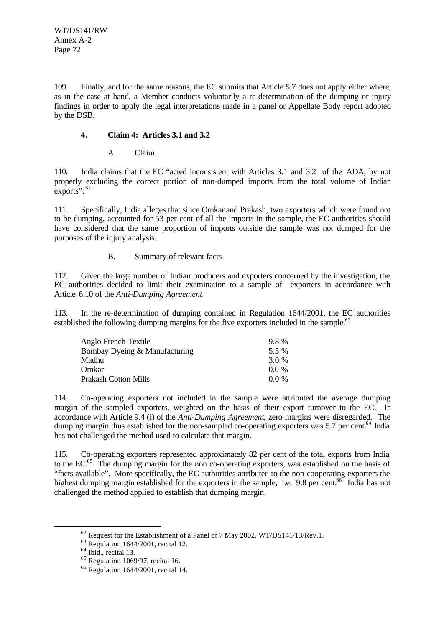109. Finally, and for the same reasons, the EC submits that Article 5.7 does not apply either where, as in the case at hand, a Member conducts voluntarily a re-determination of the dumping or injury findings in order to apply the legal interpretations made in a panel or Appellate Body report adopted by the DSB.

## **4. Claim 4: Articles 3.1 and 3.2**

A. Claim

110. India claims that the EC "acted inconsistent with Articles 3.1 and 3.2 of the ADA, by not properly excluding the correct portion of non-dumped imports from the total volume of Indian exports". <sup>62</sup>

111. Specifically, India alleges that since Omkar and Prakash, two exporters which were found not to be dumping, accounted for 53 per cent of all the imports in the sample, the EC authorities should have considered that the same proportion of imports outside the sample was not dumped for the purposes of the injury analysis.

# B. Summary of relevant facts

112. Given the large number of Indian producers and exporters concerned by the investigation, the EC authorities decided to limit their examination to a sample of exporters in accordance with Article 6.10 of the *Anti-Dumping Agreement*.

113. In the re-determination of dumping contained in Regulation 1644/2001, the EC authorities established the following dumping margins for the five exporters included in the sample.<sup>63</sup>

| Anglo French Textile          | 9.8%    |
|-------------------------------|---------|
| Bombay Dyeing & Manufacturing | 5.5 %   |
| Madhu                         | 3.0 %   |
| Omkar                         | 00 %    |
| Prakash Cotton Mills          | $0.0\%$ |

114. Co-operating exporters not included in the sample were attributed the average dumping margin of the sampled exporters, weighted on the basis of their export turnover to the EC. In accordance with Article 9.4 (i) of the *Anti-Dumping Agreement*, zero margins were disregarded. The dumping margin thus established for the non-sampled co-operating exporters was 5.7 per cent.<sup>64</sup> India has not challenged the method used to calculate that margin.

115. Co-operating exporters represented approximately 82 per cent of the total exports from India to the EC.<sup>65</sup> The dumping margin for the non co-operating exporters, was established on the basis of "facts available". More specifically, the EC authorities attributed to the non-cooperating exporters the highest dumping margin established for the exporters in the sample, i.e. 9.8 per cent.<sup>66</sup> India has not challenged the method applied to establish that dumping margin.

<sup>&</sup>lt;sup>62</sup> Request for the Establishment of a Panel of 7 May 2002, WT/DS141/13/Rev.1.

 $63$  Regulation 1644/2001, recital 12.

 $64$  Ibid., recital 13.

<sup>65</sup> Regulation 1069/97, recital 16.

 $66$  Regulation 1644/2001, recital 14.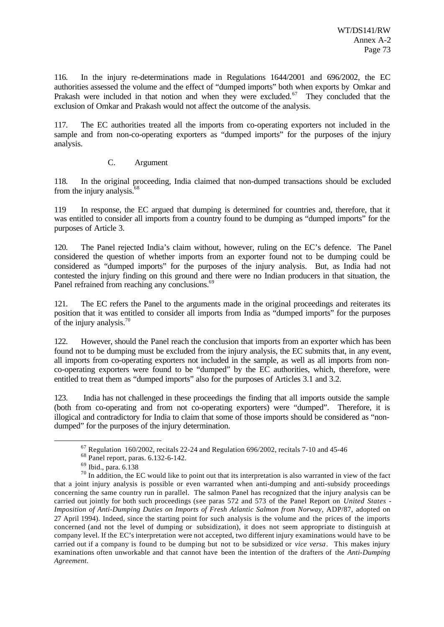116. In the injury re-determinations made in Regulations 1644/2001 and 696/2002, the EC authorities assessed the volume and the effect of "dumped imports" both when exports by Omkar and Prakash were included in that notion and when they were excluded.<sup>67</sup> They concluded that the exclusion of Omkar and Prakash would not affect the outcome of the analysis.

117. The EC authorities treated all the imports from co-operating exporters not included in the sample and from non-co-operating exporters as "dumped imports" for the purposes of the injury analysis.

## C. Argument

118. In the original proceeding, India claimed that non-dumped transactions should be excluded from the injury analysis.<sup>68</sup>

119 In response, the EC argued that dumping is determined for countries and, therefore, that it was entitled to consider all imports from a country found to be dumping as "dumped imports" for the purposes of Article 3.

120. The Panel rejected India's claim without, however, ruling on the EC's defence. The Panel considered the question of whether imports from an exporter found not to be dumping could be considered as "dumped imports" for the purposes of the injury analysis. But, as India had not contested the injury finding on this ground and there were no Indian producers in that situation, the Panel refrained from reaching any conclusions.<sup>69</sup>

121. The EC refers the Panel to the arguments made in the original proceedings and reiterates its position that it was entitled to consider all imports from India as "dumped imports" for the purposes of the injury analysis.<sup>70</sup>

122. However, should the Panel reach the conclusion that imports from an exporter which has been found not to be dumping must be excluded from the injury analysis, the EC submits that, in any event, all imports from co-operating exporters not included in the sample, as well as all imports from nonco-operating exporters were found to be "dumped" by the EC authorities, which, therefore, were entitled to treat them as "dumped imports" also for the purposes of Articles 3.1 and 3.2.

123. India has not challenged in these proceedings the finding that all imports outside the sample (both from co-operating and from not co-operating exporters) were "dumped". Therefore, it is illogical and contradictory for India to claim that some of those imports should be considered as "nondumped" for the purposes of the injury determination.

 $67$  Regulation 160/2002, recitals 22-24 and Regulation 696/2002, recitals 7-10 and 45-46

<sup>68</sup> Panel report, paras. 6.132-6-142.

<sup>69</sup> Ibid., para. 6.138

 $70$  In addition, the EC would like to point out that its interpretation is also warranted in view of the fact that a joint injury analysis is possible or even warranted when anti-dumping and anti-subsidy proceedings concerning the same country run in parallel. The salmon Panel has recognized that the injury analysis can be carried out jointly for both such proceedings (see paras 572 and 573 of the Panel Report on *United States - Imposition of Anti-Dumping Duties on Imports of Fresh Atlantic Salmon from Norway*, ADP/87, adopted on 27 April 1994). Indeed, since the starting point for such analysis is the volume and the prices of the imports concerned (and not the level of dumping or subsidization), it does not seem appropriate to distinguish at company level. If the EC's interpretation were not accepted, two different injury examinations would have to be carried out if a company is found to be dumping but not to be subsidized or *vice versa*. This makes injury examinations often unworkable and that cannot have been the intention of the drafters of the *Anti-Dumping Agreement*.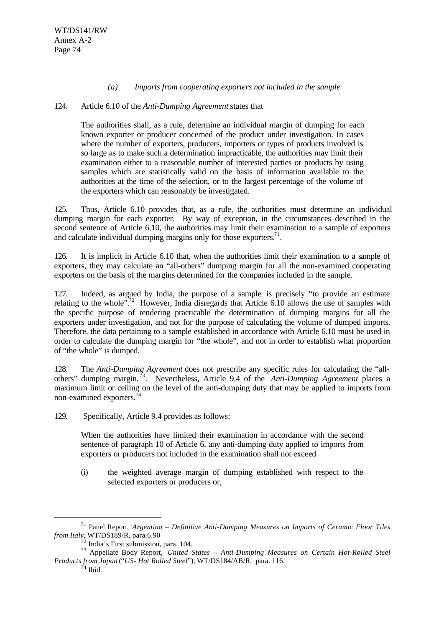#### *(a) Imports from cooperating exporters not included in the sample*

#### 124. Article 6.10 of the *Anti-Dumping Agreement* states that

The authorities shall, as a rule, determine an individual margin of dumping for each known exporter or producer concerned of the product under investigation. In cases where the number of exporters, producers, importers or types of products involved is so large as to make such a determination impracticable, the authorities may limit their examination either to a reasonable number of interested parties or products by using samples which are statistically valid on the basis of information available to the authorities at the time of the selection, or to the largest percentage of the volume of the exporters which can reasonably be investigated.

125. Thus, Article 6.10 provides that, as a rule, the authorities must determine an individual dumping margin for each exporter. By way of exception, in the circumstances described in the second sentence of Article 6.10, the authorities may limit their examination to a sample of exporters and calculate individual dumping margins only for those exporters.<sup>71</sup>.

126. It is implicit in Article 6.10 that, when the authorities limit their examination to a sample of exporters, they may calculate an "all-others" dumping margin for all the non-examined cooperating exporters on the basis of the margins determined for the companies included in the sample.

127. Indeed, as argued by India, the purpose of a sample is precisely "to provide an estimate relating to the whole".<sup>72</sup> However, India disregards that Article 6.10 allows the use of samples with the specific purpose of rendering practicable the determination of dumping margins for all the exporters under investigation, and not for the purpose of calculating the volume of dumped imports. Therefore, the data pertaining to a sample established in accordance with Article 6.10 must be used in order to calculate the dumping margin for "the whole", and not in order to establish what proportion of "the whole" is dumped.

128. The *Anti-Dumping Agreement* does not prescribe any specific rules for calculating the "allothers" dumping margin. <sup>73</sup>. Nevertheless, Article 9.4 of the *Anti-Dumping Agreement* places a maximum limit or ceiling on the level of the anti-dumping duty that may be applied to imports from non-examined exporters.<sup>7</sup>

129. Specifically, Article 9.4 provides as follows:

When the authorities have limited their examination in accordance with the second sentence of paragraph 10 of Article 6, any anti-dumping duty applied to imports from exporters or producers not included in the examination shall not exceed

(i) the weighted average margin of dumping established with respect to the selected exporters or producers or,

<sup>71</sup> Panel Report, *Argentina – Definitive Anti-Dumping Measures on Imports of Ceramic Floor Tiles from Italy*, WT/DS189/R, para.6.90

 $72$  India's First submission, para. 104.

<sup>73</sup> Appellate Body Report, *United States – Anti-Dumping Measures on Certain Hot-Rolled Steel Products from Japan* ("*US- Hot Rolled Steel*"), WT/DS184/AB/R, para. 116.

 $74$  Ibid.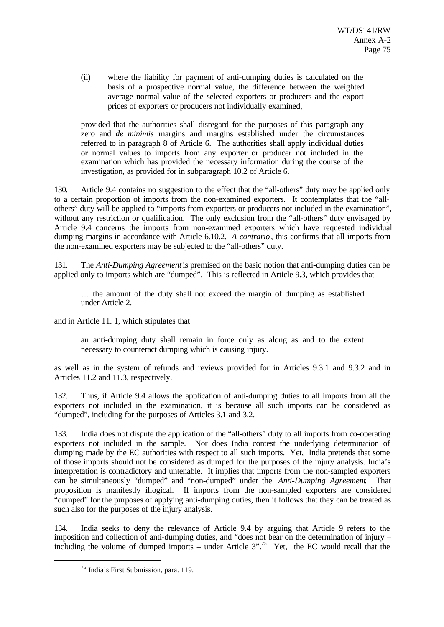(ii) where the liability for payment of anti-dumping duties is calculated on the basis of a prospective normal value, the difference between the weighted average normal value of the selected exporters or producers and the export prices of exporters or producers not individually examined,

provided that the authorities shall disregard for the purposes of this paragraph any zero and *de minimis* margins and margins established under the circumstances referred to in paragraph 8 of Article 6. The authorities shall apply individual duties or normal values to imports from any exporter or producer not included in the examination which has provided the necessary information during the course of the investigation, as provided for in subparagraph 10.2 of Article 6.

130. Article 9.4 contains no suggestion to the effect that the "all-others" duty may be applied only to a certain proportion of imports from the non-examined exporters. It contemplates that the "allothers" duty will be applied to "imports from exporters or producers not included in the examination", without any restriction or qualification. The only exclusion from the "all-others" duty envisaged by Article 9.4 concerns the imports from non-examined exporters which have requested individual dumping margins in accordance with Article 6.10.2. *A contrario*, this confirms that all imports from the non-examined exporters may be subjected to the "all-others" duty.

131. The *Anti-Dumping Agreement* is premised on the basic notion that anti-dumping duties can be applied only to imports which are "dumped". This is reflected in Article 9.3, which provides that

… the amount of the duty shall not exceed the margin of dumping as established under Article 2.

and in Article 11. 1, which stipulates that

an anti-dumping duty shall remain in force only as along as and to the extent necessary to counteract dumping which is causing injury.

as well as in the system of refunds and reviews provided for in Articles 9.3.1 and 9.3.2 and in Articles 11.2 and 11.3, respectively.

132. Thus, if Article 9.4 allows the application of anti-dumping duties to all imports from all the exporters not included in the examination, it is because all such imports can be considered as "dumped", including for the purposes of Articles 3.1 and 3.2.

133. India does not dispute the application of the "all-others" duty to all imports from co-operating exporters not included in the sample. Nor does India contest the underlying determination of dumping made by the EC authorities with respect to all such imports. Yet, India pretends that some of those imports should not be considered as dumped for the purposes of the injury analysis. India's interpretation is contradictory and untenable. It implies that imports from the non-sampled exporters can be simultaneously "dumped" and "non-dumped" under the *Anti-Dumping Agreement*. That proposition is manifestly illogical. If imports from the non-sampled exporters are considered "dumped" for the purposes of applying anti-dumping duties, then it follows that they can be treated as such also for the purposes of the injury analysis.

134. India seeks to deny the relevance of Article 9.4 by arguing that Article 9 refers to the imposition and collection of anti-dumping duties, and "does not bear on the determination of injury – including the volume of dumped imports – under Article  $3''$ .<sup>75</sup> Yet, the EC would recall that the

<sup>75</sup> India's First Submission, para. 119.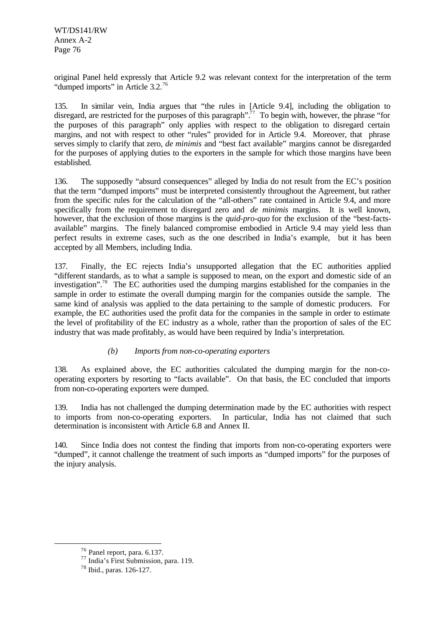original Panel held expressly that Article 9.2 was relevant context for the interpretation of the term "dumped imports" in Article 3.2.<sup>76</sup>

135. In similar vein, India argues that "the rules in [Article 9.4], including the obligation to disregard, are restricted for the purposes of this paragraph".<sup>77</sup> To begin with, however, the phrase "for the purposes of this paragraph" only applies with respect to the obligation to disregard certain margins, and not with respect to other "rules" provided for in Article 9.4. Moreover, that phrase serves simply to clarify that zero, *de minimis* and "best fact available" margins cannot be disregarded for the purposes of applying duties to the exporters in the sample for which those margins have been established.

136. The supposedly "absurd consequences" alleged by India do not result from the EC's position that the term "dumped imports" must be interpreted consistently throughout the Agreement, but rather from the specific rules for the calculation of the "all-others" rate contained in Article 9.4, and more specifically from the requirement to disregard zero and *de minimis* margins. It is well known, however, that the exclusion of those margins is the *quid-pro-quo* for the exclusion of the "best-factsavailable" margins. The finely balanced compromise embodied in Article 9.4 may yield less than perfect results in extreme cases, such as the one described in India's example, but it has been accepted by all Members, including India.

137. Finally, the EC rejects India's unsupported allegation that the EC authorities applied "different standards, as to what a sample is supposed to mean, on the export and domestic side of an investigation".<sup>78</sup> The EC authorities used the dumping margins established for the companies in the sample in order to estimate the overall dumping margin for the companies outside the sample. The same kind of analysis was applied to the data pertaining to the sample of domestic producers. For example, the EC authorities used the profit data for the companies in the sample in order to estimate the level of profitability of the EC industry as a whole, rather than the proportion of sales of the EC industry that was made profitably, as would have been required by India's interpretation.

## *(b) Imports from non-co-operating exporters*

138. As explained above, the EC authorities calculated the dumping margin for the non-cooperating exporters by resorting to "facts available". On that basis, the EC concluded that imports from non-co-operating exporters were dumped.

139. India has not challenged the dumping determination made by the EC authorities with respect to imports from non-co-operating exporters. In particular, India has not claimed that such determination is inconsistent with Article 6.8 and Annex II.

140. Since India does not contest the finding that imports from non-co-operating exporters were "dumped", it cannot challenge the treatment of such imports as "dumped imports" for the purposes of the injury analysis.

 $76$  Panel report, para. 6.137.

<sup>77</sup> India's First Submission, para. 119.

<sup>78</sup> Ibid., paras. 126-127.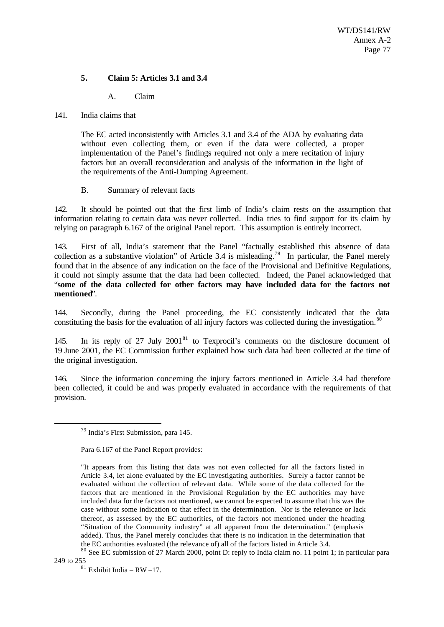### **5. Claim 5: Articles 3.1 and 3.4**

A. Claim

#### 141. India claims that

The EC acted inconsistently with Articles 3.1 and 3.4 of the ADA by evaluating data without even collecting them, or even if the data were collected, a proper implementation of the Panel's findings required not only a mere recitation of injury factors but an overall reconsideration and analysis of the information in the light of the requirements of the Anti-Dumping Agreement.

### B. Summary of relevant facts

142. It should be pointed out that the first limb of India's claim rests on the assumption that information relating to certain data was never collected. India tries to find support for its claim by relying on paragraph 6.167 of the original Panel report. This assumption is entirely incorrect.

143. First of all, India's statement that the Panel "factually established this absence of data collection as a substantive violation" of Article 3.4 is misleading.<sup>79</sup> In particular, the Panel merely found that in the absence of any indication on the face of the Provisional and Definitive Regulations, it could not simply assume that the data had been collected. Indeed, the Panel acknowledged that "**some of the data collected for other factors may have included data for the factors not mentioned**".

144. Secondly, during the Panel proceeding, the EC consistently indicated that the data constituting the basis for the evaluation of all injury factors was collected during the investigation.<sup>80</sup>

145. In its reply of 27 July 2001 $81$  to Texprocil's comments on the disclosure document of 19 June 2001, the EC Commission further explained how such data had been collected at the time of the original investigation.

146. Since the information concerning the injury factors mentioned in Article 3.4 had therefore been collected, it could be and was properly evaluated in accordance with the requirements of that provision.

l

 $81$  Exhibit India – RW –17.

<sup>79</sup> India's First Submission, para 145.

Para 6.167 of the Panel Report provides:

<sup>&</sup>quot;It appears from this listing that data was not even collected for all the factors listed in Article 3.4, let alone evaluated by the EC investigating authorities. Surely a factor cannot be evaluated without the collection of relevant data. While some of the data collected for the factors that are mentioned in the Provisional Regulation by the EC authorities may have included data for the factors not mentioned, we cannot be expected to assume that this was the case without some indication to that effect in the determination. Nor is the relevance or lack thereof, as assessed by the EC authorities, of the factors not mentioned under the heading "Situation of the Community industry" at all apparent from the determination." (emphasis added). Thus, the Panel merely concludes that there is no indication in the determination that the EC authorities evaluated (the relevance of) all of the factors listed in Article 3.4.

<sup>&</sup>lt;sup>80</sup> See EC submission of 27 March 2000, point D: reply to India claim no. 11 point 1; in particular para 249 to 255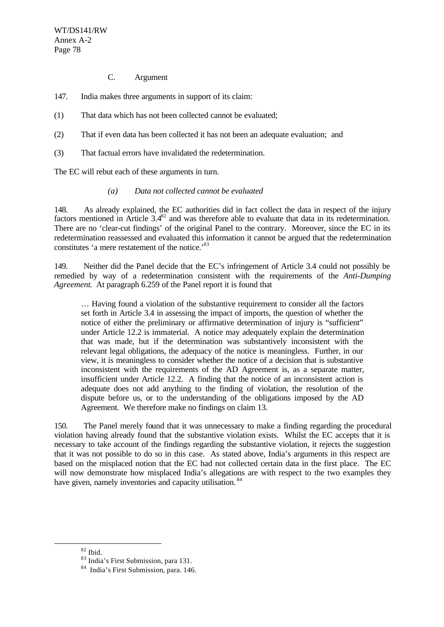- C. Argument
- 147. India makes three arguments in support of its claim:
- (1) That data which has not been collected cannot be evaluated;
- (2) That if even data has been collected it has not been an adequate evaluation; and
- (3) That factual errors have invalidated the redetermination.

The EC will rebut each of these arguments in turn.

#### *(a) Data not collected cannot be evaluated*

148. As already explained, the EC authorities did in fact collect the data in respect of the injury factors mentioned in Article  $3.4^{82}$  and was therefore able to evaluate that data in its redetermination. There are no 'clear-cut findings' of the original Panel to the contrary. Moreover, since the EC in its redetermination reassessed and evaluated this information it cannot be argued that the redetermination constitutes 'a mere restatement of the notice.'<sup>83</sup>

149. Neither did the Panel decide that the EC's infringement of Article 3.4 could not possibly be remedied by way of a redetermination consistent with the requirements of the *Anti-Dumping Agreement*. At paragraph 6.259 of the Panel report it is found that

… Having found a violation of the substantive requirement to consider all the factors set forth in Article 3.4 in assessing the impact of imports, the question of whether the notice of either the preliminary or affirmative determination of injury is "sufficient" under Article 12.2 is immaterial. A notice may adequately explain the determination that was made, but if the determination was substantively inconsistent with the relevant legal obligations, the adequacy of the notice is meaningless. Further, in our view, it is meaningless to consider whether the notice of a decision that is substantive inconsistent with the requirements of the AD Agreement is, as a separate matter, insufficient under Article 12.2. A finding that the notice of an inconsistent action is adequate does not add anything to the finding of violation, the resolution of the dispute before us, or to the understanding of the obligations imposed by the AD Agreement. We therefore make no findings on claim 13.

150. The Panel merely found that it was unnecessary to make a finding regarding the procedural violation having already found that the substantive violation exists. Whilst the EC accepts that it is necessary to take account of the findings regarding the substantive violation, it rejects the suggestion that it was not possible to do so in this case. As stated above, India's arguments in this respect are based on the misplaced notion that the EC had not collected certain data in the first place. The EC will now demonstrate how misplaced India's allegations are with respect to the two examples they have given, namely inventories and capacity utilisation.<sup>84</sup>

 $82$  Ibid.

<sup>83</sup> India's First Submission, para 131.

<sup>84</sup> India's First Submission, para. 146.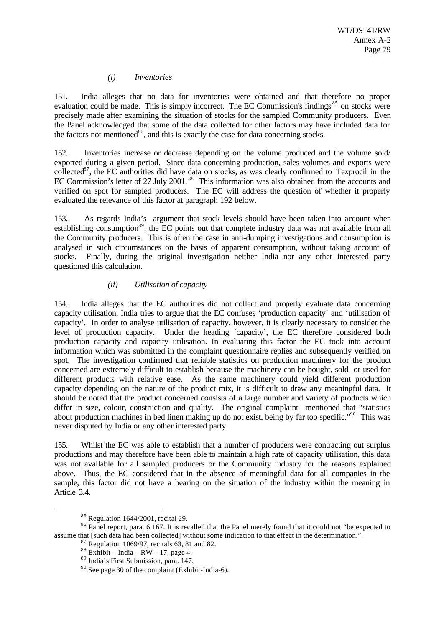### *(i) Inventories*

151. India alleges that no data for inventories were obtained and that therefore no proper evaluation could be made. This is simply incorrect. The EC Commission's findings<sup>85</sup> on stocks were precisely made after examining the situation of stocks for the sampled Community producers. Even the Panel acknowledged that some of the data collected for other factors may have included data for the factors not mentioned<sup>86</sup>, and this is exactly the case for data concerning stocks.

152. Inventories increase or decrease depending on the volume produced and the volume sold/ exported during a given period. Since data concerning production, sales volumes and exports were collected<sup>87</sup>, the EC authorities did have data on stocks, as was clearly confirmed to Texprocil in the EC Commission's letter of 27 July 2001.<sup>88</sup> This information was also obtained from the accounts and verified on spot for sampled producers. The EC will address the question of whether it properly evaluated the relevance of this factor at paragraph 192 below.

153. As regards India's argument that stock levels should have been taken into account when establishing consumption<sup>89</sup>, the EC points out that complete industry data was not available from all the Community producers. This is often the case in anti-dumping investigations and consumption is analysed in such circumstances on the basis of apparent consumption, without taking account of stocks. Finally, during the original investigation neither India nor any other interested party questioned this calculation.

# *(ii) Utilisation of capacity*

154. India alleges that the EC authorities did not collect and properly evaluate data concerning capacity utilisation. India tries to argue that the EC confuses 'production capacity' and 'utilisation of capacity'. In order to analyse utilisation of capacity, however, it is clearly necessary to consider the level of production capacity. Under the heading 'capacity', the EC therefore considered both production capacity and capacity utilisation. In evaluating this factor the EC took into account information which was submitted in the complaint questionnaire replies and subsequently verified on spot. The investigation confirmed that reliable statistics on production machinery for the product concerned are extremely difficult to establish because the machinery can be bought, sold or used for different products with relative ease. As the same machinery could yield different production capacity depending on the nature of the product mix, it is difficult to draw any meaningful data. It should be noted that the product concerned consists of a large number and variety of products which differ in size, colour, construction and quality. The original complaint mentioned that "statistics" about production machines in bed linen making up do not exist, being by far too specific."<sup>90</sup> This was never disputed by India or any other interested party.

155. Whilst the EC was able to establish that a number of producers were contracting out surplus productions and may therefore have been able to maintain a high rate of capacity utilisation, this data was not available for all sampled producers or the Community industry for the reasons explained above. Thus, the EC considered that in the absence of meaningful data for all companies in the sample, this factor did not have a bearing on the situation of the industry within the meaning in Article 3.4.

<sup>85</sup> Regulation 1644/2001, recital 29.

<sup>&</sup>lt;sup>86</sup> Panel report, para. 6.167. It is recalled that the Panel merely found that it could not "be expected to assume that [such data had been collected] without some indication to that effect in the determination.".

 $87$  Regulation 1069/97, recitals 63, 81 and 82.

 $88$  Exhibit – India – RW – 17, page 4.

<sup>89</sup> India's First Submission, para. 147.

<sup>90</sup> See page 30 of the complaint (Exhibit-India-6).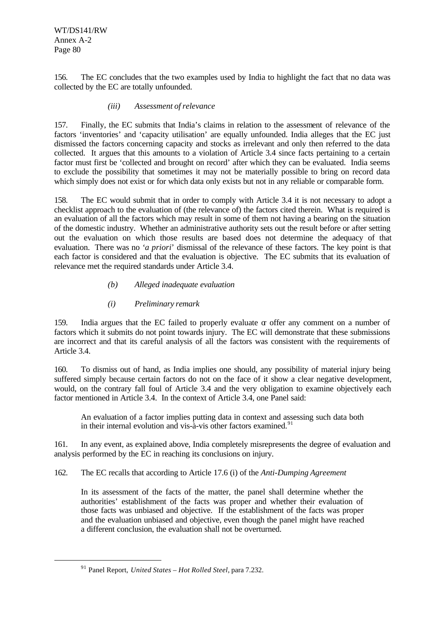WT/DS141/RW Annex A-2 Page 80

156. The EC concludes that the two examples used by India to highlight the fact that no data was collected by the EC are totally unfounded.

### *(iii) Assessment of relevance*

157. Finally, the EC submits that India's claims in relation to the assessment of relevance of the factors 'inventories' and 'capacity utilisation' are equally unfounded. India alleges that the EC just dismissed the factors concerning capacity and stocks as irrelevant and only then referred to the data collected. It argues that this amounts to a violation of Article 3.4 since facts pertaining to a certain factor must first be 'collected and brought on record' after which they can be evaluated. India seems to exclude the possibility that sometimes it may not be materially possible to bring on record data which simply does not exist or for which data only exists but not in any reliable or comparable form.

158. The EC would submit that in order to comply with Article 3.4 it is not necessary to adopt a checklist approach to the evaluation of (the relevance of) the factors cited therein. What is required is an evaluation of all the factors which may result in some of them not having a bearing on the situation of the domestic industry. Whether an administrative authority sets out the result before or after setting out the evaluation on which those results are based does not determine the adequacy of that evaluation. There was no *'a priori*' dismissal of the relevance of these factors. The key point is that each factor is considered and that the evaluation is objective. The EC submits that its evaluation of relevance met the required standards under Article 3.4.

## *(b) Alleged inadequate evaluation*

## *(i) Preliminary remark*

159. India argues that the EC failed to properly evaluate  $\alpha$  offer any comment on a number of factors which it submits do not point towards injury. The EC will demonstrate that these submissions are incorrect and that its careful analysis of all the factors was consistent with the requirements of Article 3.4.

160. To dismiss out of hand, as India implies one should, any possibility of material injury being suffered simply because certain factors do not on the face of it show a clear negative development, would, on the contrary fall foul of Article 3.4 and the very obligation to examine objectively each factor mentioned in Article 3.4. In the context of Article 3.4, one Panel said:

An evaluation of a factor implies putting data in context and assessing such data both in their internal evolution and vis- $a$ -vis other factors examined.<sup>91</sup>

161. In any event, as explained above, India completely misrepresents the degree of evaluation and analysis performed by the EC in reaching its conclusions on injury.

162. The EC recalls that according to Article 17.6 (i) of the *Anti-Dumping Agreement*

In its assessment of the facts of the matter, the panel shall determine whether the authorities' establishment of the facts was proper and whether their evaluation of those facts was unbiased and objective. If the establishment of the facts was proper and the evaluation unbiased and objective, even though the panel might have reached a different conclusion, the evaluation shall not be overturned.

<sup>91</sup> Panel Report, *United States – Hot Rolled Steel*, para 7.232.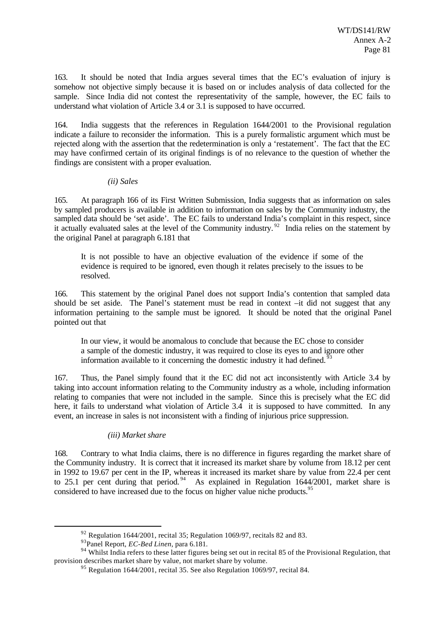163. It should be noted that India argues several times that the EC's evaluation of injury is somehow not objective simply because it is based on or includes analysis of data collected for the sample. Since India did not contest the representativity of the sample, however, the EC fails to understand what violation of Article 3.4 or 3.1 is supposed to have occurred.

164. India suggests that the references in Regulation 1644/2001 to the Provisional regulation indicate a failure to reconsider the information. This is a purely formalistic argument which must be rejected along with the assertion that the redetermination is only a 'restatement'. The fact that the EC may have confirmed certain of its original findings is of no relevance to the question of whether the findings are consistent with a proper evaluation.

### *(ii) Sales*

165. At paragraph 166 of its First Written Submission, India suggests that as information on sales by sampled producers is available in addition to information on sales by the Community industry, the sampled data should be 'set aside'. The EC fails to understand India's complaint in this respect, since it actually evaluated sales at the level of the Community industry.<sup>92</sup> India relies on the statement by the original Panel at paragraph 6.181 that

It is not possible to have an objective evaluation of the evidence if some of the evidence is required to be ignored, even though it relates precisely to the issues to be resolved.

166. This statement by the original Panel does not support India's contention that sampled data should be set aside. The Panel's statement must be read in context –it did not suggest that any information pertaining to the sample must be ignored. It should be noted that the original Panel pointed out that

In our view, it would be anomalous to conclude that because the EC chose to consider a sample of the domestic industry, it was required to close its eyes to and ignore other information available to it concerning the domestic industry it had defined.  $\frac{5}{3}$ 

167. Thus, the Panel simply found that it the EC did not act inconsistently with Article 3.4 by taking into account information relating to the Community industry as a whole, including information relating to companies that were not included in the sample. Since this is precisely what the EC did here, it fails to understand what violation of Article 3.4 it is supposed to have committed. In any event, an increase in sales is not inconsistent with a finding of injurious price suppression.

## *(iii) Market share*

168. Contrary to what India claims, there is no difference in figures regarding the market share of the Community industry. It is correct that it increased its market share by volume from 18.12 per cent in 1992 to 19.67 per cent in the IP, whereas it increased its market share by value from 22.4 per cent to 25.1 per cent during that period.<sup>94</sup> As explained in Regulation 1644/2001, market share is considered to have increased due to the focus on higher value niche products.<sup>95</sup>

 $92$  Regulation 1644/2001, recital 35; Regulation 1069/97, recitals 82 and 83.

<sup>93</sup>Panel Report, *EC-Bed Linen*, para 6.181.

<sup>94</sup> Whilst India refers to these latter figures being set out in recital 85 of the Provisional Regulation, that provision describes market share by value, not market share by volume.

<sup>&</sup>lt;sup>95</sup> Regulation 1644/2001, recital 35. See also Regulation 1069/97, recital 84.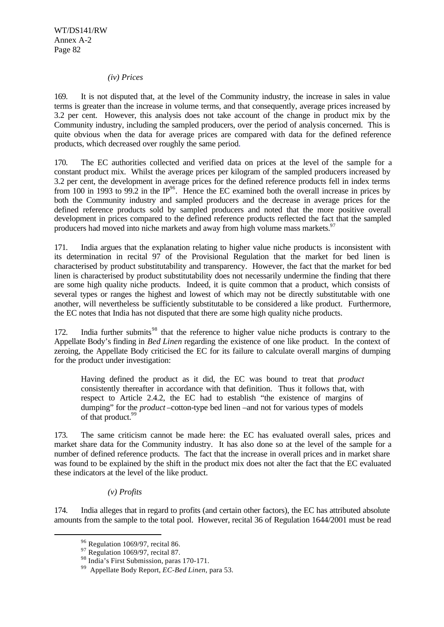#### *(iv) Prices*

169. It is not disputed that, at the level of the Community industry, the increase in sales in value terms is greater than the increase in volume terms, and that consequently, average prices increased by 3.2 per cent. However, this analysis does not take account of the change in product mix by the Community industry, including the sampled producers, over the period of analysis concerned. This is quite obvious when the data for average prices are compared with data for the defined reference products, which decreased over roughly the same period.

170. The EC authorities collected and verified data on prices at the level of the sample for a constant product mix. Whilst the average prices per kilogram of the sampled producers increased by 3.2 per cent, the development in average prices for the defined reference products fell in index terms from 100 in 1993 to 99.2 in the  $IP^{96}$ . Hence the EC examined both the overall increase in prices by both the Community industry and sampled producers and the decrease in average prices for the defined reference products sold by sampled producers and noted that the more positive overall development in prices compared to the defined reference products reflected the fact that the sampled producers had moved into niche markets and away from high volume mass markets.<sup>97</sup>

171. India argues that the explanation relating to higher value niche products is inconsistent with its determination in recital 97 of the Provisional Regulation that the market for bed linen is characterised by product substitutability and transparency. However, the fact that the market for bed linen is characterised by product substitutability does not necessarily undermine the finding that there are some high quality niche products. Indeed, it is quite common that a product, which consists of several types or ranges the highest and lowest of which may not be directly substitutable with one another, will nevertheless be sufficiently substitutable to be considered a like product. Furthermore, the EC notes that India has not disputed that there are some high quality niche products.

172. India further submits<sup>98</sup> that the reference to higher value niche products is contrary to the Appellate Body's finding in *Bed Linen* regarding the existence of one like product. In the context of zeroing, the Appellate Body criticised the EC for its failure to calculate overall margins of dumping for the product under investigation:

Having defined the product as it did, the EC was bound to treat that *product* consistently thereafter in accordance with that definition. Thus it follows that, with respect to Article 2.4.2, the EC had to establish "the existence of margins of dumping" for the *product* –cotton-type bed linen –and not for various types of models of that product.<sup>99</sup>

173. The same criticism cannot be made here: the EC has evaluated overall sales, prices and market share data for the Community industry. It has also done so at the level of the sample for a number of defined reference products. The fact that the increase in overall prices and in market share was found to be explained by the shift in the product mix does not alter the fact that the EC evaluated these indicators at the level of the like product.

#### *(v) Profits*

174. India alleges that in regard to profits (and certain other factors), the EC has attributed absolute amounts from the sample to the total pool. However, recital 36 of Regulation 1644/2001 must be read

<sup>96</sup> Regulation 1069/97, recital 86.

 $97$  Regulation 1069/97, recital 87.

<sup>98</sup> India's First Submission, paras 170-171.

<sup>99</sup> Appellate Body Report, *EC-Bed Linen*, para 53.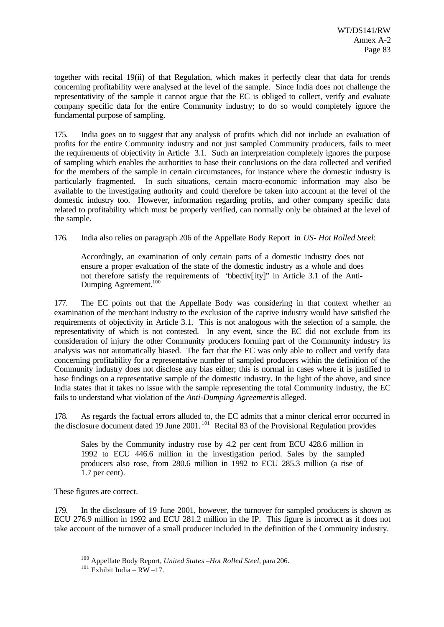together with recital 19(ii) of that Regulation, which makes it perfectly clear that data for trends concerning profitability were analysed at the level of the sample. Since India does not challenge the representativity of the sample it cannot argue that the EC is obliged to collect, verify and evaluate company specific data for the entire Community industry; to do so would completely ignore the fundamental purpose of sampling.

175. India goes on to suggest that any analysis of profits which did not include an evaluation of profits for the entire Community industry and not just sampled Community producers, fails to meet the requirements of objectivity in Article 3.1. Such an interpretation completely ignores the purpose of sampling which enables the authorities to base their conclusions on the data collected and verified for the members of the sample in certain circumstances, for instance where the domestic industry is particularly fragmented. In such situations, certain macro-economic information may also be available to the investigating authority and could therefore be taken into account at the level of the domestic industry too. However, information regarding profits, and other company specific data related to profitability which must be properly verified, can normally only be obtained at the level of the sample.

176. India also relies on paragraph 206 of the Appellate Body Report in *US- Hot Rolled Steel*:

Accordingly, an examination of only certain parts of a domestic industry does not ensure a proper evaluation of the state of the domestic industry as a whole and does not therefore satisfy the requirements of "obectiv[ity]" in Article 3.1 of the Anti-Dumping Agreement.<sup>100</sup>

177. The EC points out that the Appellate Body was considering in that context whether an examination of the merchant industry to the exclusion of the captive industry would have satisfied the requirements of objectivity in Article 3.1. This is not analogous with the selection of a sample, the representativity of which is not contested. In any event, since the EC did not exclude from its consideration of injury the other Community producers forming part of the Community industry its analysis was not automatically biased. The fact that the EC was only able to collect and verify data concerning profitability for a representative number of sampled producers within the definition of the Community industry does not disclose any bias either; this is normal in cases where it is justified to base findings on a representative sample of the domestic industry. In the light of the above, and since India states that it takes no issue with the sample representing the total Community industry, the EC fails to understand what violation of the *Anti-Dumping Agreement* is alleged.

178. As regards the factual errors alluded to, the EC admits that a minor clerical error occurred in the disclosure document dated 19 June 2001.<sup>101</sup> Recital 83 of the Provisional Regulation provides

Sales by the Community industry rose by 4.2 per cent from ECU 428.6 million in 1992 to ECU 446.6 million in the investigation period. Sales by the sampled producers also rose, from 280.6 million in 1992 to ECU 285.3 million (a rise of 1.7 per cent).

These figures are correct.

l

179. In the disclosure of 19 June 2001, however, the turnover for sampled producers is shown as ECU 276.9 million in 1992 and ECU 281.2 million in the IP. This figure is incorrect as it does not take account of the turnover of a small producer included in the definition of the Community industry.

<sup>100</sup> Appellate Body Report, *United States –Hot Rolled Steel*, para 206.

 $101$  Exhibit India – RW –17.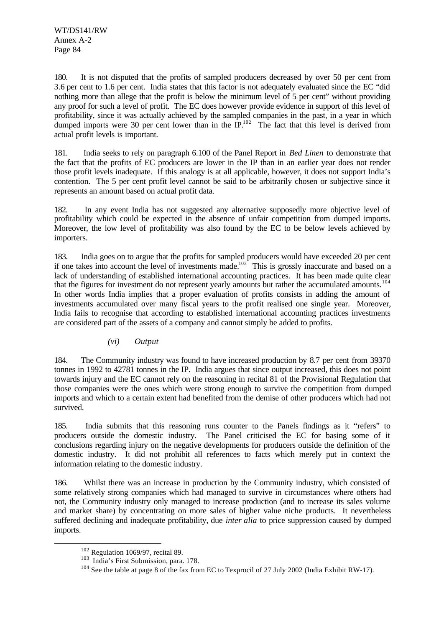180. It is not disputed that the profits of sampled producers decreased by over 50 per cent from 3.6 per cent to 1.6 per cent. India states that this factor is not adequately evaluated since the EC "did nothing more than allege that the profit is below the minimum level of 5 per cent" without providing any proof for such a level of profit. The EC does however provide evidence in support of this level of profitability, since it was actually achieved by the sampled companies in the past, in a year in which dumped imports were 30 per cent lower than in the  $IP<sup>102</sup>$ . The fact that this level is derived from actual profit levels is important.

181. India seeks to rely on paragraph 6.100 of the Panel Report in *Bed Linen* to demonstrate that the fact that the profits of EC producers are lower in the IP than in an earlier year does not render those profit levels inadequate. If this analogy is at all applicable, however, it does not support India's contention. The 5 per cent profit level cannot be said to be arbitrarily chosen or subjective since it represents an amount based on actual profit data.

182. In any event India has not suggested any alternative supposedly more objective level of profitability which could be expected in the absence of unfair competition from dumped imports. Moreover, the low level of profitability was also found by the EC to be below levels achieved by importers.

183. India goes on to argue that the profits for sampled producers would have exceeded 20 per cent if one takes into account the level of investments made.<sup>103</sup> This is grossly inaccurate and based on a lack of understanding of established international accounting practices. It has been made quite clear that the figures for investment do not represent yearly amounts but rather the accumulated amounts.<sup>1</sup> In other words India implies that a proper evaluation of profits consists in adding the amount of investments accumulated over many fiscal years to the profit realised one single year. Moreover, India fails to recognise that according to established international accounting practices investments are considered part of the assets of a company and cannot simply be added to profits.

## *(vi) Output*

184. The Community industry was found to have increased production by 8.7 per cent from 39370 tonnes in 1992 to 42781 tonnes in the IP. India argues that since output increased, this does not point towards injury and the EC cannot rely on the reasoning in recital 81 of the Provisional Regulation that those companies were the ones which were strong enough to survive the competition from dumped imports and which to a certain extent had benefited from the demise of other producers which had not survived.

185. India submits that this reasoning runs counter to the Panels findings as it "refers" to producers outside the domestic industry. The Panel criticised the EC for basing some of it conclusions regarding injury on the negative developments for producers outside the definition of the domestic industry. It did not prohibit all references to facts which merely put in context the information relating to the domestic industry.

186. Whilst there was an increase in production by the Community industry, which consisted of some relatively strong companies which had managed to survive in circumstances where others had not, the Community industry only managed to increase production (and to increase its sales volume and market share) by concentrating on more sales of higher value niche products. It nevertheless suffered declining and inadequate profitability, due *inter alia* to price suppression caused by dumped imports.

 $102$  Regulation 1069/97, recital 89.

<sup>&</sup>lt;sup>103</sup> India's First Submission, para. 178.

<sup>&</sup>lt;sup>104</sup> See the table at page 8 of the fax from EC to Texprocil of 27 July 2002 (India Exhibit RW-17).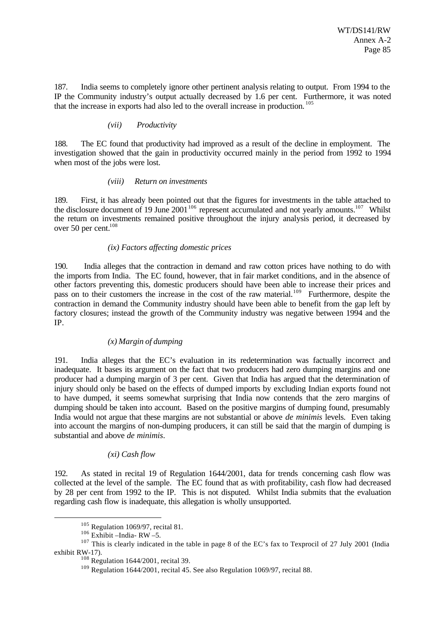187. India seems to completely ignore other pertinent analysis relating to output. From 1994 to the IP the Community industry's output actually decreased by 1.6 per cent. Furthermore, it was noted that the increase in exports had also led to the overall increase in production. <sup>105</sup>

### *(vii) Productivity*

188. The EC found that productivity had improved as a result of the decline in employment. The investigation showed that the gain in productivity occurred mainly in the period from 1992 to 1994 when most of the jobs were lost.

#### *(viii) Return on investments*

189. First, it has already been pointed out that the figures for investments in the table attached to the disclosure document of 19 June  $2001^{106}$  represent accumulated and not yearly amounts.<sup>107</sup> Whilst the return on investments remained positive throughout the injury analysis period, it decreased by over 50 per cent.<sup>108</sup>

### *(ix) Factors affecting domestic prices*

190. India alleges that the contraction in demand and raw cotton prices have nothing to do with the imports from India. The EC found, however, that in fair market conditions, and in the absence of other factors preventing this, domestic producers should have been able to increase their prices and pass on to their customers the increase in the cost of the raw material.<sup>109</sup> Furthermore, despite the contraction in demand the Community industry should have been able to benefit from the gap left by factory closures; instead the growth of the Community industry was negative between 1994 and the IP.

### *(x) Margin of dumping*

191. India alleges that the EC's evaluation in its redetermination was factually incorrect and inadequate. It bases its argument on the fact that two producers had zero dumping margins and one producer had a dumping margin of 3 per cent. Given that India has argued that the determination of injury should only be based on the effects of dumped imports by excluding Indian exports found not to have dumped, it seems somewhat surprising that India now contends that the zero margins of dumping should be taken into account. Based on the positive margins of dumping found, presumably India would not argue that these margins are not substantial or above *de minimis* levels. Even taking into account the margins of non-dumping producers, it can still be said that the margin of dumping is substantial and above *de minimis*.

## *(xi) Cash flow*

192. As stated in recital 19 of Regulation 1644/2001, data for trends concerning cash flow was collected at the level of the sample. The EC found that as with profitability, cash flow had decreased by 28 per cent from 1992 to the IP. This is not disputed. Whilst India submits that the evaluation regarding cash flow is inadequate, this allegation is wholly unsupported.

 $105$  Regulation 1069/97, recital 81.

 $106$  Exhibit –India- RW –5.

<sup>&</sup>lt;sup>107</sup> This is clearly indicated in the table in page 8 of the EC's fax to Texprocil of 27 July 2001 (India exhibit RW-17).

 $108$  Regulation 1644/2001, recital 39.

<sup>&</sup>lt;sup>109</sup> Regulation 1644/2001, recital 45. See also Regulation 1069/97, recital 88.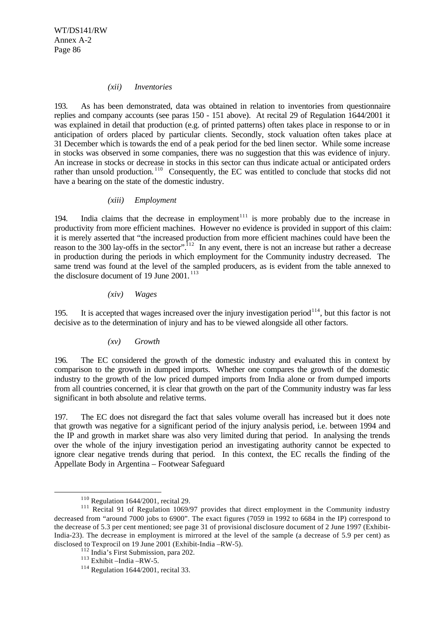#### *(xii) Inventories*

193. As has been demonstrated, data was obtained in relation to inventories from questionnaire replies and company accounts (see paras 150 - 151 above). At recital 29 of Regulation 1644/2001 it was explained in detail that production (e.g. of printed patterns) often takes place in response to or in anticipation of orders placed by particular clients. Secondly, stock valuation often takes place at 31 December which is towards the end of a peak period for the bed linen sector. While some increase in stocks was observed in some companies, there was no suggestion that this was evidence of injury. An increase in stocks or decrease in stocks in this sector can thus indicate actual or anticipated orders rather than unsold production.<sup>110</sup> Consequently, the EC was entitled to conclude that stocks did not have a bearing on the state of the domestic industry.

#### *(xiii) Employment*

194. India claims that the decrease in employment<sup>111</sup> is more probably due to the increase in productivity from more efficient machines. However no evidence is provided in support of this claim: it is merely asserted that "the increased production from more efficient machines could have been the reason to the 300 lay-offs in the sector".<sup>112</sup> In any event, there is not an increase but rather a decrease in production during the periods in which employment for the Community industry decreased. The same trend was found at the level of the sampled producers, as is evident from the table annexed to the disclosure document of 19 June 2001.<sup>113</sup>

*(xiv) Wages*

195. It is accepted that wages increased over the injury investigation period<sup>114</sup>, but this factor is not decisive as to the determination of injury and has to be viewed alongside all other factors.

## *(xv) Growth*

196. The EC considered the growth of the domestic industry and evaluated this in context by comparison to the growth in dumped imports. Whether one compares the growth of the domestic industry to the growth of the low priced dumped imports from India alone or from dumped imports from all countries concerned, it is clear that growth on the part of the Community industry was far less significant in both absolute and relative terms.

197. The EC does not disregard the fact that sales volume overall has increased but it does note that growth was negative for a significant period of the injury analysis period, i.e. between 1994 and the IP and growth in market share was also very limited during that period. In analysing the trends over the whole of the injury investigation period an investigating authority cannot be expected to ignore clear negative trends during that period. In this context, the EC recalls the finding of the Appellate Body in Argentina – Footwear Safeguard

<sup>110</sup> Regulation 1644/2001, recital 29.

<sup>&</sup>lt;sup>111</sup> Recital 91 of Regulation 1069/97 provides that direct employment in the Community industry decreased from "around 7000 jobs to 6900". The exact figures (7059 in 1992 to 6684 in the IP) correspond to the decrease of 5.3 per cent mentioned; see page 31 of provisional disclosure document of 2 June 1997 (Exhibit-India-23). The decrease in employment is mirrored at the level of the sample (a decrease of 5.9 per cent) as disclosed to Texprocil on 19 June 2001 (Exhibit-India –RW-5).

<sup>112</sup> India's First Submission, para 202.

 $113$  Exhibit –India –RW-5.

<sup>114</sup> Regulation 1644/2001, recital 33.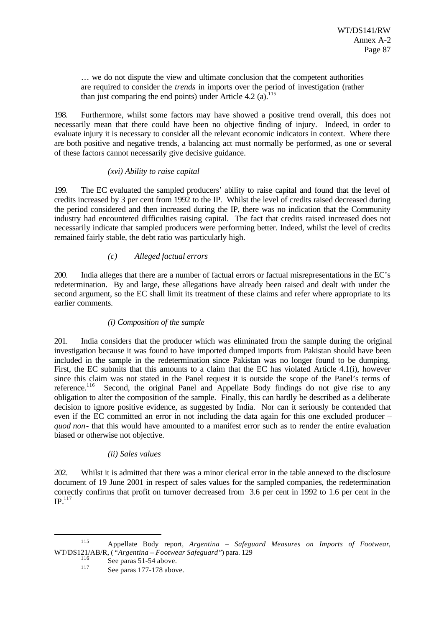… we do not dispute the view and ultimate conclusion that the competent authorities are required to consider the *trends* in imports over the period of investigation (rather than just comparing the end points) under Article  $4.2$  (a).<sup>115</sup>

198. Furthermore, whilst some factors may have showed a positive trend overall, this does not necessarily mean that there could have been no objective finding of injury. Indeed, in order to evaluate injury it is necessary to consider all the relevant economic indicators in context. Where there are both positive and negative trends, a balancing act must normally be performed, as one or several of these factors cannot necessarily give decisive guidance.

### *(xvi) Ability to raise capital*

199. The EC evaluated the sampled producers' ability to raise capital and found that the level of credits increased by 3 per cent from 1992 to the IP. Whilst the level of credits raised decreased during the period considered and then increased during the IP, there was no indication that the Community industry had encountered difficulties raising capital. The fact that credits raised increased does not necessarily indicate that sampled producers were performing better. Indeed, whilst the level of credits remained fairly stable, the debt ratio was particularly high.

# *(c) Alleged factual errors*

200. India alleges that there are a number of factual errors or factual misrepresentations in the EC's redetermination. By and large, these allegations have already been raised and dealt with under the second argument, so the EC shall limit its treatment of these claims and refer where appropriate to its earlier comments.

## *(i) Composition of the sample*

201. India considers that the producer which was eliminated from the sample during the original investigation because it was found to have imported dumped imports from Pakistan should have been included in the sample in the redetermination since Pakistan was no longer found to be dumping. First, the EC submits that this amounts to a claim that the EC has violated Article 4.1(i), however since this claim was not stated in the Panel request it is outside the scope of the Panel's terms of reference.<sup>116</sup> Second, the original Panel and Appellate Body findings do not give rise to any obligation to alter the composition of the sample. Finally, this can hardly be described as a deliberate decision to ignore positive evidence, as suggested by India. Nor can it seriously be contended that even if the EC committed an error in not including the data again for this one excluded producer – *quod non*- that this would have amounted to a manifest error such as to render the entire evaluation biased or otherwise not objective.

## *(ii) Sales values*

202. Whilst it is admitted that there was a minor clerical error in the table annexed to the disclosure document of 19 June 2001 in respect of sales values for the sampled companies, the redetermination correctly confirms that profit on turnover decreased from 3.6 per cent in 1992 to 1.6 per cent in the  $IP.$ <sup>117</sup>

<sup>115</sup> Appellate Body report, *Argentina – Safeguard Measures on Imports of Footwear*, WT/DS121/AB/R, (*"Argentina – Footwear Safeguard"*) para. 129

 $\frac{116}{117}$  See paras 51-54 above.

See paras 177-178 above.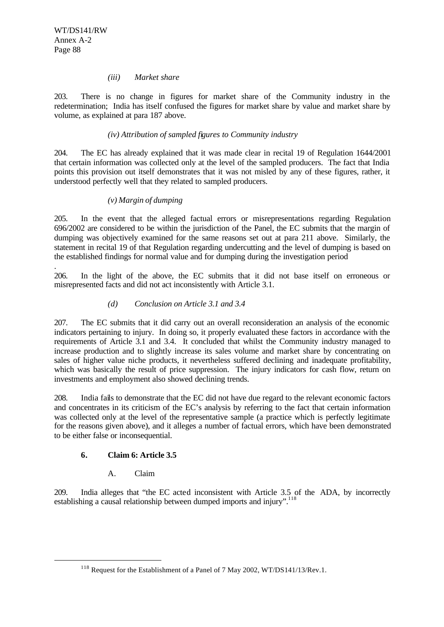.

l

#### *(iii) Market share*

203. There is no change in figures for market share of the Community industry in the redetermination; India has itself confused the figures for market share by value and market share by volume, as explained at para 187 above.

### *(iv) Attribution of sampled figures to Community industry*

204. The EC has already explained that it was made clear in recital 19 of Regulation 1644/2001 that certain information was collected only at the level of the sampled producers. The fact that India points this provision out itself demonstrates that it was not misled by any of these figures, rather, it understood perfectly well that they related to sampled producers.

### *(v) Margin of dumping*

205. In the event that the alleged factual errors or misrepresentations regarding Regulation 696/2002 are considered to be within the jurisdiction of the Panel, the EC submits that the margin of dumping was objectively examined for the same reasons set out at para 211 above. Similarly, the statement in recital 19 of that Regulation regarding undercutting and the level of dumping is based on the established findings for normal value and for dumping during the investigation period

206. In the light of the above, the EC submits that it did not base itself on erroneous or misrepresented facts and did not act inconsistently with Article 3.1.

### *(d) Conclusion on Article 3.1 and 3.4*

207. The EC submits that it did carry out an overall reconsideration an analysis of the economic indicators pertaining to injury. In doing so, it properly evaluated these factors in accordance with the requirements of Article 3.1 and 3.4. It concluded that whilst the Community industry managed to increase production and to slightly increase its sales volume and market share by concentrating on sales of higher value niche products, it nevertheless suffered declining and inadequate profitability, which was basically the result of price suppression. The injury indicators for cash flow, return on investments and employment also showed declining trends.

208. India fails to demonstrate that the EC did not have due regard to the relevant economic factors and concentrates in its criticism of the EC's analysis by referring to the fact that certain information was collected only at the level of the representative sample (a practice which is perfectly legitimate for the reasons given above), and it alleges a number of factual errors, which have been demonstrated to be either false or inconsequential.

## **6. Claim 6: Article 3.5**

## A. Claim

209. India alleges that "the EC acted inconsistent with Article 3.5 of the ADA, by incorrectly establishing a causal relationship between dumped imports and injury".<sup>118</sup>

<sup>&</sup>lt;sup>118</sup> Request for the Establishment of a Panel of 7 May 2002, WT/DS141/13/Rev.1.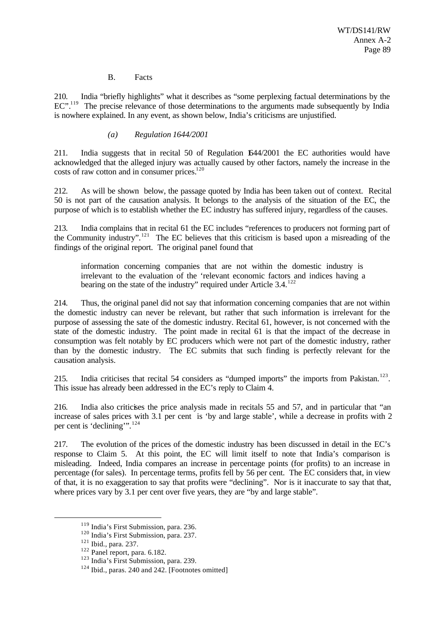### B. Facts

210. India "briefly highlights" what it describes as "some perplexing factual determinations by the EC".<sup>119</sup> The precise relevance of those determinations to the arguments made subsequently by India is nowhere explained. In any event, as shown below, India's criticisms are unjustified.

### *(a) Regulation 1644/2001*

211. India suggests that in recital 50 of Regulation 1644/2001 the EC authorities would have acknowledged that the alleged injury was actually caused by other factors, namely the increase in the costs of raw cotton and in consumer prices.<sup>120</sup>

212. As will be shown below, the passage quoted by India has been taken out of context. Recital 50 is not part of the causation analysis. It belongs to the analysis of the situation of the EC, the purpose of which is to establish whether the EC industry has suffered injury, regardless of the causes.

213. India complains that in recital 61 the EC includes "references to producers not forming part of the Community industry".<sup>121</sup> The EC believes that this criticism is based upon a misreading of the findings of the original report. The original panel found that

information concerning companies that are not within the domestic industry is irrelevant to the evaluation of the 'relevant economic factors and indices having a bearing on the state of the industry" required under Article 3.4.<sup>122</sup>

214. Thus, the original panel did not say that information concerning companies that are not within the domestic industry can never be relevant, but rather that such information is irrelevant for the purpose of assessing the sate of the domestic industry. Recital 61, however, is not concerned with the state of the domestic industry. The point made in recital 61 is that the impact of the decrease in consumption was felt notably by EC producers which were not part of the domestic industry, rather than by the domestic industry. The EC submits that such finding is perfectly relevant for the causation analysis.

215. India criticises that recital 54 considers as "dumped imports" the imports from Pakistan.<sup>123</sup>. This issue has already been addressed in the EC's reply to Claim 4.

216. India also criticises the price analysis made in recitals 55 and 57, and in particular that "an increase of sales prices with 3.1 per cent is 'by and large stable', while a decrease in profits with 2 per cent is 'declining'".<sup>124</sup>

217. The evolution of the prices of the domestic industry has been discussed in detail in the EC's response to Claim 5. At this point, the EC will limit itself to note that India's comparison is misleading. Indeed, India compares an increase in percentage points (for profits) to an increase in percentage (for sales). In percentage terms, profits fell by 56 per cent. The EC considers that, in view of that, it is no exaggeration to say that profits were "declining". Nor is it inaccurate to say that that, where prices vary by 3.1 per cent over five years, they are "by and large stable".

<sup>119</sup> India's First Submission, para. 236.

<sup>120</sup> India's First Submission, para. 237.

<sup>121</sup> Ibid., para. 237.

<sup>122</sup> Panel report, para. 6.182.

<sup>&</sup>lt;sup>123</sup> India's First Submission, para. 239.

<sup>&</sup>lt;sup>124</sup> Ibid., paras. 240 and 242. [Footnotes omitted]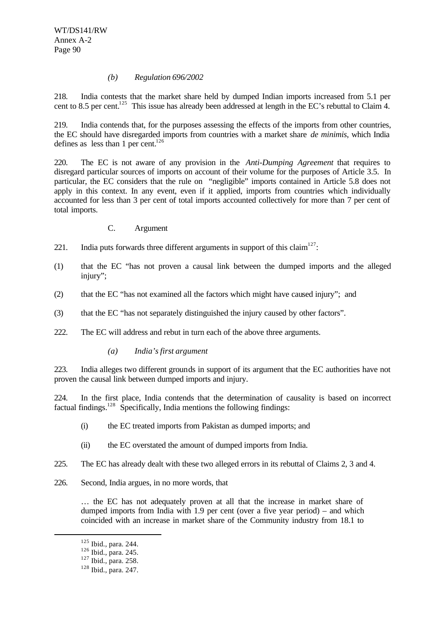### *(b) Regulation 696/2002*

218. India contests that the market share held by dumped Indian imports increased from 5.1 per cent to 8.5 per cent.<sup>125</sup> This issue has already been addressed at length in the EC's rebuttal to Claim 4.

219. India contends that, for the purposes assessing the effects of the imports from other countries, the EC should have disregarded imports from countries with a market share *de minimis*, which India defines as less than 1 per cent. $126$ 

220. The EC is not aware of any provision in the *Anti-Dumping Agreement* that requires to disregard particular sources of imports on account of their volume for the purposes of Article 3.5. In particular, the EC considers that the rule on "negligible" imports contained in Article 5.8 does not apply in this context. In any event, even if it applied, imports from countries which individually accounted for less than 3 per cent of total imports accounted collectively for more than 7 per cent of total imports.

- C. Argument
- 221. India puts forwards three different arguments in support of this claim<sup>127</sup>:
- (1) that the EC "has not proven a causal link between the dumped imports and the alleged injury";
- (2) that the EC "has not examined all the factors which might have caused injury"; and
- (3) that the EC "has not separately distinguished the injury caused by other factors".
- 222. The EC will address and rebut in turn each of the above three arguments.
	- *(a) India's first argument*

223. India alleges two different grounds in support of its argument that the EC authorities have not proven the causal link between dumped imports and injury.

224. In the first place, India contends that the determination of causality is based on incorrect factual findings.<sup>128</sup> Specifically, India mentions the following findings:

- (i) the EC treated imports from Pakistan as dumped imports; and
- (ii) the EC overstated the amount of dumped imports from India.
- 225. The EC has already dealt with these two alleged errors in its rebuttal of Claims 2, 3 and 4.
- 226. Second, India argues, in no more words, that

… the EC has not adequately proven at all that the increase in market share of dumped imports from India with 1.9 per cent (over a five year period) – and which coincided with an increase in market share of the Community industry from 18.1 to

<sup>125</sup> Ibid., para. 244.

<sup>126</sup> Ibid., para. 245.

<sup>127</sup> Ibid., para. 258.

<sup>128</sup> Ibid., para. 247.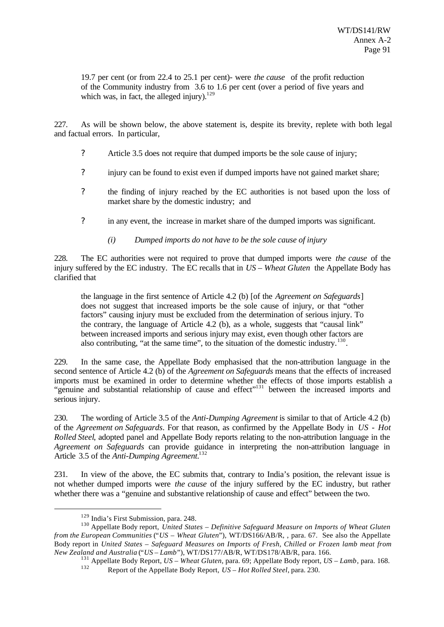19.7 per cent (or from 22.4 to 25.1 per cent)- were *the cause* of the profit reduction of the Community industry from 3.6 to 1.6 per cent (over a period of five years and which was, in fact, the alleged injury). $129$ 

227. As will be shown below, the above statement is, despite its brevity, replete with both legal and factual errors. In particular,

- ? Article 3.5 does not require that dumped imports be the sole cause of injury;
- ? injury can be found to exist even if dumped imports have not gained market share;
- ? the finding of injury reached by the EC authorities is not based upon the loss of market share by the domestic industry; and
- ? in any event, the increase in market share of the dumped imports was significant.
	- *(i) Dumped imports do not have to be the sole cause of injury*

228. The EC authorities were not required to prove that dumped imports were *the cause* of the injury suffered by the EC industry. The EC recalls that in *US – Wheat Gluten* the Appellate Body has clarified that

the language in the first sentence of Article 4.2 (b) [of the *Agreement on Safeguards*] does not suggest that increased imports be the sole cause of injury, or that "other factors" causing injury must be excluded from the determination of serious injury. To the contrary, the language of Article 4.2 (b), as a whole, suggests that "causal link" between increased imports and serious injury may exist, even though other factors are also contributing, "at the same time", to the situation of the domestic industry.<sup>130</sup>.

229. In the same case, the Appellate Body emphasised that the non-attribution language in the second sentence of Article 4.2 (b) of the *Agreement on Safeguards* means that the effects of increased imports must be examined in order to determine whether the effects of those imports establish a "genuine and substantial relationship of cause and effect"<sup>131</sup> between the increased imports and serious injury.

230. The wording of Article 3.5 of the *Anti-Dumping Agreement* is similar to that of Article 4.2 (b) of the *Agreement on Safeguards*. For that reason, as confirmed by the Appellate Body in *US - Hot Rolled Steel*, adopted panel and Appellate Body reports relating to the non-attribution language in the *Agreement on Safeguards* can provide guidance in interpreting the non-attribution language in Article 3.5 of the *Anti-Dumping Agreement.*<sup>132</sup>

231. In view of the above, the EC submits that, contrary to India's position, the relevant issue is not whether dumped imports were *the cause* of the injury suffered by the EC industry, but rather whether there was a "genuine and substantive relationship of cause and effect" between the two.

<sup>129</sup> India's First Submission, para. 248.

<sup>130</sup> Appellate Body report, *United States – Definitive Safeguard Measure on Imports of Wheat Gluten from the European Communities* ("*US – Wheat Gluten*"), WT/DS166/AB/R, , para. 67. See also the Appellate Body report in *United States – Safeguard Measures on Imports of Fresh, Chilled or Frozen lamb meat from New Zealand and Australia* ("*US – Lamb*"), WT/DS177/AB/R, WT/DS178/AB/R, para. 166.

<sup>131</sup> Appellate Body Report, *US – Wheat Gluten*, para. 69; Appellate Body report, *US – Lamb*, para. 168. <sup>132</sup> Report of the Appellate Body Report, *US – Hot Rolled Steel*, para. 230.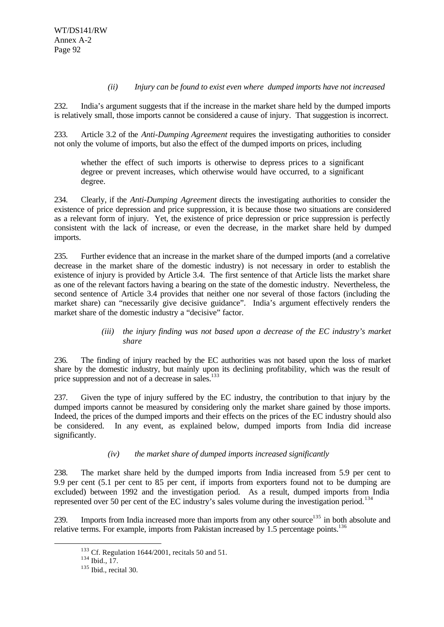### *(ii) Injury can be found to exist even where dumped imports have not increased*

232. India's argument suggests that if the increase in the market share held by the dumped imports is relatively small, those imports cannot be considered a cause of injury. That suggestion is incorrect.

233. Article 3.2 of the *Anti-Dumping Agreement* requires the investigating authorities to consider not only the volume of imports, but also the effect of the dumped imports on prices, including

whether the effect of such imports is otherwise to depress prices to a significant degree or prevent increases, which otherwise would have occurred, to a significant degree.

234. Clearly, if the *Anti-Dumping Agreement* directs the investigating authorities to consider the existence of price depression and price suppression, it is because those two situations are considered as a relevant form of injury. Yet, the existence of price depression or price suppression is perfectly consistent with the lack of increase, or even the decrease, in the market share held by dumped imports.

235. Further evidence that an increase in the market share of the dumped imports (and a correlative decrease in the market share of the domestic industry) is not necessary in order to establish the existence of injury is provided by Article 3.4. The first sentence of that Article lists the market share as one of the relevant factors having a bearing on the state of the domestic industry. Nevertheless, the second sentence of Article 3.4 provides that neither one nor several of those factors (including the market share) can "necessarily give decisive guidance". India's argument effectively renders the market share of the domestic industry a "decisive" factor.

## *(iii) the injury finding was not based upon a decrease of the EC industry's market share*

236. The finding of injury reached by the EC authorities was not based upon the loss of market share by the domestic industry, but mainly upon its declining profitability, which was the result of price suppression and not of a decrease in sales.<sup>133</sup>

237. Given the type of injury suffered by the EC industry, the contribution to that injury by the dumped imports cannot be measured by considering only the market share gained by those imports. Indeed, the prices of the dumped imports and their effects on the prices of the EC industry should also be considered. In any event, as explained below, dumped imports from India did increase significantly.

## *(iv) the market share of dumped imports increased significantly*

238. The market share held by the dumped imports from India increased from 5.9 per cent to 9.9 per cent (5.1 per cent to 85 per cent, if imports from exporters found not to be dumping are excluded) between 1992 and the investigation period. As a result, dumped imports from India represented over 50 per cent of the EC industry's sales volume during the investigation period.<sup>134</sup>

239. Imports from India increased more than imports from any other source<sup>135</sup> in both absolute and relative terms. For example, imports from Pakistan increased by 1.5 percentage points.<sup>136</sup>

 $133$  Cf. Regulation 1644/2001, recitals 50 and 51.

 $134$  Ibid., 17.

<sup>135</sup> Ibid., recital 30.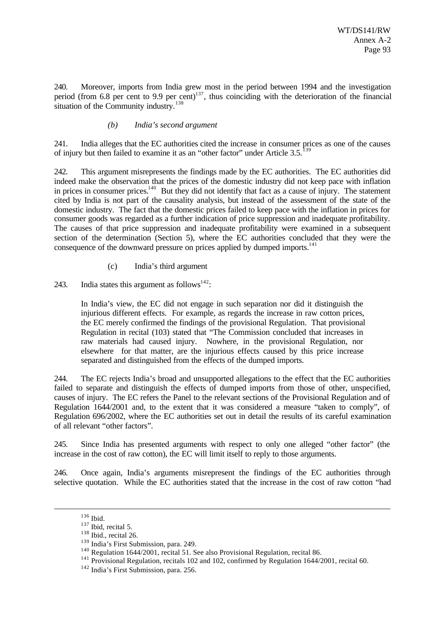240. Moreover, imports from India grew most in the period between 1994 and the investigation period (from 6.8 per cent to 9.9 per cent)<sup>137</sup>, thus coinciding with the deterioration of the financial situation of the Community industry.<sup>138</sup>

### *(b) India's second argument*

241. India alleges that the EC authorities cited the increase in consumer prices as one of the causes of injury but then failed to examine it as an "other factor" under Article 3.5.<sup>1</sup>

242. This argument misrepresents the findings made by the EC authorities. The EC authorities did indeed make the observation that the prices of the domestic industry did not keep pace with inflation in prices in consumer prices.<sup>140</sup> But they did not identify that fact as a cause of injury. The statement cited by India is not part of the causality analysis, but instead of the assessment of the state of the domestic industry. The fact that the domestic prices failed to keep pace with the inflation in prices for consumer goods was regarded as a further indication of price suppression and inadequate profitability. The causes of that price suppression and inadequate profitability were examined in a subsequent section of the determination (Section 5), where the EC authorities concluded that they were the consequence of the downward pressure on prices applied by dumped imports.<sup>141</sup>

(c) India's third argument

243. India states this argument as follows<sup>142</sup>:

In India's view, the EC did not engage in such separation nor did it distinguish the injurious different effects. For example, as regards the increase in raw cotton prices, the EC merely confirmed the findings of the provisional Regulation. That provisional Regulation in recital (103) stated that "The Commission concluded that increases in raw materials had caused injury. Nowhere, in the provisional Regulation, nor elsewhere for that matter, are the injurious effects caused by this price increase separated and distinguished from the effects of the dumped imports.

244. The EC rejects India's broad and unsupported allegations to the effect that the EC authorities failed to separate and distinguish the effects of dumped imports from those of other, unspecified, causes of injury. The EC refers the Panel to the relevant sections of the Provisional Regulation and of Regulation 1644/2001 and, to the extent that it was considered a measure "taken to comply", of Regulation 696/2002, where the EC authorities set out in detail the results of its careful examination of all relevant "other factors".

245. Since India has presented arguments with respect to only one alleged "other factor" (the increase in the cost of raw cotton), the EC will limit itself to reply to those arguments.

246. Once again, India's arguments misrepresent the findings of the EC authorities through selective quotation. While the EC authorities stated that the increase in the cost of raw cotton "had

<sup>136</sup> Ibid.

 $137$  Ibid, recital 5.

<sup>&</sup>lt;sup>138</sup> Ibid., recital 26.

<sup>139</sup> India's First Submission, para. 249.

<sup>140</sup> Regulation 1644/2001, recital 51. See also Provisional Regulation, recital 86.

<sup>&</sup>lt;sup>141</sup> Provisional Regulation, recitals 102 and 102, confirmed by Regulation 1644/2001, recital 60.

<sup>142</sup> India's First Submission, para. 256.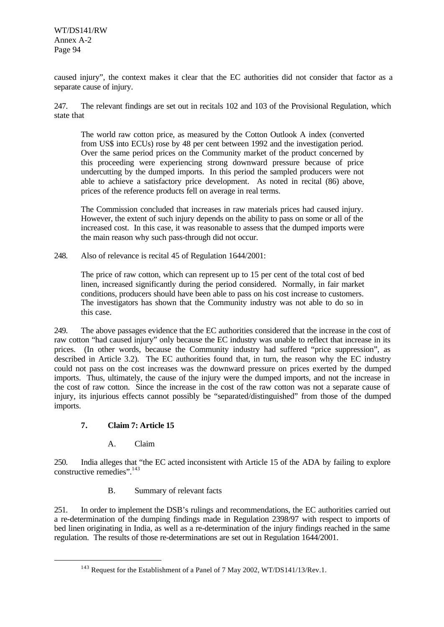WT/DS141/RW Annex A-2 Page 94

caused injury", the context makes it clear that the EC authorities did not consider that factor as a separate cause of injury.

247. The relevant findings are set out in recitals 102 and 103 of the Provisional Regulation, which state that

The world raw cotton price, as measured by the Cotton Outlook A index (converted from US\$ into ECUs) rose by 48 per cent between 1992 and the investigation period. Over the same period prices on the Community market of the product concerned by this proceeding were experiencing strong downward pressure because of price undercutting by the dumped imports. In this period the sampled producers were not able to achieve a satisfactory price development. As noted in recital (86) above, prices of the reference products fell on average in real terms.

The Commission concluded that increases in raw materials prices had caused injury. However, the extent of such injury depends on the ability to pass on some or all of the increased cost. In this case, it was reasonable to assess that the dumped imports were the main reason why such pass-through did not occur.

248. Also of relevance is recital 45 of Regulation 1644/2001:

The price of raw cotton, which can represent up to 15 per cent of the total cost of bed linen, increased significantly during the period considered. Normally, in fair market conditions, producers should have been able to pass on his cost increase to customers. The investigators has shown that the Community industry was not able to do so in this case.

249. The above passages evidence that the EC authorities considered that the increase in the cost of raw cotton "had caused injury" only because the EC industry was unable to reflect that increase in its prices. (In other words, because the Community industry had suffered "price suppression", as described in Article 3.2). The EC authorities found that, in turn, the reason why the EC industry could not pass on the cost increases was the downward pressure on prices exerted by the dumped imports. Thus, ultimately, the cause of the injury were the dumped imports, and not the increase in the cost of raw cotton. Since the increase in the cost of the raw cotton was not a separate cause of injury, its injurious effects cannot possibly be "separated/distinguished" from those of the dumped imports.

## **7. Claim 7: Article 15**

l

## A. Claim

250. India alleges that "the EC acted inconsistent with Article 15 of the ADA by failing to explore constructive remedies".<sup>143</sup>

B. Summary of relevant facts

251. In order to implement the DSB's rulings and recommendations, the EC authorities carried out a re-determination of the dumping findings made in Regulation 2398/97 with respect to imports of bed linen originating in India, as well as a re-determination of the injury findings reached in the same regulation. The results of those re-determinations are set out in Regulation 1644/2001.

<sup>&</sup>lt;sup>143</sup> Request for the Establishment of a Panel of 7 May 2002, WT/DS141/13/Rev.1.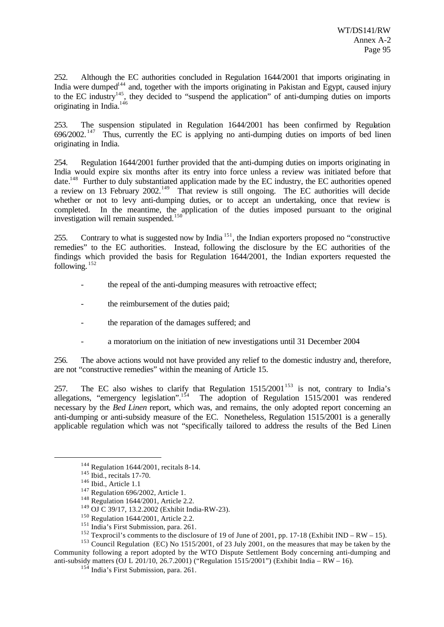252. Although the EC authorities concluded in Regulation 1644/2001 that imports originating in India were dumped<sup>144</sup> and, together with the imports originating in Pakistan and Egypt, caused injury to the EC industry<sup>145</sup>, they decided to "suspend the application" of anti-dumping duties on imports originating in India.<sup>146</sup>

253. The suspension stipulated in Regulation 1644/2001 has been confirmed by Regulation 696/2002. <sup>147</sup> Thus, currently the EC is applying no anti-dumping duties on imports of bed linen originating in India.

254. Regulation 1644/2001 further provided that the anti-dumping duties on imports originating in India would expire six months after its entry into force unless a review was initiated before that date.<sup>148</sup> Further to duly substantiated application made by the EC industry, the EC authorities opened a review on 13 February 2002.<sup>149</sup> That review is still ongoing. The EC authorities will decide whether or not to levy anti-dumping duties, or to accept an undertaking, once that review is completed. In the meantime, the application of the duties imposed pursuant to the original investigation will remain suspended.<sup>15</sup>

255. Contrary to what is suggested now by India<sup>151</sup>, the Indian exporters proposed no "constructive remedies" to the EC authorities. Instead, following the disclosure by the EC authorities of the findings which provided the basis for Regulation 1644/2001, the Indian exporters requested the following. <sup>152</sup>

- the repeal of the anti-dumping measures with retroactive effect;
- the reimbursement of the duties paid;
- the reparation of the damages suffered; and
- a moratorium on the initiation of new investigations until 31 December 2004

256. The above actions would not have provided any relief to the domestic industry and, therefore, are not "constructive remedies" within the meaning of Article 15.

257. The EC also wishes to clarify that Regulation  $1515/2001^{153}$  is not, contrary to India's allegations, "emergency legislation".<sup>154</sup> The adoption of Regulation 1515/2001 was rendered necessary by the *Bed Linen* report, which was, and remains, the only adopted report concerning an anti-dumping or anti-subsidy measure of the EC. Nonetheless, Regulation 1515/2001 is a generally applicable regulation which was not "specifically tailored to address the results of the Bed Linen

l

<sup>153</sup> Council Regulation (EC) No 1515/2001, of 23 July 2001, on the measures that may be taken by the Community following a report adopted by the WTO Dispute Settlement Body concerning anti-dumping and anti-subsidy matters (OJ L 201/10, 26.7.2001) ("Regulation 1515/2001") (Exhibit India – RW – 16).

<sup>144</sup> Regulation 1644/2001, recitals 8-14.

<sup>&</sup>lt;sup>145</sup> Ibid., recitals 17-70.

<sup>146</sup> Ibid., Article 1.1

<sup>&</sup>lt;sup>147</sup> Regulation 696/2002, Article 1.

<sup>148</sup> Regulation 1644/2001, Article 2.2.

<sup>149</sup> OJ C 39/17, 13.2.2002 (Exhibit India-RW-23).

<sup>150</sup> Regulation 1644/2001, Article 2.2.

<sup>&</sup>lt;sup>151</sup> India's First Submission, para. 261.

<sup>&</sup>lt;sup>152</sup> Texprocil's comments to the disclosure of 19 of June of 2001, pp. 17-18 (Exhibit IND – RW – 15).

<sup>&</sup>lt;sup>154</sup> India's First Submission, para. 261.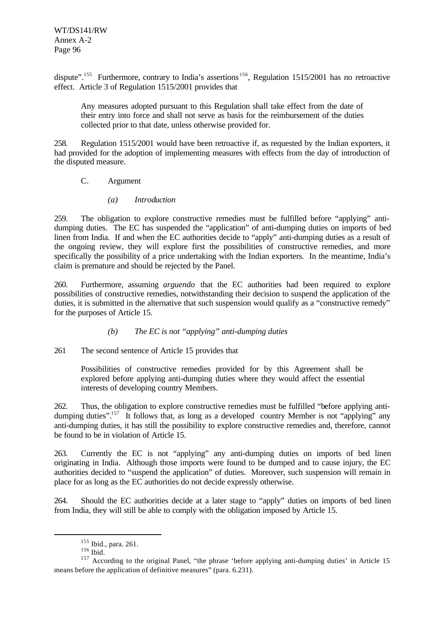dispute".<sup>155</sup> Furthermore, contrary to India's assertions<sup>156</sup>, Regulation 1515/2001 has no retroactive effect. Article 3 of Regulation 1515/2001 provides that

Any measures adopted pursuant to this Regulation shall take effect from the date of their entry into force and shall not serve as basis for the reimbursement of the duties collected prior to that date, unless otherwise provided for.

258. Regulation 1515/2001 would have been retroactive if, as requested by the Indian exporters, it had provided for the adoption of implementing measures with effects from the day of introduction of the disputed measure.

## C. Argument

*(a) Introduction*

259. The obligation to explore constructive remedies must be fulfilled before "applying" antidumping duties. The EC has suspended the "application" of anti-dumping duties on imports of bed linen from India. If and when the EC authorities decide to "apply" anti-dumping duties as a result of the ongoing review, they will explore first the possibilities of constructive remedies, and more specifically the possibility of a price undertaking with the Indian exporters. In the meantime, India's claim is premature and should be rejected by the Panel.

260. Furthermore, assuming *arguendo* that the EC authorities had been required to explore possibilities of constructive remedies, notwithstanding their decision to suspend the application of the duties, it is submitted in the alternative that such suspension would qualify as a "constructive remedy" for the purposes of Article 15.

## *(b) The EC is not "applying" anti-dumping duties*

## 261 The second sentence of Article 15 provides that

Possibilities of constructive remedies provided for by this Agreement shall be explored before applying anti-dumping duties where they would affect the essential interests of developing country Members.

262. Thus, the obligation to explore constructive remedies must be fulfilled "before applying antidumping duties".<sup>157</sup> It follows that, as long as a developed country Member is not "applying" any anti-dumping duties, it has still the possibility to explore constructive remedies and, therefore, cannot be found to be in violation of Article 15.

263. Currently the EC is not "applying" any anti-dumping duties on imports of bed linen originating in India. Although those imports were found to be dumped and to cause injury, the EC authorities decided to "suspend the application" of duties. Moreover, such suspension will remain in place for as long as the EC authorities do not decide expressly otherwise.

264. Should the EC authorities decide at a later stage to "apply" duties on imports of bed linen from India, they will still be able to comply with the obligation imposed by Article 15.

<sup>155</sup> Ibid., para. 261.

 $156$  Ibid.

<sup>&</sup>lt;sup>157</sup> According to the original Panel, "the phrase 'before applying anti-dumping duties' in Article 15 means before the application of definitive measures" (para. 6.231).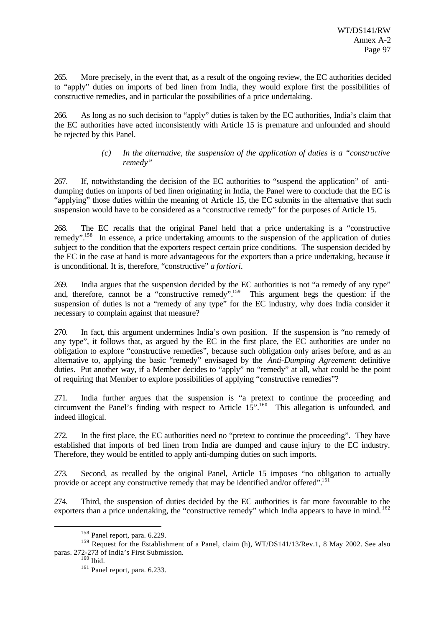265. More precisely, in the event that, as a result of the ongoing review, the EC authorities decided to "apply" duties on imports of bed linen from India, they would explore first the possibilities of constructive remedies, and in particular the possibilities of a price undertaking.

266. As long as no such decision to "apply" duties is taken by the EC authorities, India's claim that the EC authorities have acted inconsistently with Article 15 is premature and unfounded and should be rejected by this Panel.

### *(c) In the alternative, the suspension of the application of duties is a "constructive remedy"*

267. If, notwithstanding the decision of the EC authorities to "suspend the application" of antidumping duties on imports of bed linen originating in India, the Panel were to conclude that the EC is "applying" those duties within the meaning of Article 15, the EC submits in the alternative that such suspension would have to be considered as a "constructive remedy" for the purposes of Article 15.

268. The EC recalls that the original Panel held that a price undertaking is a "constructive remedy".<sup>158</sup> In essence, a price undertaking amounts to the suspension of the application of duties subject to the condition that the exporters respect certain price conditions. The suspension decided by the EC in the case at hand is more advantageous for the exporters than a price undertaking, because it is unconditional. It is, therefore, "constructive" *a fortiori*.

269. India argues that the suspension decided by the EC authorities is not "a remedy of any type" and, therefore, cannot be a "constructive remedy".<sup>159</sup> This argument begs the question: if the suspension of duties is not a "remedy of any type" for the EC industry, why does India consider it necessary to complain against that measure?

270. In fact, this argument undermines India's own position. If the suspension is "no remedy of any type", it follows that, as argued by the EC in the first place, the EC authorities are under no obligation to explore "constructive remedies", because such obligation only arises before, and as an alternative to, applying the basic "remedy" envisaged by the *Anti-Dumping Agreement*: definitive duties. Put another way, if a Member decides to "apply" no "remedy" at all, what could be the point of requiring that Member to explore possibilities of applying "constructive remedies"?

271. India further argues that the suspension is "a pretext to continue the proceeding and circumvent the Panel's finding with respect to Article 15".<sup>160</sup> This allegation is unfounded, and indeed illogical.

272. In the first place, the EC authorities need no "pretext to continue the proceeding". They have established that imports of bed linen from India are dumped and cause injury to the EC industry. Therefore, they would be entitled to apply anti-dumping duties on such imports.

273. Second, as recalled by the original Panel, Article 15 imposes "no obligation to actually provide or accept any constructive remedy that may be identified and/or offered".<sup>161</sup>

274. Third, the suspension of duties decided by the EC authorities is far more favourable to the exporters than a price undertaking, the "constructive remedy" which India appears to have in mind. <sup>162</sup>

<sup>158</sup> Panel report, para. 6.229.

<sup>&</sup>lt;sup>159</sup> Request for the Establishment of a Panel, claim (h), WT/DS141/13/Rev.1, 8 May 2002. See also paras. 272-273 of India's First Submission.

 $160$  Ibid.

<sup>161</sup> Panel report, para. 6.233.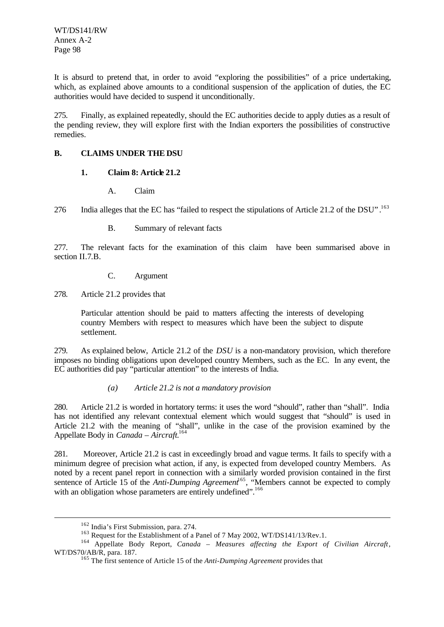It is absurd to pretend that, in order to avoid "exploring the possibilities" of a price undertaking, which, as explained above amounts to a conditional suspension of the application of duties, the EC authorities would have decided to suspend it unconditionally.

275. Finally, as explained repeatedly, should the EC authorities decide to apply duties as a result of the pending review, they will explore first with the Indian exporters the possibilities of constructive remedies.

### **B. CLAIMS UNDER THE DSU**

### **1. Claim 8: Article 21.2**

A. Claim

276 India alleges that the EC has "failed to respect the stipulations of Article 21.2 of the DSU".<sup>163</sup>

B. Summary of relevant facts

277. The relevant facts for the examination of this claim have been summarised above in section II.7.B.

C. Argument

278. Article 21.2 provides that

Particular attention should be paid to matters affecting the interests of developing country Members with respect to measures which have been the subject to dispute settlement.

279. As explained below, Article 21.2 of the *DSU* is a non-mandatory provision, which therefore imposes no binding obligations upon developed country Members, such as the EC. In any event, the EC authorities did pay "particular attention" to the interests of India.

## *(a) Article 21.2 is not a mandatory provision*

280. Article 21.2 is worded in hortatory terms: it uses the word "should", rather than "shall". India has not identified any relevant contextual element which would suggest that "should" is used in Article 21.2 with the meaning of "shall", unlike in the case of the provision examined by the Appellate Body in *Canada – Aircraft.*<sup>164</sup>

281. Moreover, Article 21.2 is cast in exceedingly broad and vague terms. It fails to specify with a minimum degree of precision what action, if any, is expected from developed country Members. As noted by a recent panel report in connection with a similarly worded provision contained in the first sentence of Article 15 of the *Anti-Dumping Agreement*<sup>165</sup>, "Members cannot be expected to comply with an obligation whose parameters are entirely undefined".<sup>166</sup>

<sup>162</sup> India's First Submission, para. 274.

<sup>&</sup>lt;sup>163</sup> Request for the Establishment of a Panel of 7 May 2002, WT/DS141/13/Rev.1.

<sup>&</sup>lt;sup>164</sup> Appellate Body Report, *Canada - Measures affecting the Export of Civilian Aircraft*, WT/DS70/AB/R, para. 187.

<sup>165</sup> The first sentence of Article 15 of the *Anti-Dumping Agreement* provides that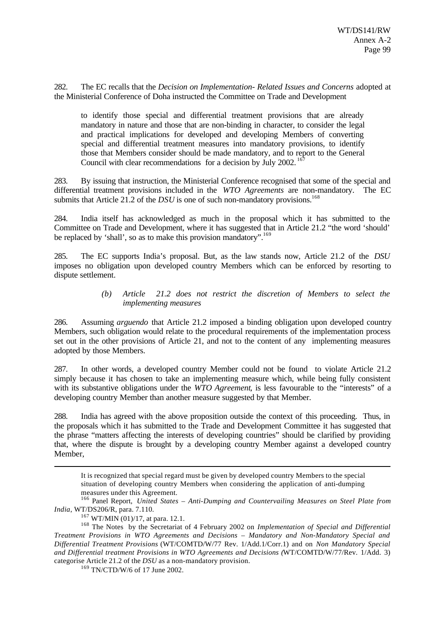282. The EC recalls that the *Decision on Implementation- Related Issues and Concerns* adopted at the Ministerial Conference of Doha instructed the Committee on Trade and Development

to identify those special and differential treatment provisions that are already mandatory in nature and those that are non-binding in character, to consider the legal and practical implications for developed and developing Members of converting special and differential treatment measures into mandatory provisions, to identify those that Members consider should be made mandatory, and to report to the General Council with clear recommendations for a decision by July 2002.<sup>167</sup>

283. By issuing that instruction, the Ministerial Conference recognised that some of the special and differential treatment provisions included in the *WTO Agreements* are non-mandatory. The EC submits that Article 21.2 of the *DSU* is one of such non-mandatory provisions.<sup>168</sup>

284. India itself has acknowledged as much in the proposal which it has submitted to the Committee on Trade and Development, where it has suggested that in Article 21.2 "the word 'should' be replaced by 'shall', so as to make this provision mandatory'.<sup>169</sup>

285. The EC supports India's proposal. But, as the law stands now, Article 21.2 of the *DSU* imposes no obligation upon developed country Members which can be enforced by resorting to dispute settlement.

### *(b) Article 21.2 does not restrict the discretion of Members to select the implementing measures*

286. Assuming *arguendo* that Article 21.2 imposed a binding obligation upon developed country Members, such obligation would relate to the procedural requirements of the implementation process set out in the other provisions of Article 21, and not to the content of any implementing measures adopted by those Members.

287. In other words, a developed country Member could not be found to violate Article 21.2 simply because it has chosen to take an implementing measure which, while being fully consistent with its substantive obligations under the *WTO Agreement*, is less favourable to the "interests" of a developing country Member than another measure suggested by that Member.

288. India has agreed with the above proposition outside the context of this proceeding. Thus, in the proposals which it has submitted to the Trade and Development Committee it has suggested that the phrase "matters affecting the interests of developing countries" should be clarified by providing that, where the dispute is brought by a developing country Member against a developed country Member,

It is recognized that special regard must be given by developed country Members to the special situation of developing country Members when considering the application of anti-dumping measures under this Agreement.

<sup>166</sup> Panel Report, *United States – Anti-Dumping and Countervailing Measures on Steel Plate from India*, WT/DS206/R, para. 7.110.

 $167$  WT/MIN (01)/17, at para. 12.1.

<sup>168</sup> The Notes by the Secretariat of 4 February 2002 on *Implementation of Special and Differential Treatment Provisions in WTO Agreements and Decisions – Mandatory and Non-Mandatory Special and Differential Treatment Provisions* (WT/COMTD/W/77 Rev. 1/Add.1/Corr.1) and on *Non Mandatory Special and Differential treatment Provisions in WTO Agreements and Decisions (*WT/COMTD/W/77/Rev. 1/Add. 3) categorise Article 21.2 of the *DSU* as a non-mandatory provision.

<sup>169</sup> TN/CTD/W/6 of 17 June 2002.